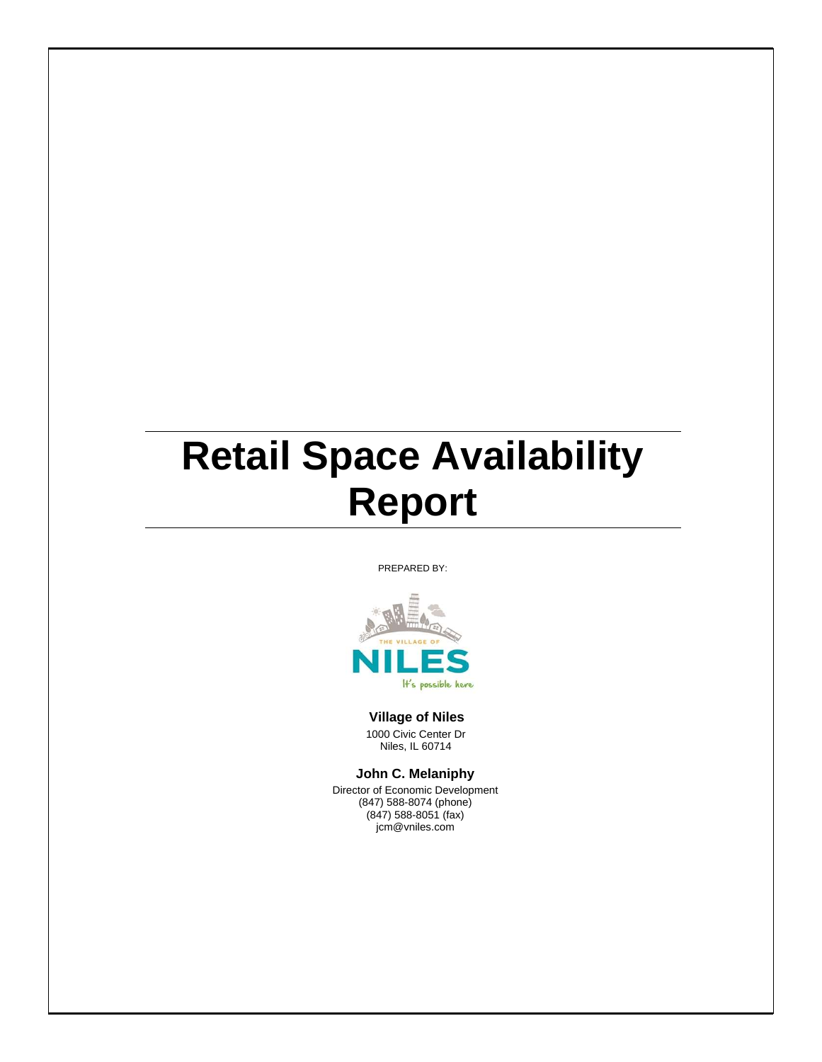## **Retail Space Availability Report**

PREPARED BY:



## **Village of Niles**

1000 Civic Center Dr Niles, IL 60714

**John C. Melaniphy**

Director of Economic Development (847) 588-8074 (phone) (847) 588-8051 (fax) jcm@vniles.com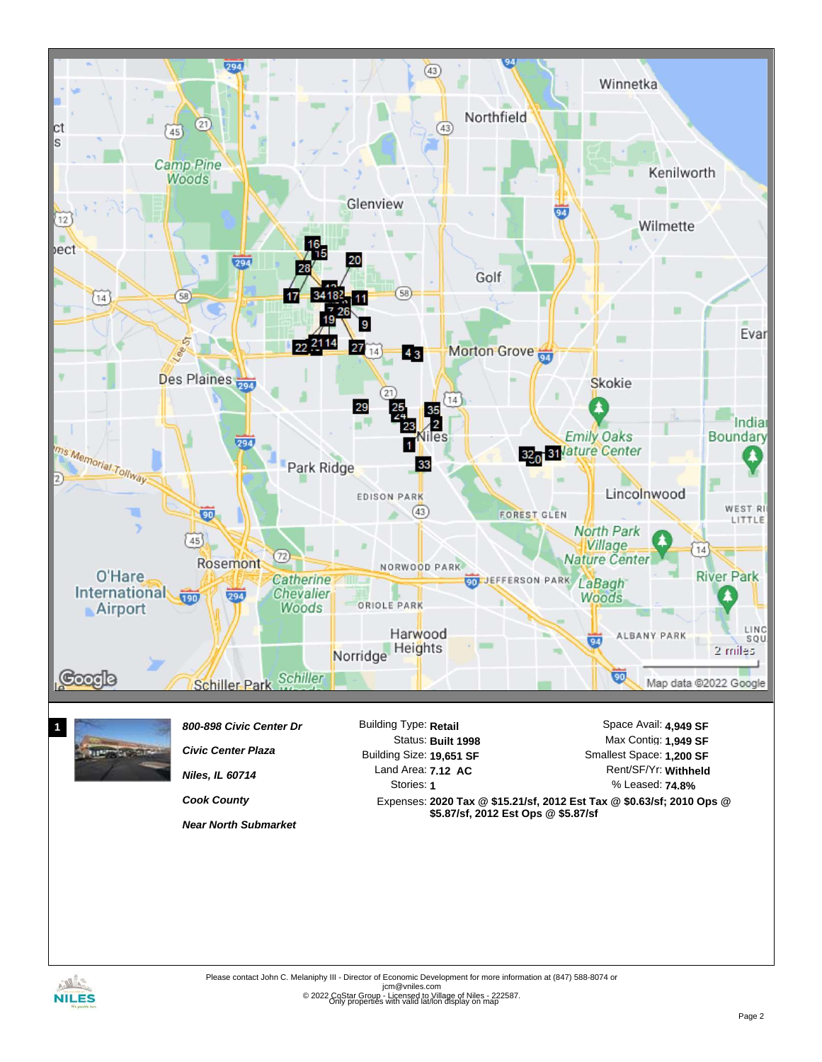

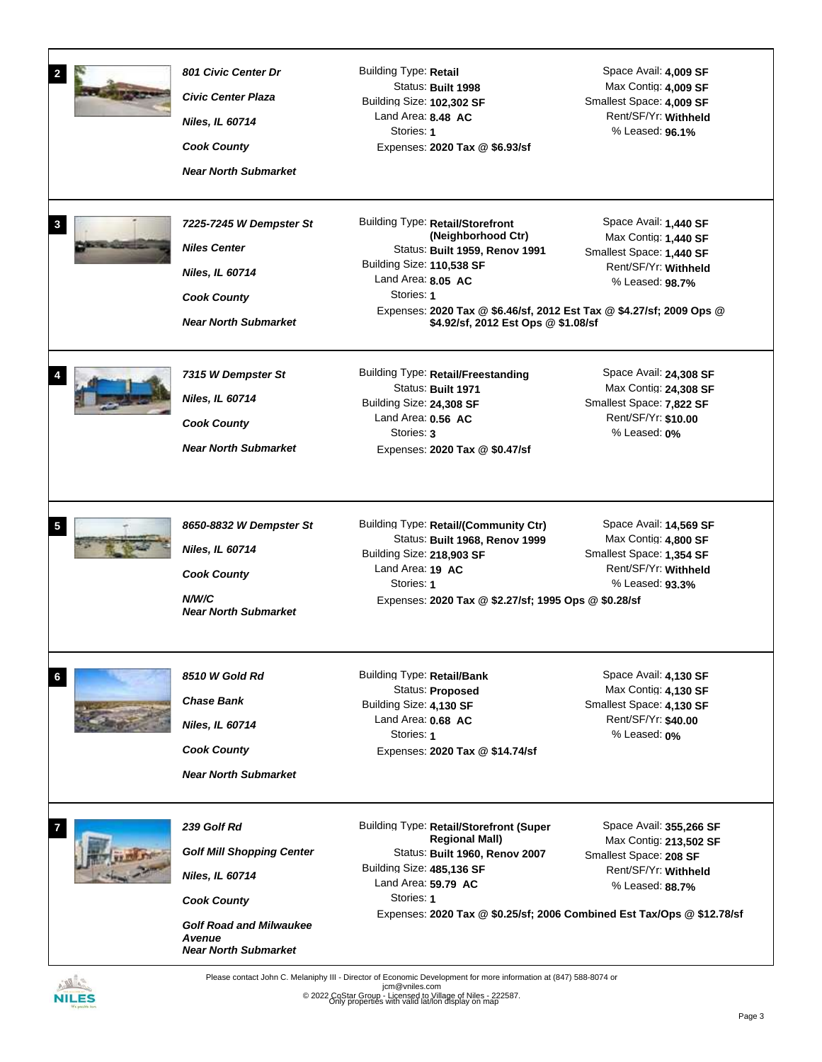|              | 801 Civic Center Dr<br><b>Civic Center Plaza</b><br><b>Niles, IL 60714</b><br><b>Cook County</b><br><b>Near North Submarket</b>                                            | <b>Building Type: Retail</b><br>Status: Built 1998<br>Building Size: 102,302 SF<br>Land Area: 8.48 AC<br>Stories: 1<br>Expenses: 2020 Tax @ \$6.93/sf                                                                                                                    | Space Avail: 4,009 SF<br>Max Contig: 4,009 SF<br>Smallest Space: 4,009 SF<br>Rent/SF/Yr: Withheld<br>% Leased: 96.1%   |
|--------------|----------------------------------------------------------------------------------------------------------------------------------------------------------------------------|--------------------------------------------------------------------------------------------------------------------------------------------------------------------------------------------------------------------------------------------------------------------------|------------------------------------------------------------------------------------------------------------------------|
| $\mathbf{3}$ | 7225-7245 W Dempster St<br><b>Niles Center</b><br><b>Niles, IL 60714</b><br><b>Cook County</b><br><b>Near North Submarket</b>                                              | Building Type: Retail/Storefront<br>(Neighborhood Ctr)<br>Status: Built 1959, Renov 1991<br>Building Size: 110,538 SF<br>Land Area: 8.05 AC<br>Stories: 1<br>Expenses: 2020 Tax @ \$6.46/sf, 2012 Est Tax @ \$4.27/sf; 2009 Ops @<br>\$4.92/sf, 2012 Est Ops @ \$1.08/sf | Space Avail: 1,440 SF<br>Max Contig: 1,440 SF<br>Smallest Space: 1,440 SF<br>Rent/SF/Yr: Withheld<br>% Leased: 98.7%   |
|              | 7315 W Dempster St<br>Niles, IL 60714<br><b>Cook County</b><br><b>Near North Submarket</b>                                                                                 | Building Type: Retail/Freestanding<br>Status: Built 1971<br>Building Size: 24,308 SF<br>Land Area: $0.56$ AC<br>Stories: 3<br>Expenses: 2020 Tax @ \$0.47/sf                                                                                                             | Space Avail: 24,308 SF<br>Max Contig: 24,308 SF<br>Smallest Space: 7,822 SF<br>Rent/SF/Yr: \$10.00<br>% Leased: 0%     |
| 5            | 8650-8832 W Dempster St<br>Niles, IL 60714<br><b>Cook County</b><br>N/W/C<br><b>Near North Submarket</b>                                                                   | Building Type: Retail/(Community Ctr)<br>Status: Built 1968, Renov 1999<br>Building Size: 218,903 SF<br>Land Area: 19 AC<br>Stories: 1<br>Expenses: 2020 Tax @ \$2.27/sf; 1995 Ops @ \$0.28/sf                                                                           | Space Avail: 14,569 SF<br>Max Contig: 4,800 SF<br>Smallest Space: 1,354 SF<br>Rent/SF/Yr: Withheld<br>% Leased: 93.3%  |
| 6            | 8510 W Gold Rd<br><b>Chase Bank</b><br>Niles, IL 60714<br><b>Cook County</b><br><b>Near North Submarket</b>                                                                | <b>Building Type: Retail/Bank</b><br>Status: Proposed<br>Building Size: 4,130 SF<br>Land Area: $0.68$ AC<br>Stories: 1<br>Expenses: 2020 Tax @ \$14.74/sf                                                                                                                | Space Avail: 4,130 SF<br>Max Contig: 4,130 SF<br>Smallest Space: 4,130 SF<br>Rent/SF/Yr: \$40.00<br>% Leased: 0%       |
|              | 239 Golf Rd<br><b>Golf Mill Shopping Center</b><br><b>Niles, IL 60714</b><br><b>Cook County</b><br><b>Golf Road and Milwaukee</b><br>Avenue<br><b>Near North Submarket</b> | Building Type: Retail/Storefront (Super<br><b>Regional Mall)</b><br>Status: Built 1960, Renov 2007<br>Building Size: 485,136 SF<br>Land Area: 59.79 AC<br>Stories: 1<br>Expenses: 2020 Tax @ \$0.25/sf; 2006 Combined Est Tax/Ops @ \$12.78/sf                           | Space Avail: 355,266 SF<br>Max Contig: 213,502 SF<br>Smallest Space: 208 SF<br>Rent/SF/Yr: Withheld<br>% Leased: 88.7% |

ATTES **NILES** 

Only properties with valid lat/lon display on map Please contact John C. Melaniphy III - Director of Economic Development for more information at (847) 588-8074 or<br>jcm@vniles.com<br>© 2022 CoStar Group - Licensed to Village of Niles - 222587.

Page 3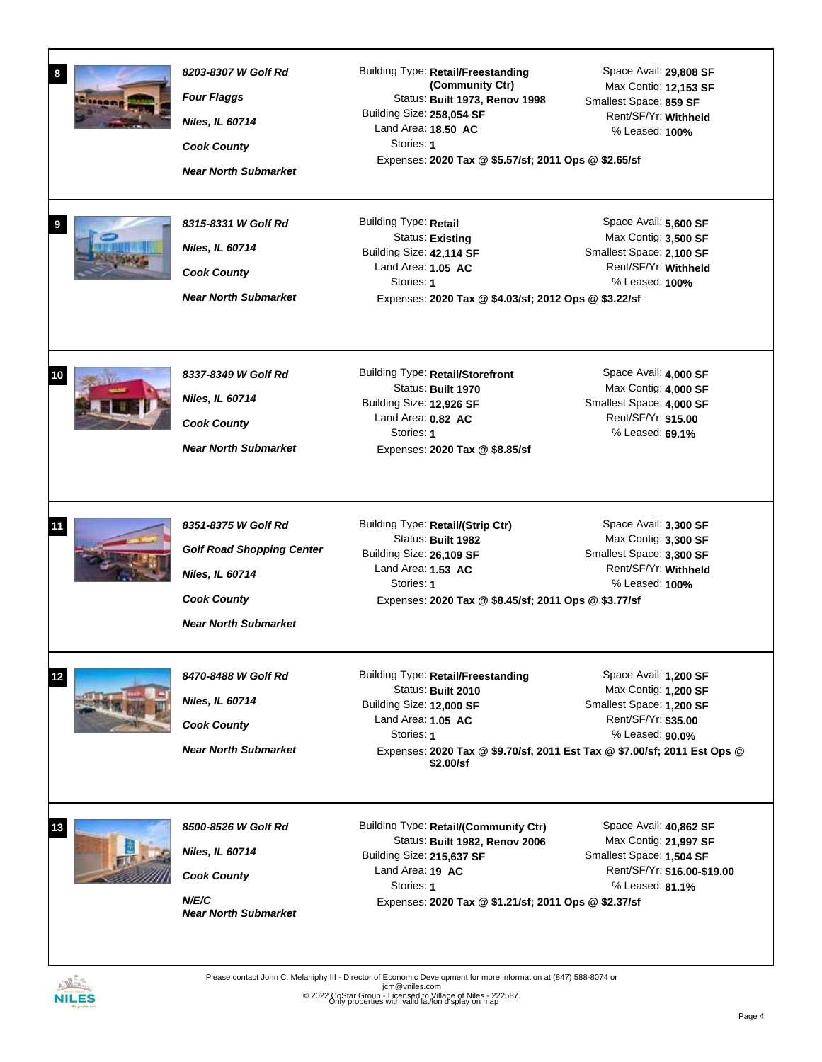| 8<br>9 | 8203-8307 W Golf Rd<br><b>Four Flaggs</b><br>Niles, IL 60714<br><b>Cook County</b><br><b>Near North Submarket</b><br>8315-8331 W Golf Rd<br><b>Niles, IL 60714</b><br><b>Cook County</b><br><b>Near North Submarket</b> | <b>Building Type: Retail/Freestanding</b><br>(Community Ctr)<br>Status: Built 1973, Renov 1998<br>Building Size: 258,054 SF<br>Land Area: 18.50 AC<br>Stories: 1<br>Expenses: 2020 Tax @ \$5.57/sf; 2011 Ops @ \$2.65/sf<br>Building Type: Retail<br>Status: Existing<br>Building Size: 42,114 SF<br>Land Area: 1.05 AC<br>Stories: 1<br>Expenses: 2020 Tax @ \$4.03/sf; 2012 Ops @ \$3.22/sf | Space Avail: 29,808 SF<br>Max Contig: 12,153 SF<br>Smallest Space: 859 SF<br>Rent/SF/Yr: Withheld<br>% Leased: 100%<br>Space Avail: 5,600 SF<br>Max Contig: 3,500 SF<br>Smallest Space: 2,100 SF<br>Rent/SF/Yr: Withheld<br>% Leased: 100% |
|--------|-------------------------------------------------------------------------------------------------------------------------------------------------------------------------------------------------------------------------|-----------------------------------------------------------------------------------------------------------------------------------------------------------------------------------------------------------------------------------------------------------------------------------------------------------------------------------------------------------------------------------------------|--------------------------------------------------------------------------------------------------------------------------------------------------------------------------------------------------------------------------------------------|
| 10     | 8337-8349 W Golf Rd<br><b>Niles, IL 60714</b><br><b>Cook County</b><br><b>Near North Submarket</b>                                                                                                                      | Building Type: Retail/Storefront<br>Status: Built 1970<br>Building Size: 12,926 SF<br>Land Area: $0.82$ AC<br>Stories: 1<br>Expenses: 2020 Tax @ \$8.85/sf                                                                                                                                                                                                                                    | Space Avail: 4,000 SF<br>Max Contig: 4,000 SF<br>Smallest Space: 4,000 SF<br>Rent/SF/Yr: \$15.00<br>% Leased: 69.1%                                                                                                                        |
| 11     | 8351-8375 W Golf Rd<br><b>Golf Road Shopping Center</b><br><b>Niles, IL 60714</b><br><b>Cook County</b><br><b>Near North Submarket</b>                                                                                  | Building Type: Retail/(Strip Ctr)<br>Status: Built 1982<br>Building Size: 26,109 SF<br>Land Area: 1.53 AC<br>Stories: 1<br>Expenses: 2020 Tax @ \$8.45/sf; 2011 Ops @ \$3.77/sf                                                                                                                                                                                                               | Space Avail: 3,300 SF<br>Max Contig: 3,300 SF<br>Smallest Space: 3,300 SF<br>Rent/SF/Yr: Withheld<br>% Leased: 100%                                                                                                                        |
| 12     | 8470-8488 W Golf Rd<br><b>Niles, IL 60714</b><br><b>Cook County</b><br><b>Near North Submarket</b>                                                                                                                      | <b>Building Type: Retail/Freestanding</b><br>Status: Built 2010<br>Building Size: 12,000 SF<br>Land Area: 1.05 AC<br>Stories: 1<br>\$2.00/sf                                                                                                                                                                                                                                                  | Space Avail: 1,200 SF<br>Max Contig: 1,200 SF<br>Smallest Space: 1,200 SF<br>Rent/SF/Yr: \$35.00<br>% Leased: 90.0%<br>Expenses: 2020 Tax @ \$9.70/sf, 2011 Est Tax @ \$7.00/sf; 2011 Est Ops @                                            |
| 13     | 8500-8526 W Golf Rd<br><b>Niles, IL 60714</b><br><b>Cook County</b><br>N/E/C<br><b>Near North Submarket</b>                                                                                                             | Building Type: Retail/(Community Ctr)<br>Status: Built 1982, Renov 2006<br>Building Size: 215,637 SF<br>Land Area: 19 AC<br>Stories: 1<br>Expenses: 2020 Tax @ \$1.21/sf; 2011 Ops @ \$2.37/sf                                                                                                                                                                                                | Space Avail: 40,862 SF<br>Max Contig: 21,997 SF<br>Smallest Space: 1,504 SF<br>Rent/SF/Yr: \$16.00-\$19.00<br>% Leased: 81.1%                                                                                                              |

NILES

Please contact John C. Melaniphy III - Director of Economic Development for more information at (847) 588-8074 or<br>jcm@vniles.com<br>© 2022 CoStar Group - Licensed to Village of Niles - 222587.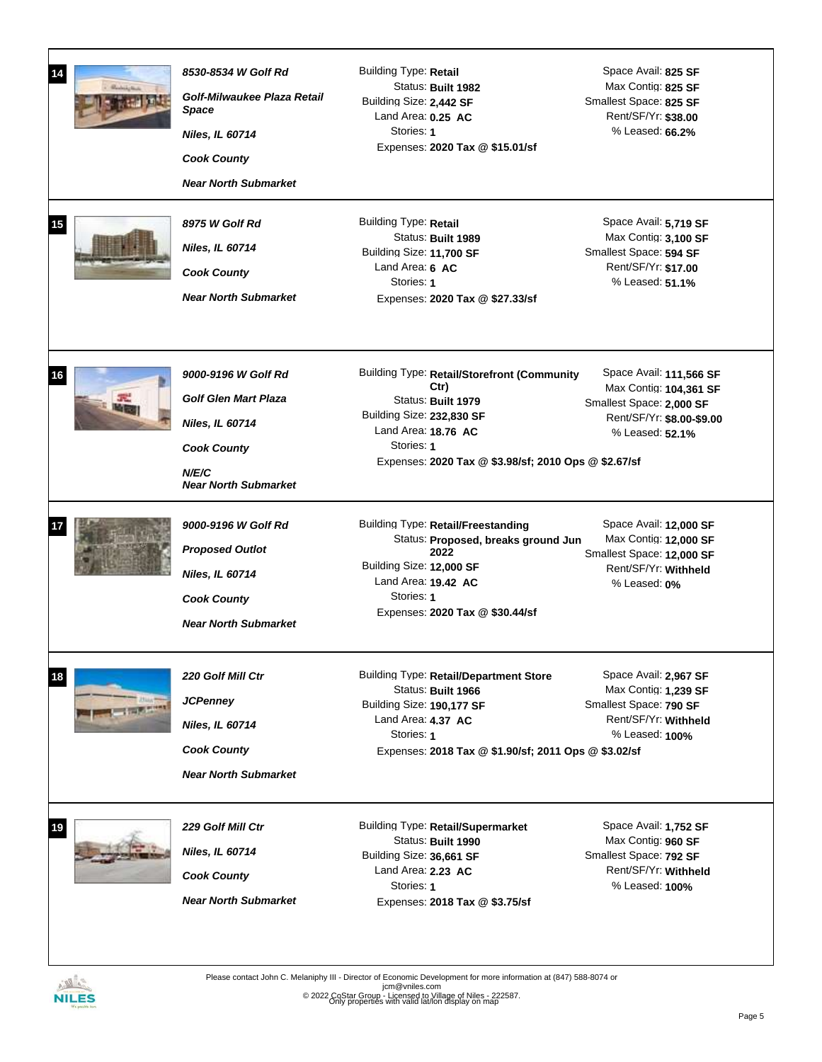| 14 | 8530-8534 W Golf Rd<br>Golf-Milwaukee Plaza Retail<br>Space<br><b>Niles, IL 60714</b><br><b>Cook County</b><br><b>Near North Submarket</b> | Building Type: Retail<br>Status: Built 1982<br>Building Size: 2,442 SF<br>Land Area: $0.25$ AC<br>Stories: 1<br>Expenses: 2020 Tax @ \$15.01/sf                                                       | Space Avail: 825 SF<br>Max Contig: 825 SF<br>Smallest Space: 825 SF<br>Rent/SF/Yr: \$38.00<br>% Leased: 66.2%                 |
|----|--------------------------------------------------------------------------------------------------------------------------------------------|-------------------------------------------------------------------------------------------------------------------------------------------------------------------------------------------------------|-------------------------------------------------------------------------------------------------------------------------------|
| 15 | 8975 W Golf Rd<br><b>Niles, IL 60714</b><br><b>Cook County</b><br><b>Near North Submarket</b>                                              | Building Type: Retail<br>Status: Built 1989<br>Building Size: 11,700 SF<br>Land Area: 6 AC<br>Stories: 1<br>Expenses: 2020 Tax @ \$27.33/sf                                                           | Space Avail: 5.719 SF<br>Max Contig: 3,100 SF<br>Smallest Space: 594 SF<br>Rent/SF/Yr: \$17.00<br>% Leased: 51.1%             |
| 16 | 9000-9196 W Golf Rd<br><b>Golf Glen Mart Plaza</b><br><b>Niles, IL 60714</b><br><b>Cook County</b><br>N/E/C<br><b>Near North Submarket</b> | Building Type: Retail/Storefront (Community<br>Ctr)<br>Status: Built 1979<br>Building Size: 232,830 SF<br>Land Area: $18.76$ AC<br>Stories: 1<br>Expenses: 2020 Tax @ \$3.98/sf; 2010 Ops @ \$2.67/sf | Space Avail: 111,566 SF<br>Max Contig: 104,361 SF<br>Smallest Space: 2,000 SF<br>Rent/SF/Yr: \$8.00-\$9.00<br>% Leased: 52.1% |
|    | 9000-9196 W Golf Rd<br><b>Proposed Outlot</b><br><b>Niles, IL 60714</b><br><b>Cook County</b><br><b>Near North Submarket</b>               | <b>Building Type: Retail/Freestanding</b><br>Status: Proposed, breaks ground Jun<br>2022<br>Building Size: 12,000 SF<br>Land Area: 19.42 AC<br>Stories: 1<br>Expenses: 2020 Tax @ \$30.44/sf          | Space Avail: 12,000 SF<br>Max Contig: 12,000 SF<br>Smallest Space: 12,000 SF<br>Rent/SF/Yr: Withheld<br>% Leased: 0%          |
| 18 | 220 Golf Mill Ctr<br><b>JCPenney</b><br><b>Niles, IL 60714</b><br><b>Cook County</b><br><b>Near North Submarket</b>                        | Building Type: Retail/Department Store<br>Status: Built 1966<br>Building Size: 190,177 SF<br>Land Area: 4.37 AC<br>Stories: 1<br>Expenses: 2018 Tax @ \$1.90/sf; 2011 Ops @ \$3.02/sf                 | Space Avail: 2,967 SF<br>Max Contig: 1,239 SF<br>Smallest Space: 790 SF<br>Rent/SF/Yr: Withheld<br>% Leased: 100%             |
| 19 | 229 Golf Mill Ctr<br><b>Niles, IL 60714</b><br><b>Cook County</b><br><b>Near North Submarket</b>                                           | Building Type: Retail/Supermarket<br>Status: Built 1990<br>Building Size: 36,661 SF<br>Land Area: 2.23 AC<br>Stories: 1<br>Expenses: 2018 Tax @ \$3.75/sf                                             | Space Avail: 1,752 SF<br>Max Contig: 960 SF<br>Smallest Space: 792 SF<br>Rent/SF/Yr: Withheld<br>% Leased: 100%               |

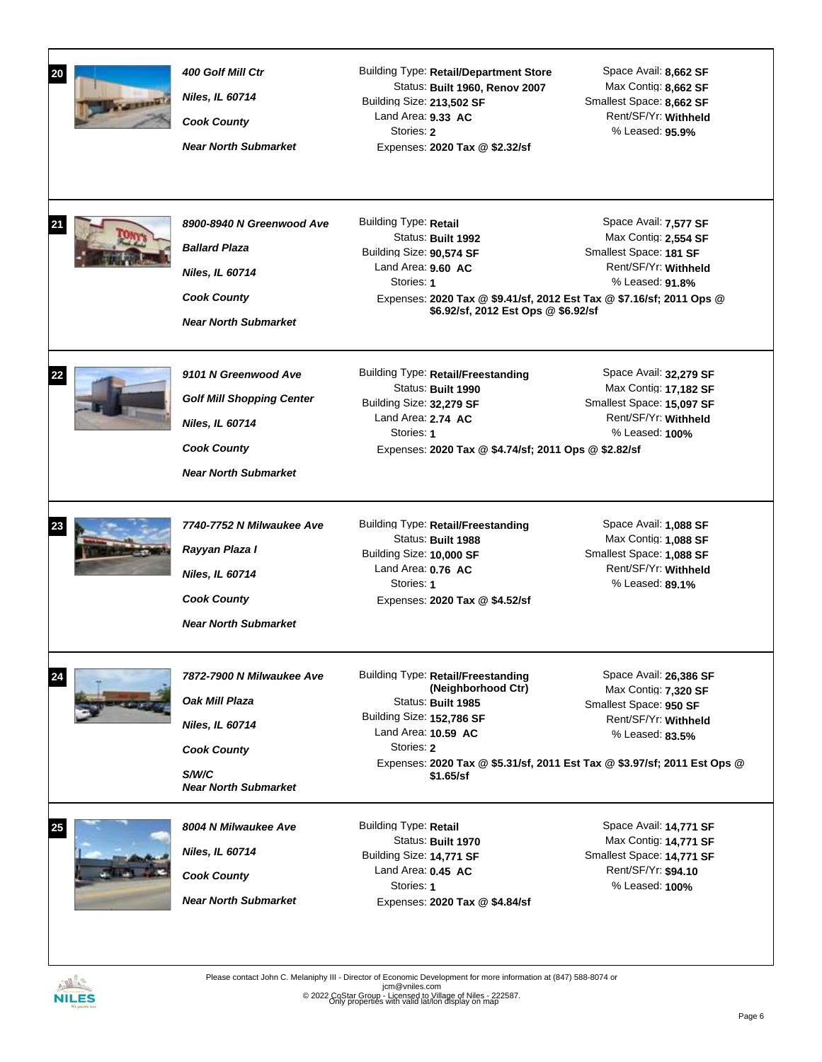| 20 | 400 Golf Mill Ctr<br>Niles, IL 60714<br><b>Cook County</b><br><b>Near North Submarket</b>                                               | Building Type: Retail/Department Store<br>Status: Built 1960, Renov 2007<br>Building Size: 213,502 SF<br>Land Area: 9.33 AC<br>Stories: 2<br>Expenses: 2020 Tax @ \$2.32/sf                                                                      | Space Avail: 8,662 SF<br>Max Contig: 8,662 SF<br>Smallest Space: 8,662 SF<br>Rent/SF/Yr: Withheld<br>% Leased: 95.9%   |
|----|-----------------------------------------------------------------------------------------------------------------------------------------|--------------------------------------------------------------------------------------------------------------------------------------------------------------------------------------------------------------------------------------------------|------------------------------------------------------------------------------------------------------------------------|
|    | 8900-8940 N Greenwood Ave<br><b>Ballard Plaza</b><br><b>Niles, IL 60714</b><br><b>Cook County</b><br><b>Near North Submarket</b>        | Building Type: Retail<br>Status: Built 1992<br>Building Size: 90,574 SF<br>Land Area: $9.60$ AC<br>Stories: 1<br>Expenses: 2020 Tax @ \$9.41/sf, 2012 Est Tax @ \$7.16/sf; 2011 Ops @<br>\$6.92/sf, 2012 Est Ops @ \$6.92/sf                     | Space Avail: 7,577 SF<br>Max Contig: 2,554 SF<br>Smallest Space: 181 SF<br>Rent/SF/Yr: Withheld<br>% Leased: 91.8%     |
|    | 9101 N Greenwood Ave<br><b>Golf Mill Shopping Center</b><br><b>Niles, IL 60714</b><br><b>Cook County</b><br><b>Near North Submarket</b> | <b>Building Type: Retail/Freestanding</b><br>Status: Built 1990<br>Building Size: 32,279 SF<br>Land Area: 2.74 AC<br>Stories: 1<br>Expenses: 2020 Tax @ \$4.74/sf; 2011 Ops @ \$2.82/sf                                                          | Space Avail: 32,279 SF<br>Max Contig: 17,182 SF<br>Smallest Space: 15,097 SF<br>Rent/SF/Yr: Withheld<br>% Leased: 100% |
|    | 7740-7752 N Milwaukee Ave<br>Rayyan Plaza I<br><b>Niles, IL 60714</b><br><b>Cook County</b><br><b>Near North Submarket</b>              | <b>Building Type: Retail/Freestanding</b><br>Status: Built 1988<br>Building Size: 10,000 SF<br>Land Area: 0.76 AC<br>Stories: 1<br>Expenses: 2020 Tax @ \$4.52/sf                                                                                | Space Avail: 1,088 SF<br>Max Contig: 1,088 SF<br>Smallest Space: 1,088 SF<br>Rent/SF/Yr: Withheld<br>% Leased: 89.1%   |
| 24 | 7872-7900 N Milwaukee Ave<br>Oak Mill Plaza<br><b>Niles, IL 60714</b><br><b>Cook County</b><br>S/W/C<br><b>Near North Submarket</b>     | <b>Building Type: Retail/Freestanding</b><br>(Neighborhood Ctr)<br>Status: Built 1985<br>Building Size: 152,786 SF<br>Land Area: 10.59 AC<br>Stories: 2<br>Expenses: 2020 Tax @ \$5.31/sf, 2011 Est Tax @ \$3.97/sf; 2011 Est Ops @<br>\$1.65/sf | Space Avail: 26,386 SF<br>Max Contig: 7,320 SF<br>Smallest Space: 950 SF<br>Rent/SF/Yr: Withheld<br>% Leased: 83.5%    |
| 25 | 8004 N Milwaukee Ave<br><b>Niles, IL 60714</b><br><b>Cook County</b><br><b>Near North Submarket</b>                                     | Building Type: Retail<br>Status: Built 1970<br>Building Size: 14,771 SF<br>Land Area: 0.45 AC<br>Stories: 1<br>Expenses: 2020 Tax @ \$4.84/sf                                                                                                    | Space Avail: 14,771 SF<br>Max Contig: 14,771 SF<br>Smallest Space: 14,771 SF<br>Rent/SF/Yr: \$94.10<br>% Leased: 100%  |

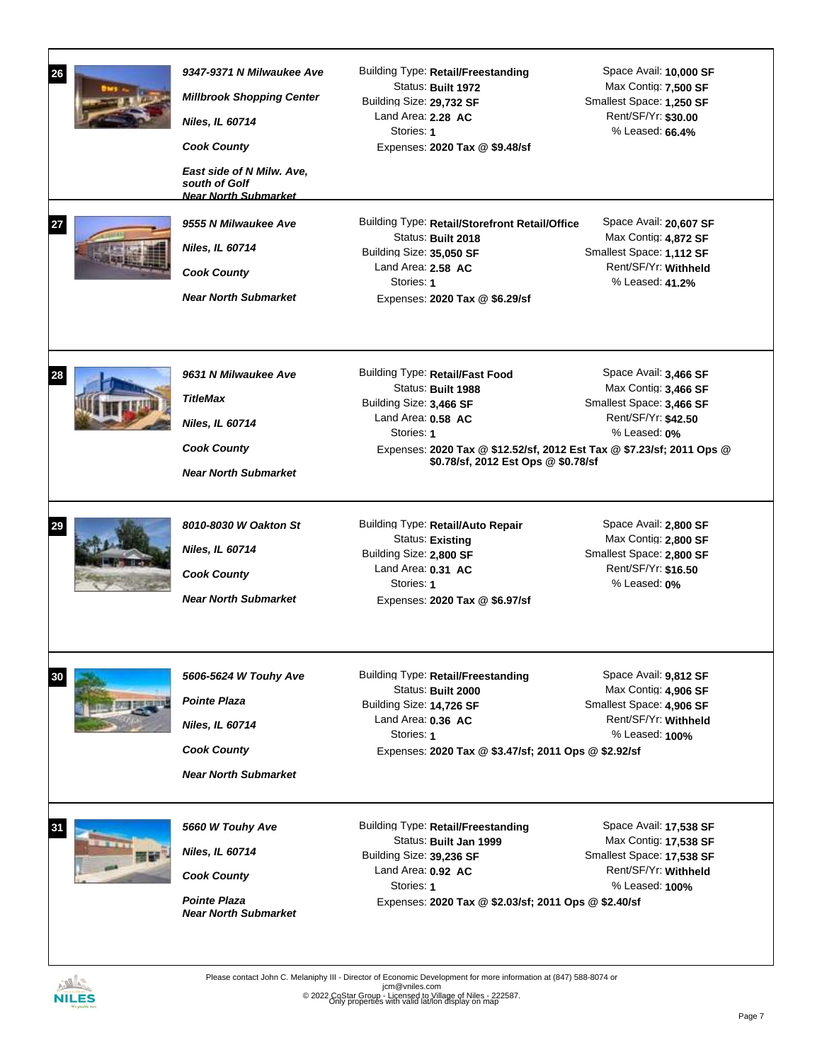| 26<br>27 | 9347-9371 N Milwaukee Ave<br><b>Millbrook Shopping Center</b><br><b>Niles, IL 60714</b><br><b>Cook County</b><br>East side of N Milw. Ave,<br>south of Golf<br><b>Near North Submarket</b><br>9555 N Milwaukee Ave<br>Niles, IL 60714<br><b>Cook County</b><br><b>Near North Submarket</b> | Building Type: Retail/Freestanding<br>Status: Built 1972<br>Building Size: 29,732 SF<br>Land Area: 2.28 AC<br>Stories: 1<br>Expenses: 2020 Tax @ \$9.48/sf<br>Building Type: Retail/Storefront Retail/Office<br>Status: Built 2018<br>Building Size: 35,050 SF<br>Land Area: 2.58 AC<br>Stories: 1<br>Expenses: 2020 Tax @ \$6.29/sf | Space Avail: 10,000 SF<br>Max Contig: 7,500 SF<br>Smallest Space: 1,250 SF<br>Rent/SF/Yr: \$30.00<br>% Leased: 66.4%<br>Space Avail: 20,607 SF<br>Max Contig: 4,872 SF<br>Smallest Space: 1,112 SF<br>Rent/SF/Yr: Withheld<br>% Leased: 41.2% |
|----------|--------------------------------------------------------------------------------------------------------------------------------------------------------------------------------------------------------------------------------------------------------------------------------------------|--------------------------------------------------------------------------------------------------------------------------------------------------------------------------------------------------------------------------------------------------------------------------------------------------------------------------------------|-----------------------------------------------------------------------------------------------------------------------------------------------------------------------------------------------------------------------------------------------|
| 28       | 9631 N Milwaukee Ave<br><b>TitleMax</b><br><b>Niles, IL 60714</b><br><b>Cook County</b><br><b>Near North Submarket</b>                                                                                                                                                                     | Building Type: Retail/Fast Food<br>Status: Built 1988<br>Building Size: 3,466 SF<br>Land Area: 0.58 AC<br>Stories: 1<br>Expenses: 2020 Tax @ \$12.52/sf, 2012 Est Tax @ \$7.23/sf; 2011 Ops @<br>\$0.78/sf, 2012 Est Ops @ \$0.78/sf                                                                                                 | Space Avail: 3,466 SF<br>Max Contig: 3,466 SF<br>Smallest Space: 3,466 SF<br>Rent/SF/Yr: \$42.50<br>% Leased: 0%                                                                                                                              |
|          | 8010-8030 W Oakton St<br><b>Niles, IL 60714</b><br><b>Cook County</b><br><b>Near North Submarket</b>                                                                                                                                                                                       | Building Type: Retail/Auto Repair<br>Status: Existing<br>Building Size: 2,800 SF<br>Land Area: 0.31 AC<br>Stories: 1<br>Expenses: 2020 Tax @ \$6.97/sf                                                                                                                                                                               | Space Avail: 2,800 SF<br>Max Contig: 2,800 SF<br>Smallest Space: 2,800 SF<br>Rent/SF/Yr: \$16.50<br>% Leased: 0%                                                                                                                              |
| 30       | 5606-5624 W Touhy Ave<br><b>Pointe Plaza</b><br>Niles, IL 60714<br><b>Cook County</b><br><b>Near North Submarket</b>                                                                                                                                                                       | Building Type: Retail/Freestanding<br>Status: Built 2000<br>Building Size: 14,726 SF<br>Land Area: $0.36$ AC<br>Stories: 1<br>Expenses: 2020 Tax @ \$3.47/sf; 2011 Ops @ \$2.92/sf                                                                                                                                                   | Space Avail: 9,812 SF<br>Max Contig: 4,906 SF<br>Smallest Space: 4,906 SF<br>Rent/SF/Yr: Withheld<br>% Leased: 100%                                                                                                                           |
|          | 5660 W Touhy Ave<br>Niles, IL 60714<br><b>Cook County</b><br><b>Pointe Plaza</b><br><b>Near North Submarket</b>                                                                                                                                                                            | <b>Building Type: Retail/Freestanding</b><br>Status: Built Jan 1999<br>Building Size: 39,236 SF<br>Land Area: 0.92 AC<br>Stories: 1<br>Expenses: 2020 Tax @ \$2.03/sf; 2011 Ops @ \$2.40/sf                                                                                                                                          | Space Avail: 17,538 SF<br>Max Contig: 17,538 SF<br>Smallest Space: 17,538 SF<br>Rent/SF/Yr: Withheld<br>% Leased: 100%                                                                                                                        |



 $\overline{\phantom{a}}$ 

Please contact John C. Melaniphy III - Director of Economic Development for more information at (847) 588-8074 or<br>jcm@vniles.com<br>© 2022 CoStar Group - Licensed to Village of Niles - 222587.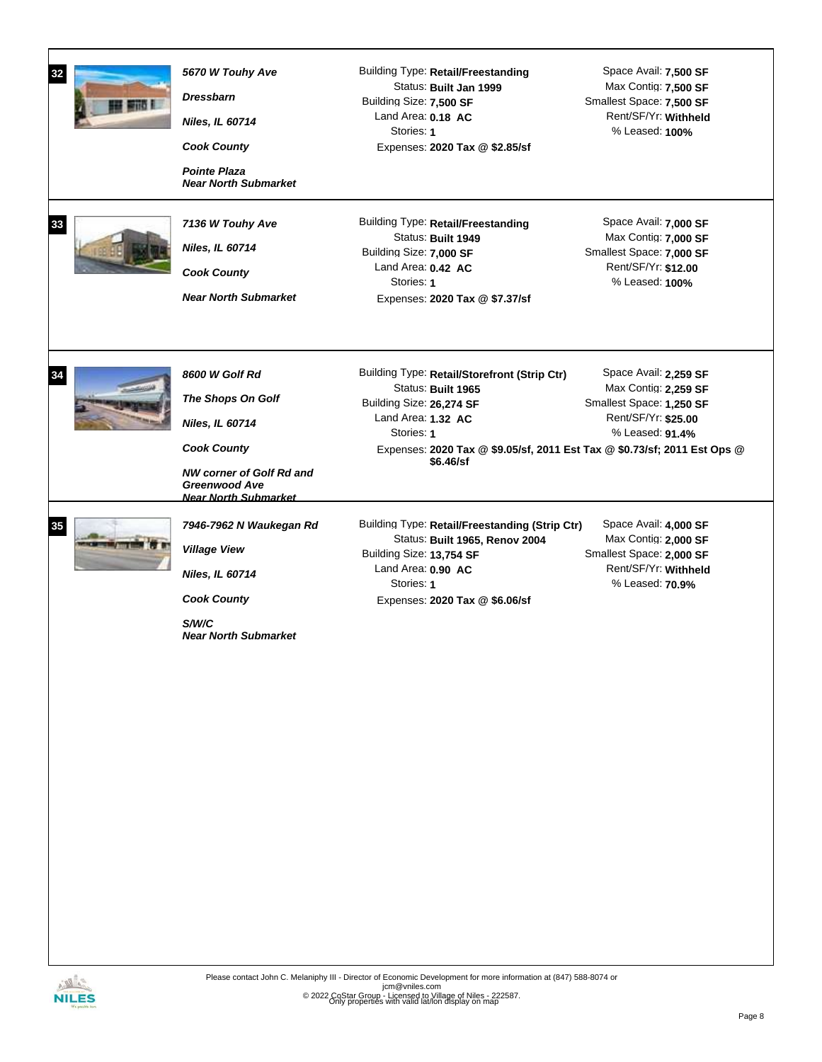| 32<br>33 | 5670 W Touhy Ave<br><b>Dressbarn</b><br><b>Niles, IL 60714</b><br><b>Cook County</b><br><b>Pointe Plaza</b><br><b>Near North Submarket</b><br>7136 W Touhy Ave<br>Niles, IL 60714<br><b>Cook County</b><br><b>Near North Submarket</b> | <b>Building Type: Retail/Freestanding</b><br>Status: Built Jan 1999<br>Building Size: 7,500 SF<br>Land Area: 0.18 AC<br>Stories: 1<br>Expenses: 2020 Tax @ \$2.85/sf<br>Building Type: Retail/Freestanding<br>Status: Built 1949<br>Building Size: 7,000 SF<br>Land Area: 0.42 AC<br>Stories: 1<br>Expenses: 2020 Tax @ \$7.37/sf | Space Avail: 7,500 SF<br>Max Contig: 7,500 SF<br>Smallest Space: 7,500 SF<br>Rent/SF/Yr: Withheld<br>% Leased: 100%<br>Space Avail: 7,000 SF<br>Max Contig: 7,000 SF<br>Smallest Space: 7,000 SF<br>Rent/SF/Yr: \$12.00<br>% Leased: 100% |
|----------|----------------------------------------------------------------------------------------------------------------------------------------------------------------------------------------------------------------------------------------|-----------------------------------------------------------------------------------------------------------------------------------------------------------------------------------------------------------------------------------------------------------------------------------------------------------------------------------|-------------------------------------------------------------------------------------------------------------------------------------------------------------------------------------------------------------------------------------------|
| 34       | 8600 W Golf Rd<br>The Shops On Golf<br><b>Niles, IL 60714</b><br><b>Cook County</b><br><b>NW corner of Golf Rd and</b><br><b>Greenwood Ave</b><br><b>Near North Submarket</b>                                                          | Building Type: Retail/Storefront (Strip Ctr)<br>Status: Built 1965<br>Building Size: 26,274 SF<br>Land Area: 1.32 AC<br>Stories: 1<br>Expenses: 2020 Tax @ \$9.05/sf, 2011 Est Tax @ \$0.73/sf; 2011 Est Ops @<br>\$6.46/sf                                                                                                       | Space Avail: 2,259 SF<br>Max Contig: 2,259 SF<br>Smallest Space: 1,250 SF<br>Rent/SF/Yr: \$25.00<br>% Leased: 91.4%                                                                                                                       |
| 35       | 7946-7962 N Waukegan Rd<br><b>Village View</b><br>Niles, IL 60714<br><b>Cook County</b><br>S/W/C<br><b>Near North Submarket</b>                                                                                                        | Building Type: Retail/Freestanding (Strip Ctr)<br>Status: Built 1965, Renov 2004<br>Building Size: 13,754 SF<br>Land Area: 0.90 AC<br>Stories: 1<br>Expenses: 2020 Tax @ \$6.06/sf                                                                                                                                                | Space Avail: 4,000 SF<br>Max Contig: 2,000 SF<br>Smallest Space: 2,000 SF<br>Rent/SF/Yr: Withheld<br>% Leased: 70.9%                                                                                                                      |

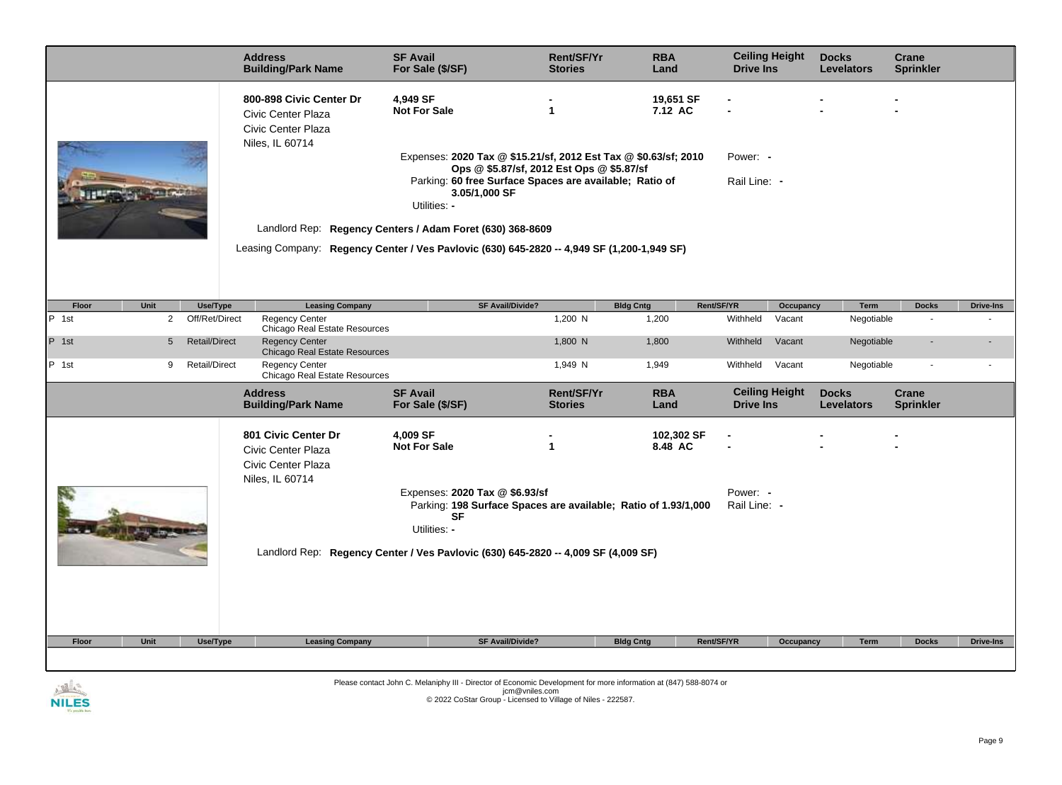|                                           | <b>Address</b><br><b>Building/Park Name</b>                                            | <b>SF Avail</b><br>For Sale (\$/SF)                                                                                                                                                                      | <b>Rent/SF/Yr</b><br><b>Stories</b> | <b>RBA</b><br>Land    | <b>Ceiling Height</b><br><b>Drive Ins</b> |              | <b>Docks</b><br><b>Levelators</b> | Crane<br><b>Sprinkler</b> |                  |
|-------------------------------------------|----------------------------------------------------------------------------------------|----------------------------------------------------------------------------------------------------------------------------------------------------------------------------------------------------------|-------------------------------------|-----------------------|-------------------------------------------|--------------|-----------------------------------|---------------------------|------------------|
|                                           | 800-898 Civic Center Dr<br>Civic Center Plaza<br>Civic Center Plaza<br>Niles, IL 60714 | 4,949 SF<br><b>Not For Sale</b>                                                                                                                                                                          | 1                                   | 19,651 SF<br>7.12 AC  |                                           |              |                                   |                           |                  |
|                                           |                                                                                        | Expenses: 2020 Tax @ \$15.21/sf, 2012 Est Tax @ \$0.63/sf; 2010<br>Ops @ \$5.87/sf, 2012 Est Ops @ \$5.87/sf<br>Parking: 60 free Surface Spaces are available; Ratio of<br>3.05/1,000 SF<br>Utilities: - |                                     |                       | Power: -<br>Rail Line: -                  |              |                                   |                           |                  |
|                                           |                                                                                        | Landlord Rep: Regency Centers / Adam Foret (630) 368-8609                                                                                                                                                |                                     |                       |                                           |              |                                   |                           |                  |
|                                           |                                                                                        | Leasing Company: Regency Center / Ves Pavlovic (630) 645-2820 -- 4,949 SF (1,200-1,949 SF)                                                                                                               |                                     |                       |                                           |              |                                   |                           |                  |
|                                           |                                                                                        |                                                                                                                                                                                                          |                                     |                       |                                           |              |                                   |                           |                  |
| Unit<br>Use/Type<br>Floor                 | <b>Leasing Company</b>                                                                 | <b>SF Avail/Divide?</b>                                                                                                                                                                                  |                                     | <b>Bldg Cntg</b>      | Rent/SF/YR                                | Occupancy    | Term                              | <b>Docks</b>              | <b>Drive-Ins</b> |
| P 1st<br>$\overline{2}$<br>Off/Ret/Direct | <b>Regency Center</b><br>Chicago Real Estate Resources                                 |                                                                                                                                                                                                          | 1,200 N                             | 1,200                 | Withheld                                  | Vacant       | Negotiable                        | $\overline{\phantom{a}}$  |                  |
| P 1st<br><b>Retail/Direct</b><br>5        | <b>Regency Center</b><br>Chicago Real Estate Resources                                 |                                                                                                                                                                                                          | 1,800 N                             | 1,800                 | Withheld                                  | Vacant       | Negotiable                        |                           |                  |
| P 1st<br>9<br><b>Retail/Direct</b>        | <b>Regency Center</b><br>Chicago Real Estate Resources                                 |                                                                                                                                                                                                          | 1,949 N                             | 1,949                 | Withheld                                  | Vacant       | Negotiable                        | $\sim$                    |                  |
|                                           | <b>Address</b><br><b>Building/Park Name</b>                                            | <b>SF Avail</b><br>For Sale (\$/SF)                                                                                                                                                                      | <b>Rent/SF/Yr</b><br><b>Stories</b> | <b>RBA</b><br>Land    | <b>Ceiling Height</b><br><b>Drive Ins</b> |              | <b>Docks</b><br><b>Levelators</b> | Crane<br><b>Sprinkler</b> |                  |
|                                           | 801 Civic Center Dr<br>Civic Center Plaza<br>Civic Center Plaza<br>Niles, IL 60714     | 4,009 SF<br><b>Not For Sale</b>                                                                                                                                                                          | 1                                   | 102,302 SF<br>8.48 AC |                                           |              |                                   |                           |                  |
|                                           |                                                                                        | Expenses: 2020 Tax @ \$6.93/sf<br>Parking: 198 Surface Spaces are available; Ratio of 1.93/1,000<br><b>SF</b><br>Utilities: -                                                                            |                                     |                       |                                           | Rail Line: - |                                   |                           |                  |
|                                           |                                                                                        | Landlord Rep: Regency Center / Ves Pavlovic (630) 645-2820 -- 4,009 SF (4,009 SF)                                                                                                                        |                                     |                       |                                           |              |                                   |                           |                  |
| Unit<br>Use/Type<br>Floor                 | <b>Leasing Company</b>                                                                 | <b>SF Avail/Divide?</b>                                                                                                                                                                                  |                                     | <b>Bldg Cntg</b>      | Rent/SF/YR                                | Occupancy    | <b>Term</b>                       | <b>Docks</b>              | <b>Drive-Ins</b> |
|                                           |                                                                                        |                                                                                                                                                                                                          |                                     |                       |                                           |              |                                   |                           |                  |

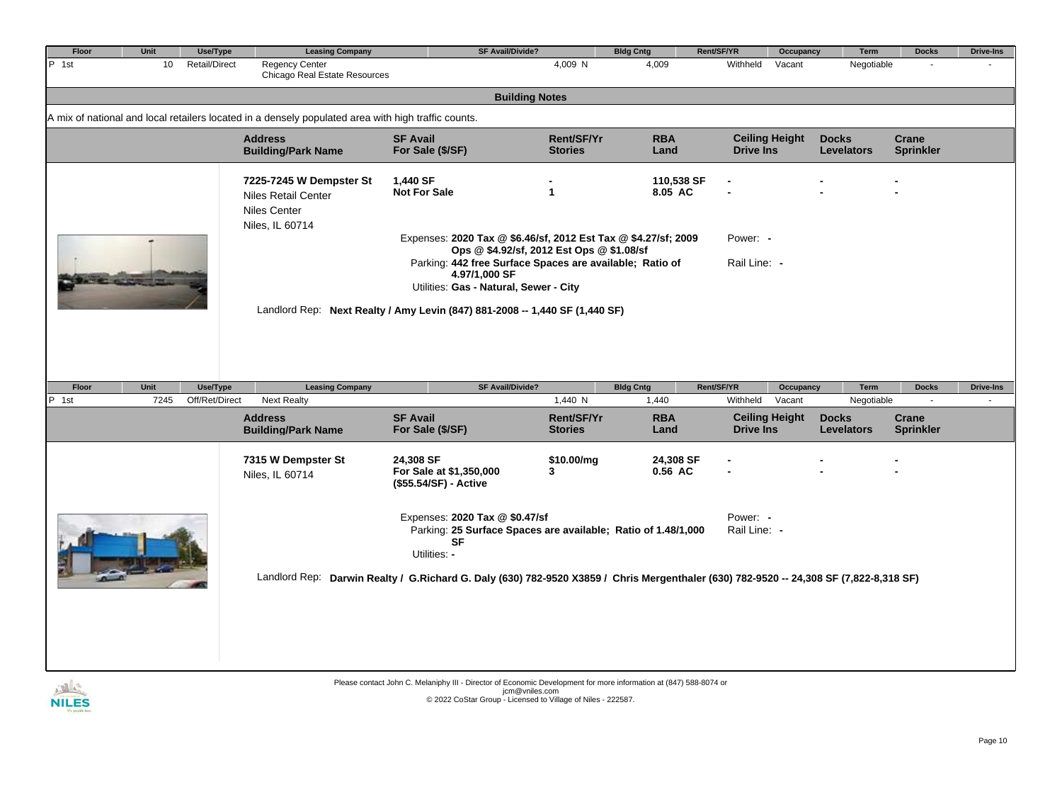| <b>Unit</b> | Use/Type | <b>Leasing Company</b>                                                                          |                                                               |                                                                                                                                      | <b>Bldg Cntg</b>                                                                                                                                        | Rent/SF/YR                                                                                                                                                                           |                                                                                                                                                                                  | Term                                                                                                                                           | <b>Docks</b>              | <b>Drive-Ins</b>                                                                                                                                                   |
|-------------|----------|-------------------------------------------------------------------------------------------------|---------------------------------------------------------------|--------------------------------------------------------------------------------------------------------------------------------------|---------------------------------------------------------------------------------------------------------------------------------------------------------|--------------------------------------------------------------------------------------------------------------------------------------------------------------------------------------|----------------------------------------------------------------------------------------------------------------------------------------------------------------------------------|------------------------------------------------------------------------------------------------------------------------------------------------|---------------------------|--------------------------------------------------------------------------------------------------------------------------------------------------------------------|
| 10          |          | <b>Regency Center</b>                                                                           |                                                               | 4,009 N                                                                                                                              | 4,009                                                                                                                                                   | Withheld                                                                                                                                                                             | Vacant                                                                                                                                                                           |                                                                                                                                                |                           |                                                                                                                                                                    |
|             |          |                                                                                                 |                                                               |                                                                                                                                      |                                                                                                                                                         |                                                                                                                                                                                      |                                                                                                                                                                                  |                                                                                                                                                |                           |                                                                                                                                                                    |
|             |          |                                                                                                 |                                                               |                                                                                                                                      |                                                                                                                                                         |                                                                                                                                                                                      |                                                                                                                                                                                  |                                                                                                                                                |                           |                                                                                                                                                                    |
|             |          | <b>Address</b><br><b>Building/Park Name</b>                                                     | <b>SF Avail</b><br>For Sale (\$/SF)                           | Rent/SF/Yr<br><b>Stories</b>                                                                                                         | <b>RBA</b><br>Land                                                                                                                                      |                                                                                                                                                                                      |                                                                                                                                                                                  | <b>Docks</b><br><b>Levelators</b>                                                                                                              | Crane<br><b>Sprinkler</b> |                                                                                                                                                                    |
|             |          | 7225-7245 W Dempster St<br><b>Niles Retail Center</b><br><b>Niles Center</b><br>Niles, IL 60714 | 1,440 SF<br><b>Not For Sale</b>                               | 1                                                                                                                                    |                                                                                                                                                         |                                                                                                                                                                                      |                                                                                                                                                                                  |                                                                                                                                                |                           |                                                                                                                                                                    |
|             |          |                                                                                                 | 4.97/1,000 SF                                                 |                                                                                                                                      |                                                                                                                                                         |                                                                                                                                                                                      |                                                                                                                                                                                  |                                                                                                                                                |                           |                                                                                                                                                                    |
| Unit        | Use/Type | <b>Leasing Company</b>                                                                          |                                                               |                                                                                                                                      | <b>Bldg Cntg</b>                                                                                                                                        | Rent/SF/YR                                                                                                                                                                           |                                                                                                                                                                                  | Term                                                                                                                                           | <b>Docks</b>              | <b>Drive-Ins</b>                                                                                                                                                   |
| 7245        |          | <b>Next Realty</b>                                                                              |                                                               | 1,440 N                                                                                                                              | 1,440                                                                                                                                                   | Withheld                                                                                                                                                                             | Vacant                                                                                                                                                                           |                                                                                                                                                | $\sim$                    |                                                                                                                                                                    |
|             |          | <b>Address</b><br><b>Building/Park Name</b>                                                     | <b>SF Avail</b><br>For Sale (\$/SF)                           | Rent/SF/Yr<br><b>Stories</b>                                                                                                         | <b>RBA</b><br>Land                                                                                                                                      |                                                                                                                                                                                      |                                                                                                                                                                                  | <b>Docks</b><br><b>Levelators</b>                                                                                                              | Crane<br><b>Sprinkler</b> |                                                                                                                                                                    |
|             |          | 7315 W Dempster St<br>Niles, IL 60714                                                           | 24,308 SF<br>For Sale at \$1,350,000<br>(\$55.54/SF) - Active | \$10.00/mg<br>3                                                                                                                      |                                                                                                                                                         |                                                                                                                                                                                      |                                                                                                                                                                                  |                                                                                                                                                |                           |                                                                                                                                                                    |
|             |          |                                                                                                 | <b>SF</b><br>Utilities: -                                     |                                                                                                                                      |                                                                                                                                                         |                                                                                                                                                                                      |                                                                                                                                                                                  |                                                                                                                                                |                           |                                                                                                                                                                    |
|             |          |                                                                                                 | <b>Retail/Direct</b><br>Off/Ret/Direct                        | Chicago Real Estate Resources<br>A mix of national and local retailers located in a densely populated area with high traffic counts. | <b>SF Avail/Divide?</b><br><b>Building Notes</b><br>Utilities: Gas - Natural, Sewer - City<br><b>SF Avail/Divide?</b><br>Expenses: 2020 Tax @ \$0.47/sf | Ops @ \$4.92/sf, 2012 Est Ops @ \$1.08/sf<br>Parking: 442 free Surface Spaces are available; Ratio of<br>Landlord Rep: Next Realty / Amy Levin (847) 881-2008 -- 1,440 SF (1,440 SF) | 110.538 SF<br>8.05 AC<br>Expenses: 2020 Tax @ \$6.46/sf, 2012 Est Tax @ \$4.27/sf; 2009<br>24,308 SF<br>0.56 AC<br>Parking: 25 Surface Spaces are available; Ratio of 1.48/1,000 | <b>Ceiling Height</b><br><b>Drive Ins</b><br>Power: -<br>Rail Line: -<br><b>Ceiling Height</b><br><b>Drive Ins</b><br>Power: -<br>Rail Line: - | Occupancy<br>Occupancy    | Negotiable<br>Negotiable<br>Landlord Rep: Darwin Realty / G.Richard G. Daly (630) 782-9520 X3859 / Chris Mergenthaler (630) 782-9520 -- 24,308 SF (7,822-8,318 SF) |

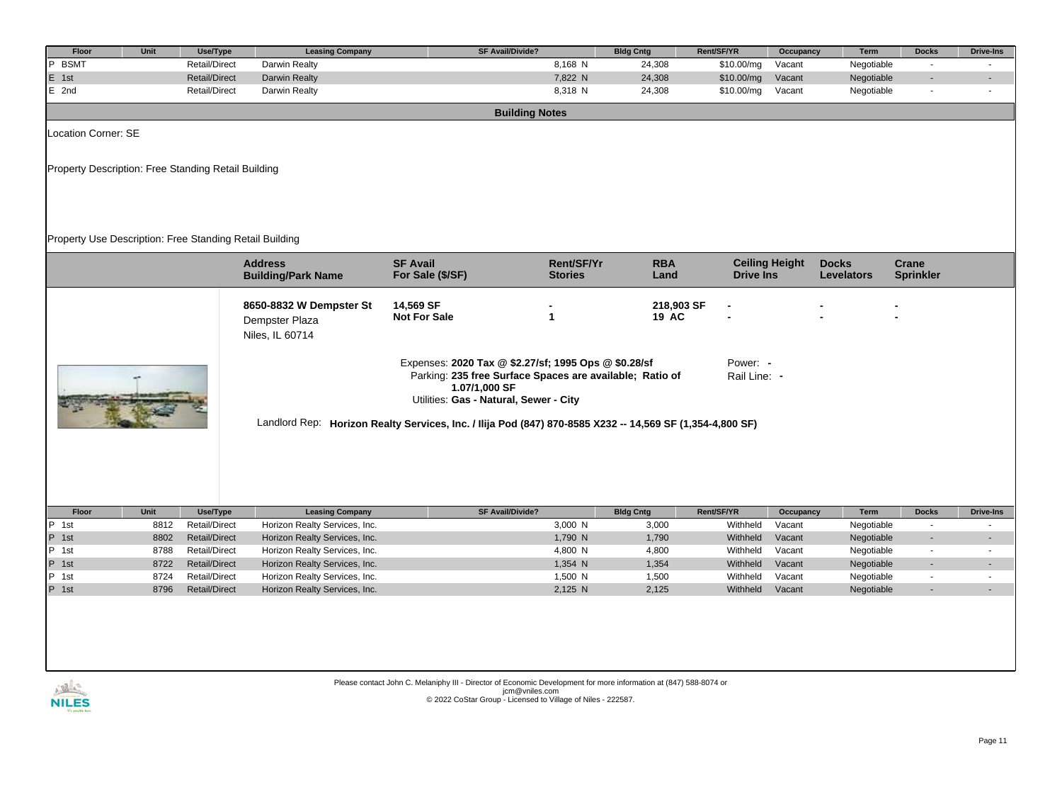| Floor                                                                                                     | Unit                                                    | Use/Type             | <b>Leasing Company</b>                                       | <b>SF Avail/Divide?</b>                                                                                                                                                     |                              | <b>Bldg Cntg</b>    | Rent/SF/YR               | Occupancy             | Term                              | <b>Docks</b>              | <b>Drive-Ins</b> |  |
|-----------------------------------------------------------------------------------------------------------|---------------------------------------------------------|----------------------|--------------------------------------------------------------|-----------------------------------------------------------------------------------------------------------------------------------------------------------------------------|------------------------------|---------------------|--------------------------|-----------------------|-----------------------------------|---------------------------|------------------|--|
| $\overline{P}$<br><b>BSMT</b>                                                                             |                                                         | Retail/Direct        | Darwin Realty                                                |                                                                                                                                                                             | 8,168 N                      | 24,308              | \$10.00/mg               | Vacant                | Negotiable                        | $\blacksquare$            |                  |  |
| E 1st                                                                                                     |                                                         | <b>Retail/Direct</b> | Darwin Realty                                                |                                                                                                                                                                             | 7,822 N                      | 24,308              | \$10.00/mg               | Vacant                | Negotiable                        |                           |                  |  |
| $E$ 2nd                                                                                                   |                                                         | <b>Retail/Direct</b> | Darwin Realty                                                |                                                                                                                                                                             | 8,318 N                      | 24,308              | \$10.00/mg               | Vacant                | Negotiable                        | $\blacksquare$            |                  |  |
|                                                                                                           |                                                         |                      |                                                              | <b>Building Notes</b>                                                                                                                                                       |                              |                     |                          |                       |                                   |                           |                  |  |
| Location Corner: SE                                                                                       |                                                         |                      |                                                              |                                                                                                                                                                             |                              |                     |                          |                       |                                   |                           |                  |  |
| Property Description: Free Standing Retail Building                                                       |                                                         |                      |                                                              |                                                                                                                                                                             |                              |                     |                          |                       |                                   |                           |                  |  |
|                                                                                                           | Property Use Description: Free Standing Retail Building |                      |                                                              |                                                                                                                                                                             |                              |                     |                          |                       |                                   |                           |                  |  |
|                                                                                                           |                                                         |                      | <b>Address</b><br><b>Building/Park Name</b>                  | <b>SF Avail</b><br>For Sale (\$/SF)                                                                                                                                         | Rent/SF/Yr<br><b>Stories</b> | <b>RBA</b><br>Land  | <b>Drive Ins</b>         | <b>Ceiling Height</b> | <b>Docks</b><br><b>Levelators</b> | Crane<br><b>Sprinkler</b> |                  |  |
|                                                                                                           |                                                         |                      | 8650-8832 W Dempster St<br>Dempster Plaza<br>Niles, IL 60714 | 14,569 SF<br><b>Not For Sale</b>                                                                                                                                            | 1                            | 218,903 SF<br>19 AC |                          |                       |                                   |                           |                  |  |
| Landlord Rep: Horizon Realty Services, Inc. / Ilija Pod (847) 870-8585 X232 -- 14,569 SF (1,354-4,800 SF) |                                                         |                      |                                                              | Expenses: 2020 Tax @ \$2.27/sf; 1995 Ops @ \$0.28/sf<br>Parking: 235 free Surface Spaces are available; Ratio of<br>1.07/1,000 SF<br>Utilities: Gas - Natural, Sewer - City |                              |                     | Power: -<br>Rail Line: - |                       |                                   |                           |                  |  |
| Floor                                                                                                     | Unit                                                    | Use/Type             | <b>Leasing Company</b>                                       | <b>SF Avail/Divide?</b>                                                                                                                                                     |                              | <b>Bldg Cntg</b>    | Rent/SF/YR               | Occupancy             | Term                              | <b>Docks</b>              | <b>Drive-Ins</b> |  |
| $\overline{P}$ 1st                                                                                        | 8812                                                    | <b>Retail/Direct</b> | Horizon Realty Services, Inc.                                |                                                                                                                                                                             | 3,000 N                      | 3,000               | Withheld                 | Vacant                | Negotiable                        | $\sim$                    | $\omega$         |  |
| P 1st                                                                                                     | 8802                                                    | <b>Retail/Direct</b> | Horizon Realty Services, Inc.                                |                                                                                                                                                                             | 1,790 N                      | 1,790               | Withheld                 | Vacant                | Negotiable                        | $\blacksquare$            |                  |  |
| P 1st                                                                                                     | 8788                                                    | <b>Retail/Direct</b> | Horizon Realty Services, Inc.                                |                                                                                                                                                                             | 4,800 N                      | 4,800               | Withheld                 | Vacant                | Negotiable                        | $\sim$                    | $\sim$           |  |
| P 1st                                                                                                     | 8722                                                    | <b>Retail/Direct</b> | Horizon Realty Services, Inc.                                |                                                                                                                                                                             | 1,354 N                      | 1,354               | Withheld                 | Vacant                | Negotiable                        |                           |                  |  |
| P 1st                                                                                                     | 8724                                                    | <b>Retail/Direct</b> | Horizon Realty Services, Inc.                                |                                                                                                                                                                             | 1,500 N                      | 1,500               | Withheld                 | Vacant                | Negotiable                        | $\blacksquare$<br>÷.      | $\sim$           |  |
| P 1st                                                                                                     | 8796                                                    | <b>Retail/Direct</b> | Horizon Realty Services, Inc.                                |                                                                                                                                                                             | 2,125 N                      | 2,125               | Withheld                 | Vacant                | Negotiable                        |                           |                  |  |
| $\sqrt{M}$                                                                                                |                                                         |                      |                                                              | Please contact John C. Melaniphy III - Director of Economic Development for more information at (847) 588-8074 or<br>icm@vnilos.com                                         |                              |                     |                          |                       |                                   |                           |                  |  |

**NILES**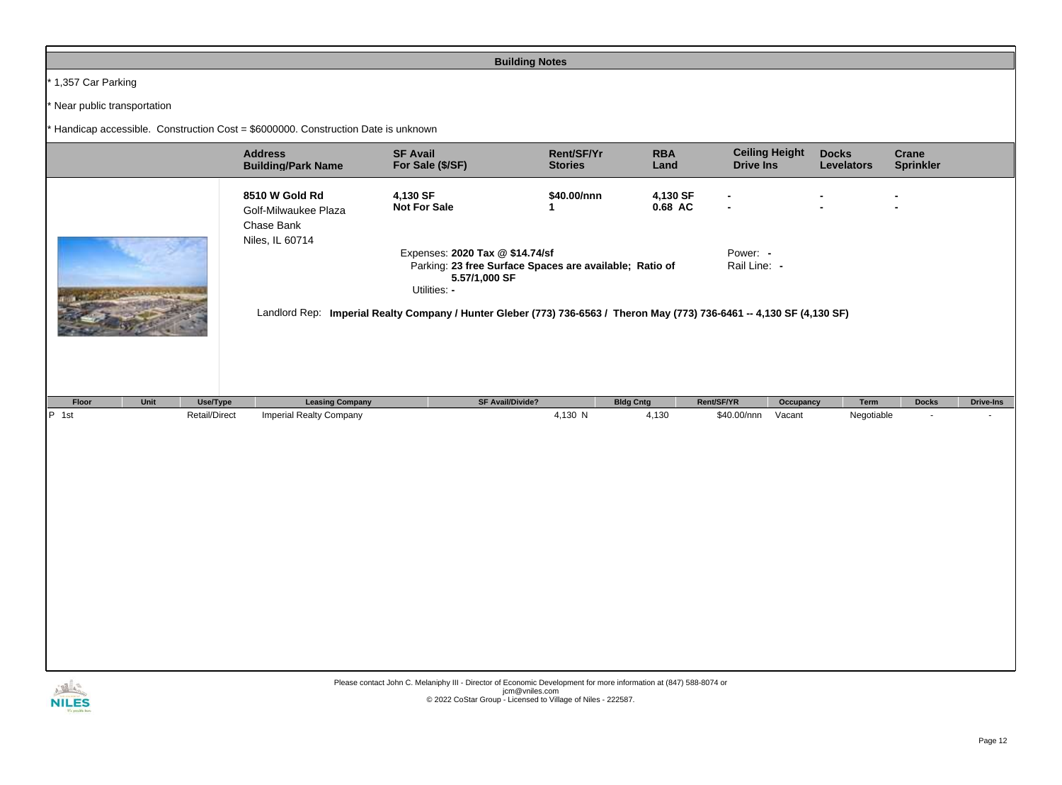## **Building Notes**

 $*$  1,357 Car Parking

\* Near public transportation

 $*$  Handicap accessible. Construction Cost = \$6000000. Construction Date is unknown

|                           | <b>Address</b><br><b>Building/Park Name</b>                                                                                                                                                                                                                                        | <b>SF Avail</b><br>For Sale (\$/SF) | Rent/SF/Yr<br><b>Stories</b> | <b>RBA</b><br>Land  | <b>Ceiling Height</b><br><b>Drive Ins</b> | <b>Docks</b><br><b>Levelators</b> | <b>Crane</b><br><b>Sprinkler</b> |                  |  |  |
|---------------------------|------------------------------------------------------------------------------------------------------------------------------------------------------------------------------------------------------------------------------------------------------------------------------------|-------------------------------------|------------------------------|---------------------|-------------------------------------------|-----------------------------------|----------------------------------|------------------|--|--|
|                           | 8510 W Gold Rd<br>Golf-Milwaukee Plaza<br>Chase Bank<br>Niles, IL 60714                                                                                                                                                                                                            | 4,130 SF<br><b>Not For Sale</b>     | \$40.00/nnn<br>1             | 4,130 SF<br>0.68 AC |                                           |                                   | $\blacksquare$                   |                  |  |  |
|                           | Power: -<br>Expenses: 2020 Tax @ \$14.74/sf<br>Rail Line: -<br>Parking: 23 free Surface Spaces are available; Ratio of<br>5.57/1,000 SF<br>Utilities: -<br>Landlord Rep: Imperial Realty Company / Hunter Gleber (773) 736-6563 / Theron May (773) 736-6461 -- 4,130 SF (4,130 SF) |                                     |                              |                     |                                           |                                   |                                  |                  |  |  |
| Unit<br>Use/Type<br>Floor | <b>Leasing Company</b>                                                                                                                                                                                                                                                             | <b>SF Avail/Divide?</b>             | <b>Bldg Cntg</b>             | Rent/SF/YR          | Occupancy                                 | Term                              | <b>Docks</b>                     | <b>Drive-Ins</b> |  |  |
| $P$ 1st<br>Retail/Direct  | <b>Imperial Realty Company</b>                                                                                                                                                                                                                                                     |                                     | 4,130 N                      | 4,130               | Vacant<br>\$40.00/nnn                     | Negotiable                        |                                  |                  |  |  |

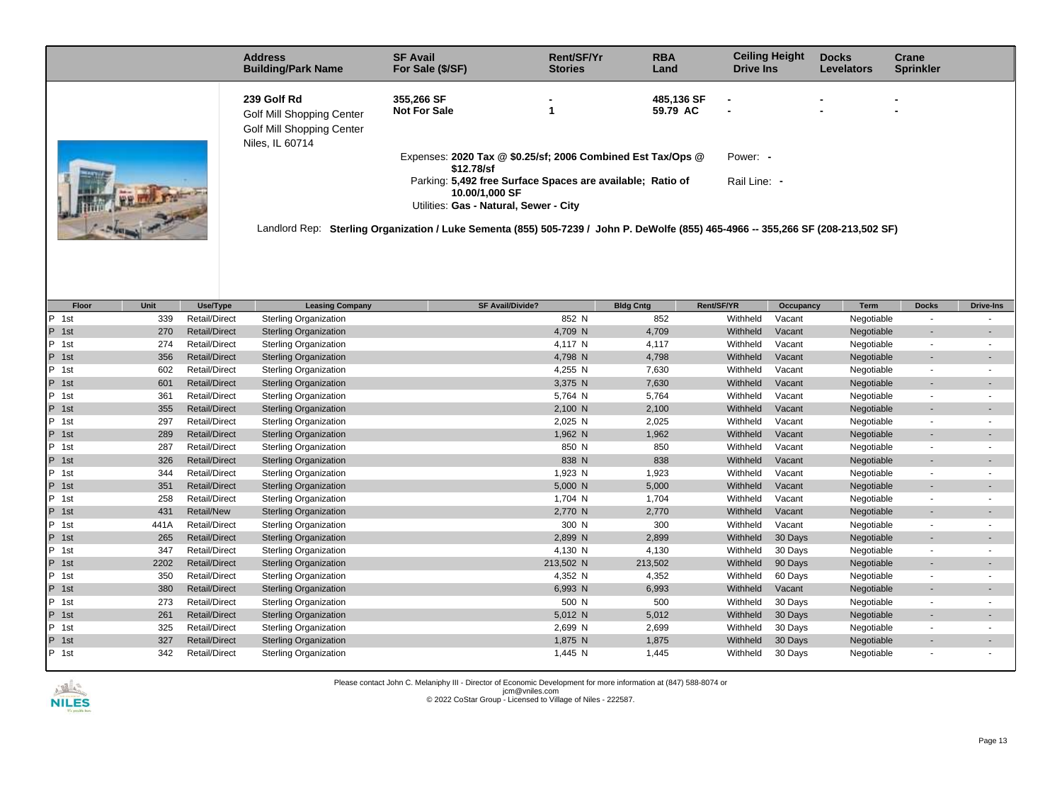|                            | <b>Address</b><br><b>Building/Park Name</b>                                                                                                                                                                                     | <b>SF Avail</b><br>For Sale (\$/SF) | Rent/SF/Yr<br><b>Stories</b> | <b>RBA</b><br>Land     | <b>Ceiling Height</b><br><b>Drive Ins</b> | <b>Docks</b><br><b>Levelators</b> | Crane<br><b>Sprinkler</b> |  |
|----------------------------|---------------------------------------------------------------------------------------------------------------------------------------------------------------------------------------------------------------------------------|-------------------------------------|------------------------------|------------------------|-------------------------------------------|-----------------------------------|---------------------------|--|
|                            | 239 Golf Rd<br>Golf Mill Shopping Center<br>Golf Mill Shopping Center<br>Niles, IL 60714                                                                                                                                        | 355,266 SF<br><b>Not For Sale</b>   |                              | 485.136 SF<br>59.79 AC |                                           |                                   |                           |  |
| <b>A ATTACHER TO STATE</b> | Expenses: 2020 Tax @ \$0.25/sf; 2006 Combined Est Tax/Ops @<br>Power: -<br>\$12,78/sf<br>Rail Line: -<br>Parking: 5,492 free Surface Spaces are available; Ratio of<br>10.00/1,000 SF<br>Utilities: Gas - Natural, Sewer - City |                                     |                              |                        |                                           |                                   |                           |  |
|                            | Landlord Rep: Sterling Organization / Luke Sementa (855) 505-7239 / John P. DeWolfe (855) 465-4966 -- 355,266 SF (208-213,502 SF)                                                                                               |                                     |                              |                        |                                           |                                   |                           |  |

| Floor               | Unit | Use/Type             | <b>Leasing Company</b>       | <b>SF Avail/Divide?</b> | <b>Bldg Cntg</b> | Rent/SF/YR | Occupancy | <b>Term</b> | <b>Docks</b>             | <b>Drive-Ins</b>         |
|---------------------|------|----------------------|------------------------------|-------------------------|------------------|------------|-----------|-------------|--------------------------|--------------------------|
| P<br>1st            | 339  | <b>Retail/Direct</b> | <b>Sterling Organization</b> | 852 N                   | 852              | Withheld   | Vacant    | Negotiable  |                          |                          |
| P<br>1st            | 270  | <b>Retail/Direct</b> | <b>Sterling Organization</b> | 4,709 N                 | 4,709            | Withheld   | Vacant    | Negotiable  |                          |                          |
| P<br>1st            | 274  | <b>Retail/Direct</b> | <b>Sterling Organization</b> | 4,117 N                 | 4,117            | Withheld   | Vacant    | Negotiable  |                          |                          |
| P.<br>1st           | 356  | <b>Retail/Direct</b> | <b>Sterling Organization</b> | 4,798 N                 | 4,798            | Withheld   | Vacant    | Negotiable  |                          |                          |
| P<br>1st            | 602  | <b>Retail/Direct</b> | <b>Sterling Organization</b> | 4,255 N                 | 7,630            | Withheld   | Vacant    | Negotiable  |                          |                          |
| P.<br>1st           | 601  | <b>Retail/Direct</b> | <b>Sterling Organization</b> | 3,375 N                 | 7,630            | Withheld   | Vacant    | Negotiable  |                          | $\blacksquare$           |
| P<br>1st            | 361  | <b>Retail/Direct</b> | <b>Sterling Organization</b> | 5,764 N                 | 5,764            | Withheld   | Vacant    | Negotiable  |                          |                          |
| P 1st               | 355  | <b>Retail/Direct</b> | <b>Sterling Organization</b> | 2,100 N                 | 2,100            | Withheld   | Vacant    | Negotiable  | $\overline{\phantom{a}}$ | $\overline{\phantom{a}}$ |
| P<br>1st            | 297  | <b>Retail/Direct</b> | <b>Sterling Organization</b> | 2,025 N                 | 2,025            | Withheld   | Vacant    | Negotiable  |                          |                          |
| P.<br>1st           | 289  | <b>Retail/Direct</b> | <b>Sterling Organization</b> | 1,962 N                 | 1,962            | Withheld   | Vacant    | Negotiable  | $\overline{\phantom{a}}$ | $\overline{\phantom{a}}$ |
| P.<br>1st           | 287  | <b>Retail/Direct</b> | <b>Sterling Organization</b> | 850 N                   | 850              | Withheld   | Vacant    | Negotiable  |                          |                          |
| P.<br>1st           | 326  | <b>Retail/Direct</b> | <b>Sterling Organization</b> | 838 N                   | 838              | Withheld   | Vacant    | Negotiable  |                          | $\overline{\phantom{a}}$ |
| P<br>1st            | 344  | <b>Retail/Direct</b> | <b>Sterling Organization</b> | 1,923 N                 | 1,923            | Withheld   | Vacant    | Negotiable  |                          |                          |
| P 1st               | 351  | <b>Retail/Direct</b> | <b>Sterling Organization</b> | 5,000 N                 | 5,000            | Withheld   | Vacant    | Negotiable  | $\overline{\phantom{a}}$ | $\blacksquare$           |
| P<br>1st            | 258  | <b>Retail/Direct</b> | <b>Sterling Organization</b> | 1,704 N                 | 1,704            | Withheld   | Vacant    | Negotiable  |                          |                          |
| P.<br>1st           | 431  | <b>Retail/New</b>    | <b>Sterling Organization</b> | 2,770 N                 | 2,770            | Withheld   | Vacant    | Negotiable  | $\overline{\phantom{a}}$ | $\overline{\phantom{a}}$ |
| P<br>1st            | 441A | <b>Retail/Direct</b> | <b>Sterling Organization</b> | 300 N                   | 300              | Withheld   | Vacant    | Negotiable  | $\overline{\phantom{a}}$ |                          |
| P.<br>1st           | 265  | <b>Retail/Direct</b> | <b>Sterling Organization</b> | 2,899 N                 | 2,899            | Withheld   | 30 Days   | Negotiable  |                          |                          |
| $\mathsf{P}$<br>1st | 347  | <b>Retail/Direct</b> | <b>Sterling Organization</b> | 4.130 N                 | 4,130            | Withheld   | 30 Days   | Negotiable  |                          |                          |
| P<br>1st            | 2202 | <b>Retail/Direct</b> | <b>Sterling Organization</b> | 213,502 N               | 213,502          | Withheld   | 90 Days   | Negotiable  |                          | $\overline{\phantom{a}}$ |
| P<br>1st            | 350  | <b>Retail/Direct</b> | <b>Sterling Organization</b> | 4,352 N                 | 4,352            | Withheld   | 60 Days   | Negotiable  |                          |                          |
| P.<br>1st           | 380  | <b>Retail/Direct</b> | <b>Sterling Organization</b> | 6,993 N                 | 6,993            | Withheld   | Vacant    | Negotiable  |                          |                          |
| P<br>1st            | 273  | <b>Retail/Direct</b> | <b>Sterling Organization</b> | 500 N                   | 500              | Withheld   | 30 Days   | Negotiable  |                          |                          |
| P<br>1st            | 261  | <b>Retail/Direct</b> | <b>Sterling Organization</b> | 5,012 N                 | 5,012            | Withheld   | 30 Days   | Negotiable  |                          | $\overline{\phantom{a}}$ |
| P<br>1st            | 325  | <b>Retail/Direct</b> | <b>Sterling Organization</b> | 2,699 N                 | 2,699            | Withheld   | 30 Days   | Negotiable  |                          |                          |
| P.<br>1st           | 327  | <b>Retail/Direct</b> | <b>Sterling Organization</b> | 1,875 N                 | 1,875            | Withheld   | 30 Days   | Negotiable  |                          | $\overline{\phantom{a}}$ |
| $\mathsf{P}$<br>1st | 342  | <b>Retail/Direct</b> | <b>Sterling Organization</b> | 1,445 N                 | 1,445            | Withheld   | 30 Days   | Negotiable  |                          |                          |

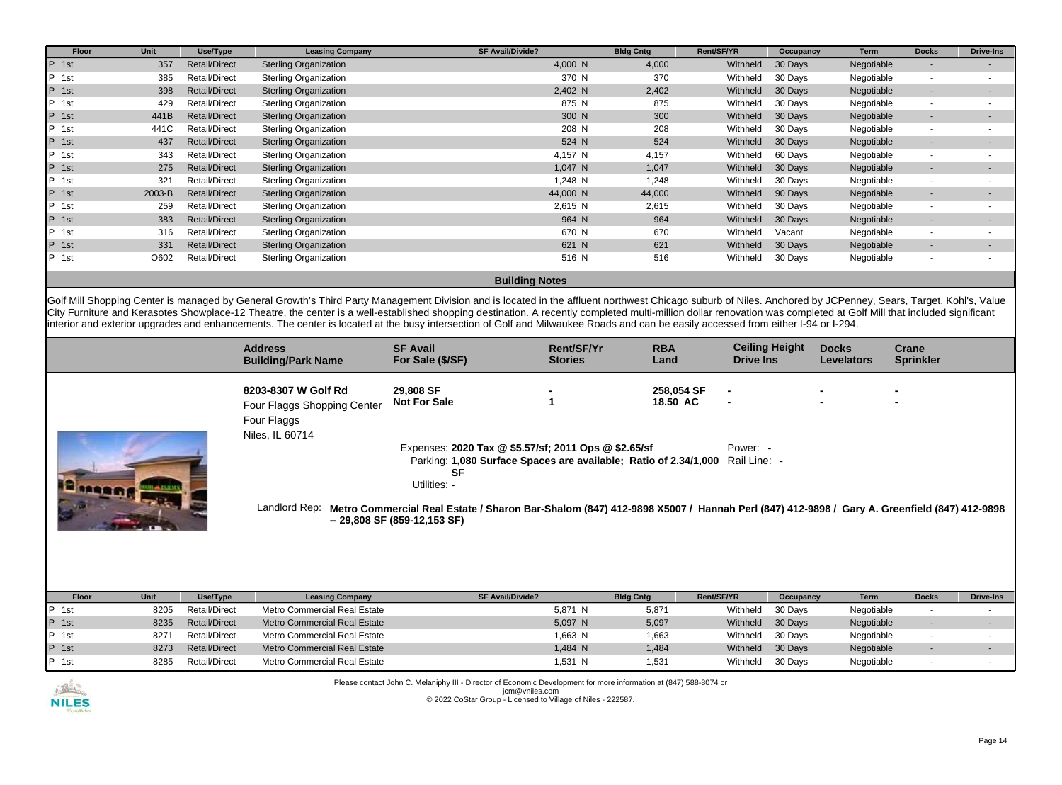| Floor           | Unit   | Use/Type             | <b>Leasing Company</b>       | <b>SF Avail/Divide?</b> | <b>Bldg Cntg</b> | Rent/SF/YR | Occupancy | Term       | <b>Docks</b>             | <b>Drive-Ins</b> |
|-----------------|--------|----------------------|------------------------------|-------------------------|------------------|------------|-----------|------------|--------------------------|------------------|
| P 1st           | 357    | <b>Retail/Direct</b> | <b>Sterling Organization</b> | 4,000 N                 | 4,000            | Withheld   | 30 Days   | Negotiable | ٠                        |                  |
| IP.<br>1st      | 385    | <b>Retail/Direct</b> | Sterling Organization        | 370 N                   | 370              | Withheld   | 30 Days   | Negotiable | $\sim$                   |                  |
| P 1st           | 398    | <b>Retail/Direct</b> | <b>Sterling Organization</b> | 2,402 N                 | 2,402            | Withheld   | 30 Days   | Negotiable | ۰.                       |                  |
| <b>P</b><br>1st | 429    | <b>Retail/Direct</b> | <b>Sterling Organization</b> | 875 N                   | 875              | Withheld   | 30 Days   | Negotiable | $\overline{a}$           |                  |
| P 1st           | 441B   | <b>Retail/Direct</b> | <b>Sterling Organization</b> | 300 N                   | 300              | Withheld   | 30 Days   | Negotiable | ۰.                       |                  |
| IP.<br>1st      | 441C   | <b>Retail/Direct</b> | <b>Sterling Organization</b> | 208 N                   | 208              | Withheld   | 30 Days   | Negotiable | $\sim$                   |                  |
| $P$ 1st         | 437    | <b>Retail/Direct</b> | <b>Sterling Organization</b> | 524 N                   | 524              | Withheld   | 30 Days   | Negotiable | ۰.                       |                  |
| P 1st           | 343    | <b>Retail/Direct</b> | <b>Sterling Organization</b> | 4,157 N                 | 4,157            | Withheld   | 60 Days   | Negotiable | $\overline{\phantom{a}}$ |                  |
| $P$ 1st         | 275    | <b>Retail/Direct</b> | <b>Sterling Organization</b> | 1,047 N                 | 1,047            | Withheld   | 30 Days   | Negotiable | ۰.                       |                  |
| <b>P</b><br>1st | 321    | <b>Retail/Direct</b> | <b>Sterling Organization</b> | 1,248 N                 | 1,248            | Withheld   | 30 Days   | Negotiable | $\sim$                   |                  |
| P<br>1st        | 2003-B | <b>Retail/Direct</b> | <b>Sterling Organization</b> | 44,000 N                | 44,000           | Withheld   | 90 Days   | Negotiable | ۰.                       |                  |
| IP.<br>1st      | 259    | <b>Retail/Direct</b> | <b>Sterling Organization</b> | 2,615 N                 | 2,615            | Withheld   | 30 Days   | Negotiable | $\sim$                   |                  |
| P<br>1st        | 383    | <b>Retail/Direct</b> | <b>Sterling Organization</b> | 964 N                   | 964              | Withheld   | 30 Days   | Negotiable | ۰.                       |                  |
| IP.<br>1st      | 316    | <b>Retail/Direct</b> | <b>Sterling Organization</b> | 670 N                   | 670              | Withheld   | Vacant    | Negotiable | $\sim$                   |                  |
| P<br>1st        | 331    | <b>Retail/Direct</b> | <b>Sterling Organization</b> | 621 N                   | 621              | Withheld   | 30 Days   | Negotiable |                          |                  |
| IP.<br>1st      | O602   | <b>Retail/Direct</b> | <b>Sterling Organization</b> | 516 N                   | 516              | Withheld   | 30 Days   | Negotiable | $\overline{\phantom{a}}$ |                  |
|                 |        |                      |                              | <b>Building Notes</b>   |                  |            |           |            |                          |                  |

Golf Mill Shopping Center is managed by General Growth's Third Party Management Division and is located in the affluent northwest Chicago suburb of Niles. Anchored by JCPenney, Sears, Target, Kohl's, Value City Furniture and Kerasotes Showplace-12 Theatre, the center is a well-established shopping destination. A recently completed multi-million dollar renovation was completed at Golf Mill that included significant interior and exterior upgrades and enhancements. The center is located at the busy intersection of Golf and Milwaukee Roads and can be easily accessed from either I-94 or I-294.

|       |      |                      | <b>Address</b><br><b>Building/Park Name</b>                                                           | <b>SF Avail</b><br>For Sale (\$/SF)                                                                                                                                                                                                                                                                                                                                              | Rent/SF/Yr<br><b>Stories</b> | <b>RBA</b><br>Land     | <b>Drive Ins</b> | <b>Ceiling Height</b> | <b>Docks</b><br><b>Levelators</b> | Crane<br><b>Sprinkler</b> |                  |
|-------|------|----------------------|-------------------------------------------------------------------------------------------------------|----------------------------------------------------------------------------------------------------------------------------------------------------------------------------------------------------------------------------------------------------------------------------------------------------------------------------------------------------------------------------------|------------------------------|------------------------|------------------|-----------------------|-----------------------------------|---------------------------|------------------|
|       |      |                      | 8203-8307 W Golf Rd<br>Four Flaggs Shopping Center<br>Four Flaggs<br>Niles, IL 60714<br>Landlord Rep: | 29,808 SF<br><b>Not For Sale</b><br>Expenses: 2020 Tax @ \$5.57/sf; 2011 Ops @ \$2.65/sf<br>Parking: 1,080 Surface Spaces are available; Ratio of 2.34/1,000 Rail Line: -<br><b>SF</b><br>Utilities: -<br>Metro Commercial Real Estate / Sharon Bar-Shalom (847) 412-9898 X5007 / Hannah Perl (847) 412-9898 / Gary A. Greenfield (847) 412-9898<br>-- 29,808 SF (859-12,153 SF) |                              | 258,054 SF<br>18.50 AC | Power: -         |                       |                                   |                           |                  |
| Floor | Unit | Use/Type             | <b>Leasing Company</b>                                                                                | <b>SF Avail/Divide?</b>                                                                                                                                                                                                                                                                                                                                                          |                              | <b>Bldg Cntg</b>       | Rent/SF/YR       | Occupancy             | Term                              | <b>Docks</b>              | <b>Drive-Ins</b> |
| P 1st | 8205 | <b>Retail/Direct</b> | Metro Commercial Real Estate                                                                          |                                                                                                                                                                                                                                                                                                                                                                                  | 5,871 N                      | 5,871                  | Withheld         | 30 Days               | Negotiable                        | $\overline{\phantom{a}}$  |                  |
| P 1st | 8235 | <b>Retail/Direct</b> | <b>Metro Commercial Real Estate</b>                                                                   |                                                                                                                                                                                                                                                                                                                                                                                  | 5,097 N                      | 5,097                  | Withheld         | 30 Days               | Negotiable                        | $\sim$                    |                  |
| P 1st | 8271 | <b>Retail/Direct</b> | Metro Commercial Real Estate                                                                          |                                                                                                                                                                                                                                                                                                                                                                                  | 1,663 N                      | 1,663                  | Withheld         | 30 Days               | Negotiable                        | $\sim$                    |                  |
| P 1st | 8273 | <b>Retail/Direct</b> | <b>Metro Commercial Real Estate</b>                                                                   |                                                                                                                                                                                                                                                                                                                                                                                  | 1,484 N                      | 1,484                  | Withheld         | 30 Days               | Negotiable                        | $\sim$                    |                  |
| P 1st | 8285 | <b>Retail/Direct</b> | Metro Commercial Real Estate                                                                          |                                                                                                                                                                                                                                                                                                                                                                                  | 1,531 N                      | 1,531                  | Withheld         | 30 Days               | Negotiable                        |                           |                  |

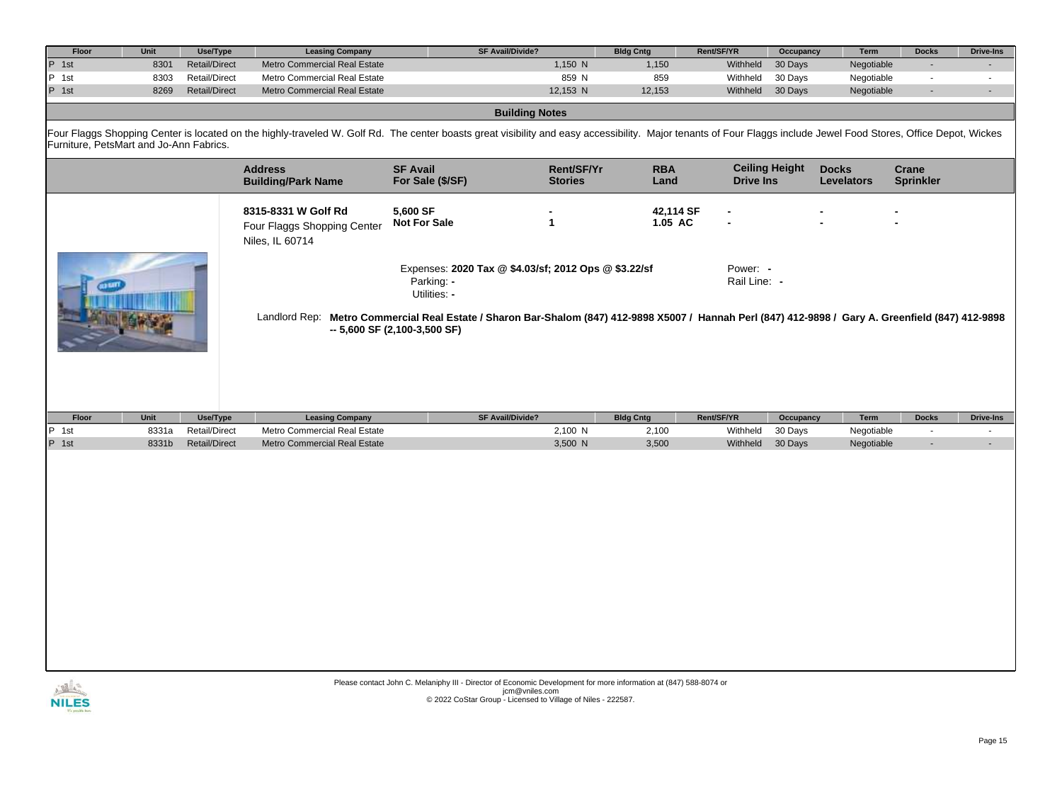| Floor                                   | Unit          | Use/Type                  | <b>Leasing Company</b>                                                | <b>SF Avail/Divide?</b>                                                                                                                                                                                           |                              | <b>Bldg Cntg</b>          | Rent/SF/YR               | Occupancy             | <b>Term</b>                       | <b>Docks</b>              | <b>Drive-Ins</b> |
|-----------------------------------------|---------------|---------------------------|-----------------------------------------------------------------------|-------------------------------------------------------------------------------------------------------------------------------------------------------------------------------------------------------------------|------------------------------|---------------------------|--------------------------|-----------------------|-----------------------------------|---------------------------|------------------|
| $P$ 1st                                 | 8301          | <b>Retail/Direct</b>      | Metro Commercial Real Estate                                          |                                                                                                                                                                                                                   | 1,150 N                      | 1,150                     | Withheld                 | 30 Days               | Negotiable                        | $\blacksquare$            |                  |
| P 1st                                   | 8303          | <b>Retail/Direct</b>      | Metro Commercial Real Estate                                          |                                                                                                                                                                                                                   | 859 N                        | 859                       | Withheld                 | 30 Days               | Negotiable                        | $\blacksquare$            | $\blacksquare$   |
| P 1st                                   | 8269          | <b>Retail/Direct</b>      | Metro Commercial Real Estate                                          |                                                                                                                                                                                                                   | 12,153 N                     | 12,153                    | Withheld                 | 30 Days               | Negotiable                        | $\blacksquare$            | $\blacksquare$   |
|                                         |               |                           |                                                                       | <b>Building Notes</b>                                                                                                                                                                                             |                              |                           |                          |                       |                                   |                           |                  |
| Furniture, PetsMart and Jo-Ann Fabrics. |               |                           |                                                                       | Four Flaggs Shopping Center is located on the highly-traveled W. Golf Rd. The center boasts great visibility and easy accessibility. Major tenants of Four Flaggs include Jewel Food Stores, Office Depot, Wickes |                              |                           |                          |                       |                                   |                           |                  |
|                                         |               |                           | <b>Address</b><br><b>Building/Park Name</b>                           | <b>SF Avail</b><br>For Sale (\$/SF)                                                                                                                                                                               | Rent/SF/Yr<br><b>Stories</b> | <b>RBA</b><br>Land        | <b>Drive Ins</b>         | <b>Ceiling Height</b> | <b>Docks</b><br><b>Levelators</b> | Crane<br><b>Sprinkler</b> |                  |
|                                         |               |                           | 8315-8331 W Golf Rd<br>Four Flaggs Shopping Center<br>Niles, IL 60714 | 5,600 SF<br><b>Not For Sale</b><br>$\mathbf{1}$                                                                                                                                                                   |                              | 42,114 SF<br>1.05 AC      |                          |                       |                                   |                           |                  |
|                                         |               |                           |                                                                       | Expenses: 2020 Tax @ \$4.03/sf; 2012 Ops @ \$3.22/sf<br>Parking: -<br>Utilities: -                                                                                                                                |                              |                           | Power: -<br>Rail Line: - |                       |                                   |                           |                  |
|                                         |               |                           |                                                                       | Landlord Rep: Metro Commercial Real Estate / Sharon Bar-Shalom (847) 412-9898 X5007 / Hannah Perl (847) 412-9898 / Gary A. Greenfield (847) 412-9898<br>$-5,600$ SF (2,100-3,500 SF)                              |                              |                           |                          |                       |                                   |                           |                  |
|                                         |               |                           |                                                                       |                                                                                                                                                                                                                   |                              |                           |                          |                       |                                   |                           |                  |
| Floor                                   | Unit<br>8331a | Use/Type<br>Retail/Direct | <b>Leasing Company</b><br>Metro Commercial Real Estate                | <b>SF Avail/Divide?</b>                                                                                                                                                                                           | 2,100 N                      | <b>Bldg Cntg</b><br>2,100 | Rent/SF/YR<br>Withheld   | Occupancy<br>30 Days  | Term<br>Negotiable                | <b>Docks</b><br>$\sim$    | <b>Drive-Ins</b> |
| P 1st<br>P 1st                          | 8331b         | <b>Retail/Direct</b>      | Metro Commercial Real Estate                                          |                                                                                                                                                                                                                   | 3,500 N                      | 3,500                     | Withheld                 | 30 Days               | Negotiable                        | $\blacksquare$            | $\blacksquare$   |
|                                         |               |                           |                                                                       |                                                                                                                                                                                                                   |                              |                           |                          |                       |                                   |                           |                  |

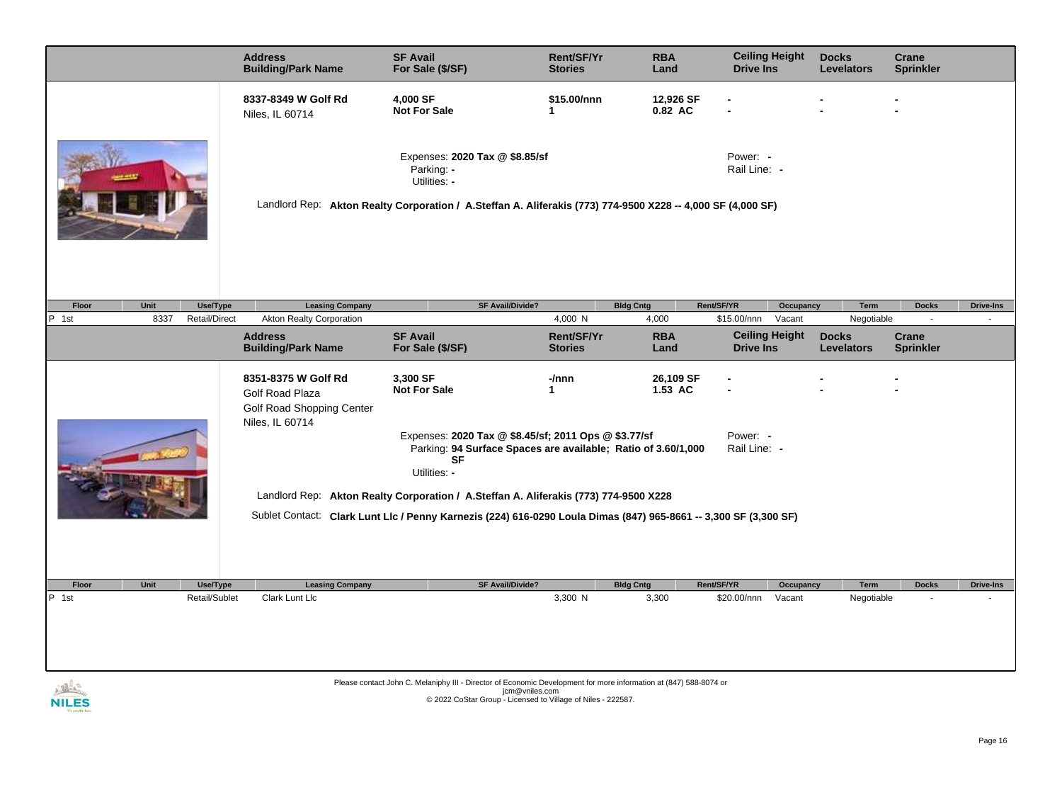|                                       | <b>Address</b><br><b>Building/Park Name</b>                                            | <b>SF Avail</b><br>For Sale (\$/SF)                                                                                                                                         | Rent/SF/Yr<br><b>Stories</b>                   | <b>RBA</b><br>Land          | <b>Ceiling Height</b><br><b>Drive Ins</b> |                                 | <b>Docks</b><br><b>Levelators</b>               | Crane<br><b>Sprinkler</b>                 |                  |
|---------------------------------------|----------------------------------------------------------------------------------------|-----------------------------------------------------------------------------------------------------------------------------------------------------------------------------|------------------------------------------------|-----------------------------|-------------------------------------------|---------------------------------|-------------------------------------------------|-------------------------------------------|------------------|
|                                       | 8337-8349 W Golf Rd<br>Niles, IL 60714                                                 | 4,000 SF<br><b>Not For Sale</b>                                                                                                                                             | \$15.00/nnn<br>$\mathbf 1$                     | 12,926 SF<br>0.82 AC        |                                           |                                 |                                                 |                                           |                  |
|                                       |                                                                                        | Expenses: 2020 Tax @ \$8.85/sf<br>Parking: -<br>Utilities: -<br>Landlord Rep: Akton Realty Corporation / A.Steffan A. Aliferakis (773) 774-9500 X228 -- 4,000 SF (4,000 SF) |                                                |                             | Power: -<br>Rail Line: -                  |                                 |                                                 |                                           |                  |
|                                       |                                                                                        |                                                                                                                                                                             |                                                |                             |                                           |                                 |                                                 |                                           |                  |
| Floor<br>Unit<br>Use/Type             | <b>Leasing Company</b>                                                                 | <b>SF Avail/Divide?</b>                                                                                                                                                     |                                                | <b>Bldg Cntg</b>            | Rent/SF/YR                                | Occupancy                       | Term                                            | <b>Docks</b>                              | <b>Drive-Ins</b> |
| P 1st<br>8337<br><b>Retail/Direct</b> | <b>Akton Realty Corporation</b><br><b>Address</b><br><b>Building/Park Name</b>         | <b>SF Avail</b><br>For Sale (\$/SF)                                                                                                                                         | 4,000 N<br><b>Rent/SF/Yr</b><br><b>Stories</b> | 4,000<br><b>RBA</b><br>Land | \$15.00/nnn<br><b>Drive Ins</b>           | Vacant<br><b>Ceiling Height</b> | Negotiable<br><b>Docks</b><br><b>Levelators</b> | $\mathbf{r}$<br>Crane<br><b>Sprinkler</b> |                  |
|                                       | 8351-8375 W Golf Rd<br>Golf Road Plaza<br>Golf Road Shopping Center<br>Niles, IL 60714 | 3,300 SF<br><b>Not For Sale</b>                                                                                                                                             | -/nnn<br>$\mathbf{1}$                          | 26,109 SF<br>1.53 AC        |                                           |                                 |                                                 |                                           |                  |
|                                       |                                                                                        | Expenses: 2020 Tax @ \$8.45/sf; 2011 Ops @ \$3.77/sf<br>Parking: 94 Surface Spaces are available; Ratio of 3.60/1,000<br><b>SF</b><br>Utilities: -                          |                                                |                             | Power: -<br>Rail Line: -                  |                                 |                                                 |                                           |                  |
|                                       |                                                                                        | Landlord Rep: Akton Realty Corporation / A.Steffan A. Aliferakis (773) 774-9500 X228                                                                                        |                                                |                             |                                           |                                 |                                                 |                                           |                  |
|                                       |                                                                                        | Sublet Contact: Clark Lunt Llc / Penny Karnezis (224) 616-0290 Loula Dimas (847) 965-8661 -- 3,300 SF (3,300 SF)                                                            |                                                |                             |                                           |                                 |                                                 |                                           |                  |
| Floor<br>Unit                         | <b>Leasing Company</b>                                                                 | <b>SF Avail/Divide?</b>                                                                                                                                                     |                                                | <b>Bldg Cntg</b>            | Rent/SF/YR                                | Occupancy                       | Term                                            | <b>Docks</b>                              | <b>Drive-Ins</b> |
| Use/Type<br>P 1st<br>Retail/Sublet    | Clark Lunt Llc                                                                         |                                                                                                                                                                             | 3,300 N                                        | 3,300                       | \$20.00/nnn                               | Vacant                          | Negotiable                                      |                                           |                  |
|                                       |                                                                                        |                                                                                                                                                                             |                                                |                             |                                           |                                 |                                                 |                                           |                  |

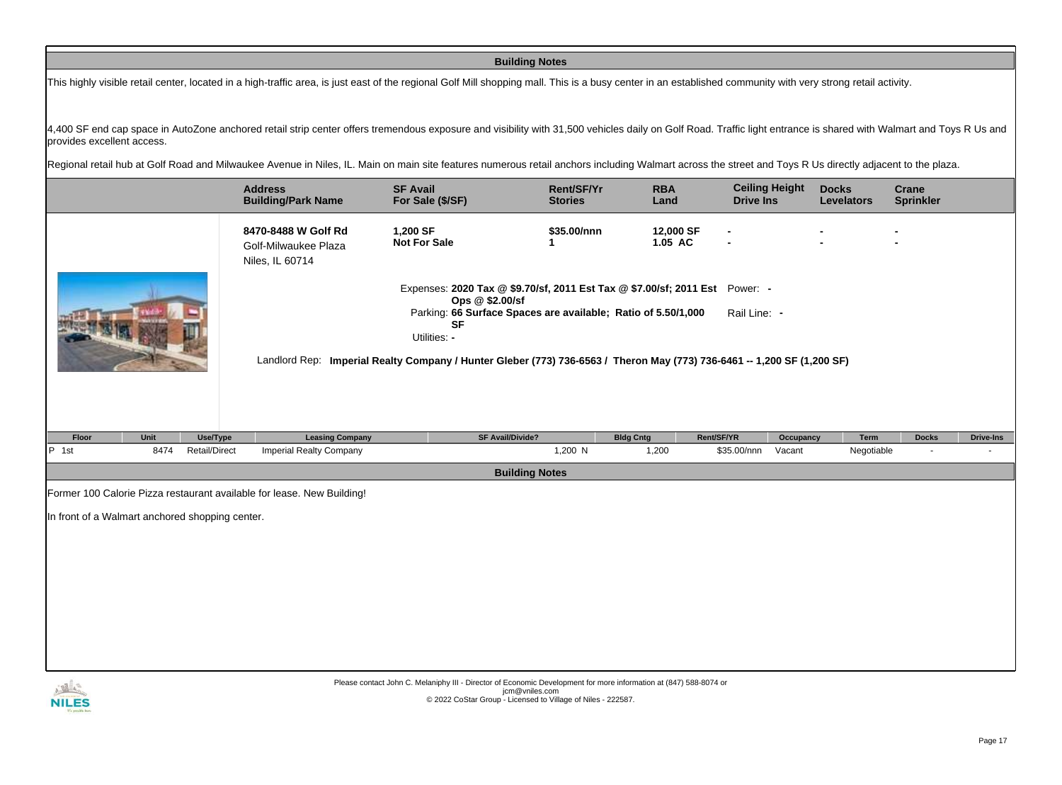## **Building Notes**

This highly visible retail center, located in a high-traffic area, is just east of the regional Golf Mill shopping mall. This is a busy center in an established community with very strong retail activity.

4,400 SF end cap space in AutoZone anchored retail strip center offers tremendous exposure and visibility with 31,500 vehicles daily on Golf Road. Traffic light entrance is shared with Walmart and Toys R Us and provides excellent access.

Regional retail hub at Golf Road and Milwaukee Avenue in Niles, IL. Main on main site features numerous retail anchors including Walmart across the street and Toys R Us directly adjacent to the plaza.

|                                                 |      |                      | <b>Address</b><br><b>Building/Park Name</b>                            | <b>SF Avail</b><br>For Sale (\$/SF)                                                                                                                                                                                                                                                                                     | Rent/SF/Yr<br><b>Stories</b> | <b>RBA</b><br>Land   | <b>Drive Ins</b> | <b>Ceiling Height</b> | <b>Docks</b><br><b>Levelators</b> | Crane<br><b>Sprinkler</b> |                  |
|-------------------------------------------------|------|----------------------|------------------------------------------------------------------------|-------------------------------------------------------------------------------------------------------------------------------------------------------------------------------------------------------------------------------------------------------------------------------------------------------------------------|------------------------------|----------------------|------------------|-----------------------|-----------------------------------|---------------------------|------------------|
|                                                 |      |                      | 8470-8488 W Golf Rd<br>Golf-Milwaukee Plaza<br>Niles, IL 60714         | 1,200 SF<br><b>Not For Sale</b>                                                                                                                                                                                                                                                                                         | \$35.00/nnn                  | 12,000 SF<br>1.05 AC |                  |                       |                                   |                           |                  |
|                                                 |      |                      |                                                                        | Expenses: 2020 Tax @ \$9.70/sf, 2011 Est Tax @ \$7.00/sf; 2011 Est Power: -<br>Ops @ \$2.00/sf<br>Parking: 66 Surface Spaces are available; Ratio of 5.50/1,000<br><b>SF</b><br>Utilities: -<br>Landlord Rep: Imperial Realty Company / Hunter Gleber (773) 736-6563 / Theron May (773) 736-6461 -- 1,200 SF (1,200 SF) |                              |                      | Rail Line: -     |                       |                                   |                           |                  |
| Floor                                           | Unit | Use/Type             | <b>Leasing Company</b>                                                 | SF Avail/Divide?                                                                                                                                                                                                                                                                                                        |                              | <b>Bldg Cntg</b>     | Rent/SF/YR       | Occupancy             | Term                              | <b>Docks</b>              | <b>Drive-Ins</b> |
| $P$ 1st                                         | 8474 | <b>Retail/Direct</b> | <b>Imperial Realty Company</b>                                         |                                                                                                                                                                                                                                                                                                                         | 1,200 N                      | 1,200                | \$35.00/nnn      | Vacant                | Negotiable                        | $\sim$                    |                  |
|                                                 |      |                      |                                                                        |                                                                                                                                                                                                                                                                                                                         | <b>Building Notes</b>        |                      |                  |                       |                                   |                           |                  |
| In front of a Walmart anchored shopping center. |      |                      | Former 100 Calorie Pizza restaurant available for lease. New Building! |                                                                                                                                                                                                                                                                                                                         |                              |                      |                  |                       |                                   |                           |                  |
|                                                 |      |                      |                                                                        |                                                                                                                                                                                                                                                                                                                         |                              |                      |                  |                       |                                   |                           |                  |

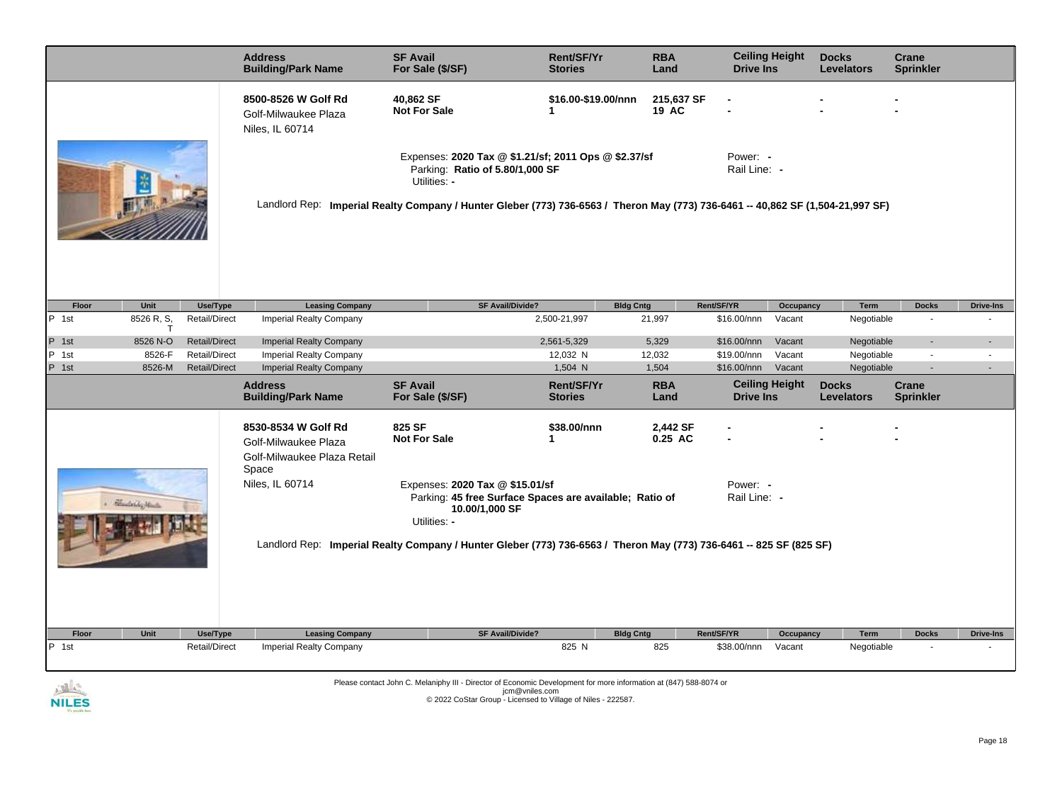|       |              |                      | <b>Address</b><br><b>Building/Park Name</b>                                         | <b>SF Avail</b><br>For Sale (\$/SF)                                                                                                                                                                                                        | <b>Rent/SF/Yr</b><br><b>Stories</b> | <b>RBA</b><br>Land  | <b>Ceiling Height</b><br><b>Drive Ins</b> |           | <b>Docks</b><br><b>Levelators</b> | <b>Crane</b><br><b>Sprinkler</b> |                  |
|-------|--------------|----------------------|-------------------------------------------------------------------------------------|--------------------------------------------------------------------------------------------------------------------------------------------------------------------------------------------------------------------------------------------|-------------------------------------|---------------------|-------------------------------------------|-----------|-----------------------------------|----------------------------------|------------------|
|       |              |                      | 8500-8526 W Golf Rd<br>Golf-Milwaukee Plaza<br>Niles, IL 60714                      | 40,862 SF<br><b>Not For Sale</b>                                                                                                                                                                                                           | \$16.00-\$19.00/nnn<br>1            | 215,637 SF<br>19 AC |                                           |           |                                   |                                  |                  |
|       |              |                      |                                                                                     | Expenses: 2020 Tax @ \$1.21/sf; 2011 Ops @ \$2.37/sf<br>Parking: Ratio of 5.80/1,000 SF<br>Utilities: -<br>Landlord Rep: Imperial Realty Company / Hunter Gleber (773) 736-6563 / Theron May (773) 736-6461 -- 40,862 SF (1,504-21,997 SF) |                                     |                     | Power: -<br>Rail Line: -                  |           |                                   |                                  |                  |
| Floor | Unit         | Use/Type             | <b>Leasing Company</b>                                                              | SF Avail/Divide?                                                                                                                                                                                                                           |                                     | <b>Bldg Cntg</b>    | Rent/SF/YR                                | Occupancy | <b>Term</b>                       | <b>Docks</b>                     | <b>Drive-Ins</b> |
| P 1st | 8526 R, S,   | Retail/Direct        | <b>Imperial Realty Company</b>                                                      |                                                                                                                                                                                                                                            | 2,500-21,997                        | 21,997              | \$16.00/nnn                               | Vacant    | Negotiable                        | $\blacksquare$                   |                  |
|       | $\mathsf{T}$ |                      |                                                                                     |                                                                                                                                                                                                                                            |                                     |                     |                                           |           |                                   |                                  |                  |
| P 1st | 8526 N-O     | <b>Retail/Direct</b> | <b>Imperial Realty Company</b>                                                      |                                                                                                                                                                                                                                            | 2,561-5,329                         | 5,329               | \$16.00/nnn                               | Vacant    | Negotiable                        | $\blacksquare$                   |                  |
| P 1st | 8526-F       | <b>Retail/Direct</b> | <b>Imperial Realty Company</b>                                                      |                                                                                                                                                                                                                                            | 12,032 N                            | 12,032              | \$19.00/nnn                               | Vacant    | Negotiable                        | $\overline{\phantom{a}}$         | $\blacksquare$   |
| P 1st | 8526-M       | <b>Retail/Direct</b> | <b>Imperial Realty Company</b>                                                      |                                                                                                                                                                                                                                            | 1,504 N                             | 1,504               | \$16.00/nnn                               | Vacant    | Negotiable                        | $\blacksquare$                   | $\overline{a}$   |
|       |              |                      | <b>Address</b><br><b>Building/Park Name</b>                                         | <b>SF Avail</b><br>For Sale (\$/SF)                                                                                                                                                                                                        | <b>Rent/SF/Yr</b><br><b>Stories</b> | <b>RBA</b><br>Land  | <b>Ceiling Height</b><br><b>Drive Ins</b> |           | <b>Docks</b><br><b>Levelators</b> | Crane<br><b>Sprinkler</b>        |                  |
|       |              |                      | 8530-8534 W Golf Rd<br>Golf-Milwaukee Plaza<br>Golf-Milwaukee Plaza Retail<br>Space | 825 SF<br><b>Not For Sale</b>                                                                                                                                                                                                              | \$38.00/nnn<br>1                    | 2,442 SF<br>0.25 AC |                                           |           |                                   |                                  |                  |
|       | Mandaldo Man |                      | Niles, IL 60714                                                                     | Expenses: 2020 Tax @ \$15.01/sf<br>Parking: 45 free Surface Spaces are available; Ratio of<br>10.00/1,000 SF<br>Utilities: -                                                                                                               |                                     |                     | Power: -<br>Rail Line: -                  |           |                                   |                                  |                  |
|       |              |                      |                                                                                     | Landlord Rep: Imperial Realty Company / Hunter Gleber (773) 736-6563 / Theron May (773) 736-6461 -- 825 SF (825 SF)                                                                                                                        |                                     |                     |                                           |           |                                   |                                  |                  |
| Floor | Unit         | Use/Type             | <b>Leasing Company</b>                                                              | <b>SF Avail/Divide?</b>                                                                                                                                                                                                                    |                                     | <b>Bldg Cntg</b>    | Rent/SF/YR                                | Occupancy | Term                              | <b>Docks</b>                     | <b>Drive-Ins</b> |
| P 1st |              | <b>Retail/Direct</b> | <b>Imperial Realty Company</b>                                                      |                                                                                                                                                                                                                                            | 825 N                               | 825                 | \$38.00/nnn                               | Vacant    | Negotiable                        |                                  |                  |

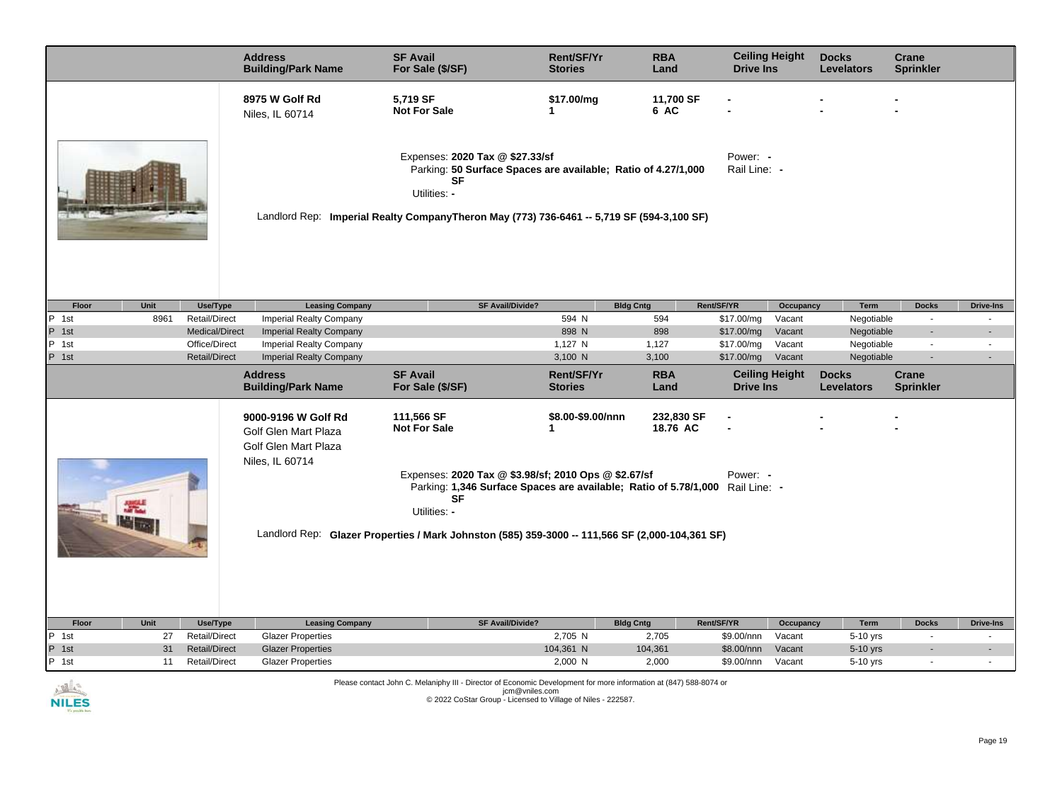|                                                                         | <b>Address</b><br><b>Building/Park Name</b>                                            | <b>SF Avail</b><br>For Sale (\$/SF)                                                                                                                                                                                                                                   | Rent/SF/Yr<br><b>Stories</b> | <b>RBA</b><br>Land     | <b>Ceiling Height</b><br><b>Drive Ins</b> |                     | <b>Docks</b><br><b>Levelators</b> | Crane<br><b>Sprinkler</b> |                          |
|-------------------------------------------------------------------------|----------------------------------------------------------------------------------------|-----------------------------------------------------------------------------------------------------------------------------------------------------------------------------------------------------------------------------------------------------------------------|------------------------------|------------------------|-------------------------------------------|---------------------|-----------------------------------|---------------------------|--------------------------|
|                                                                         | 8975 W Golf Rd<br>Niles, IL 60714                                                      | 5,719 SF<br><b>Not For Sale</b>                                                                                                                                                                                                                                       | \$17.00/mg<br>1              | 11,700 SF<br>6 AC      |                                           |                     |                                   |                           |                          |
|                                                                         |                                                                                        | Expenses: 2020 Tax @ \$27.33/sf<br>Parking: 50 Surface Spaces are available; Ratio of 4.27/1,000<br><b>SF</b><br>Utilities: -<br>Landlord Rep: Imperial Realty CompanyTheron May (773) 736-6461 -- 5,719 SF (594-3,100 SF)                                            |                              |                        | Power: -<br>Rail Line: -                  |                     |                                   |                           |                          |
| Unit                                                                    |                                                                                        | <b>SF Avail/Divide?</b>                                                                                                                                                                                                                                               |                              |                        |                                           |                     |                                   |                           |                          |
| Use/Type<br>Floor<br>$\overline{P}$ 1st<br>8961<br><b>Retail/Direct</b> | <b>Leasing Company</b><br><b>Imperial Realty Company</b>                               |                                                                                                                                                                                                                                                                       | <b>Bldg Cntg</b><br>594 N    | 594                    | Rent/SF/YR<br>\$17.00/mg                  | Occupancy<br>Vacant | Term<br>Negotiable                | <b>Docks</b><br>$\sim$    | <b>Drive-Ins</b>         |
| P 1st<br>Medical/Direct                                                 | <b>Imperial Realty Company</b>                                                         |                                                                                                                                                                                                                                                                       | 898 N                        | 898                    | \$17.00/mg                                | Vacant              | Negotiable                        |                           |                          |
| P 1st<br>Office/Direct                                                  | Imperial Realty Company                                                                |                                                                                                                                                                                                                                                                       | 1,127 N                      | 1,127                  | \$17.00/mg                                | Vacant              | Negotiable                        | $\sim$                    |                          |
| P 1st<br><b>Retail/Direct</b>                                           | <b>Imperial Realty Company</b>                                                         |                                                                                                                                                                                                                                                                       | 3,100 N                      | 3,100                  | \$17.00/mg                                | Vacant              | Negotiable                        | $\blacksquare$            |                          |
|                                                                         | <b>Address</b><br><b>Building/Park Name</b>                                            | <b>SF Avail</b><br>For Sale (\$/SF)                                                                                                                                                                                                                                   | Rent/SF/Yr<br><b>Stories</b> | <b>RBA</b><br>Land     | <b>Ceiling Height</b><br><b>Drive Ins</b> |                     | <b>Docks</b><br><b>Levelators</b> | Crane<br><b>Sprinkler</b> |                          |
|                                                                         | 9000-9196 W Golf Rd<br>Golf Glen Mart Plaza<br>Golf Glen Mart Plaza<br>Niles, IL 60714 | 111,566 SF<br><b>Not For Sale</b>                                                                                                                                                                                                                                     | \$8.00-\$9.00/nnn<br>1       | 232,830 SF<br>18.76 AC |                                           |                     |                                   |                           |                          |
|                                                                         |                                                                                        | Expenses: 2020 Tax @ \$3.98/sf; 2010 Ops @ \$2.67/sf<br>Parking: 1,346 Surface Spaces are available; Ratio of 5.78/1,000 Rail Line: -<br><b>SF</b><br>Utilities: -<br>Landlord Rep: Glazer Properties / Mark Johnston (585) 359-3000 -- 111,566 SF (2,000-104,361 SF) |                              |                        | Power: -                                  |                     |                                   |                           |                          |
|                                                                         |                                                                                        |                                                                                                                                                                                                                                                                       |                              |                        |                                           |                     |                                   |                           |                          |
| Floor<br>Unit<br>Use/Type                                               | <b>Leasing Company</b>                                                                 | <b>SF Avail/Divide?</b>                                                                                                                                                                                                                                               | <b>Bldg Cntg</b>             |                        | Rent/SF/YR                                | Occupancy           | Term                              | <b>Docks</b>              | <b>Drive-Ins</b>         |
| P 1st<br><b>Retail/Direct</b><br>27                                     | <b>Glazer Properties</b>                                                               |                                                                                                                                                                                                                                                                       | 2,705 N                      | 2,705                  | \$9.00/nnn                                | Vacant              | 5-10 yrs                          | $\sim$                    |                          |
| P 1st<br>31<br><b>Retail/Direct</b>                                     | <b>Glazer Properties</b>                                                               |                                                                                                                                                                                                                                                                       | 104,361 N                    | 104,361                | \$8.00/nnn                                | Vacant              | 5-10 yrs                          |                           | $\blacksquare$           |
| P 1st<br><b>Retail/Direct</b><br>11                                     | <b>Glazer Properties</b>                                                               |                                                                                                                                                                                                                                                                       | 2,000 N                      | 2,000                  | \$9.00/nnn                                | Vacant              | 5-10 yrs                          | $\overline{\phantom{a}}$  | $\overline{\phantom{a}}$ |

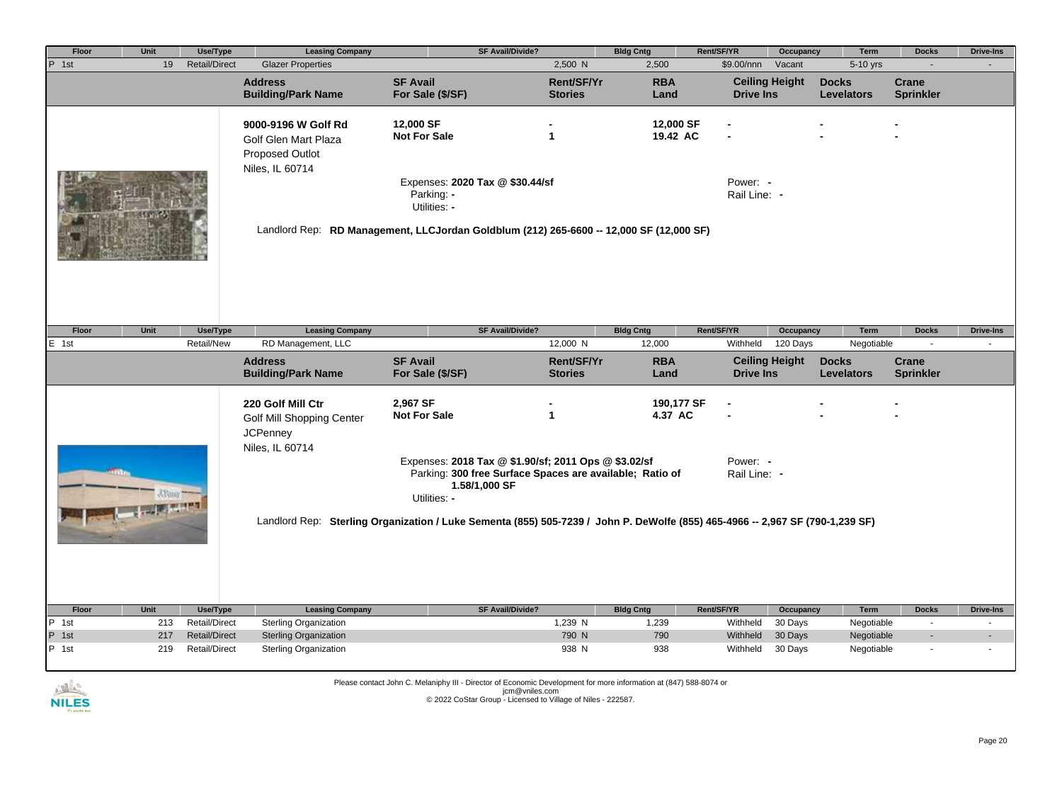| Floor | Unit | Use/Type             | <b>Leasing Company</b>                                                                   | <b>SF Avail/Divide?</b>                                                                                                                                                                      |                              | <b>Bldg Cntg</b>      | Rent/SF/YR               | Occupancy             | Term                              | <b>Docks</b>              | <b>Drive-Ins</b> |
|-------|------|----------------------|------------------------------------------------------------------------------------------|----------------------------------------------------------------------------------------------------------------------------------------------------------------------------------------------|------------------------------|-----------------------|--------------------------|-----------------------|-----------------------------------|---------------------------|------------------|
| P 1st | 19   | <b>Retail/Direct</b> | <b>Glazer Properties</b>                                                                 |                                                                                                                                                                                              | 2,500 N                      | 2,500                 | \$9.00/nnn               | Vacant                | 5-10 yrs                          | $\blacksquare$            |                  |
|       |      |                      | <b>Address</b><br><b>Building/Park Name</b>                                              | <b>SF Avail</b><br>For Sale (\$/SF)                                                                                                                                                          | Rent/SF/Yr<br><b>Stories</b> | <b>RBA</b><br>Land    | <b>Drive Ins</b>         | <b>Ceiling Height</b> | <b>Docks</b><br><b>Levelators</b> | Crane<br><b>Sprinkler</b> |                  |
|       |      |                      | 9000-9196 W Golf Rd<br>Golf Glen Mart Plaza<br><b>Proposed Outlot</b><br>Niles, IL 60714 | 12,000 SF<br><b>Not For Sale</b><br>Expenses: 2020 Tax @ \$30.44/sf<br>Parking: -<br>Utilities: -<br>Landlord Rep: RD Management, LLCJordan Goldblum (212) 265-6600 -- 12,000 SF (12,000 SF) | $\mathbf{1}$                 | 12,000 SF<br>19.42 AC | Power: -<br>Rail Line: - |                       |                                   |                           |                  |
| Floor | Unit | Use/Type             | <b>Leasing Company</b>                                                                   | <b>SF Avail/Divide?</b>                                                                                                                                                                      |                              | <b>Bldg Cntg</b>      | Rent/SF/YR               | Occupancy             | <b>Term</b>                       | <b>Docks</b>              | <b>Drive-Ins</b> |
| E 1st |      | Retail/New           | RD Management, LLC                                                                       |                                                                                                                                                                                              | 12,000 N                     | 12,000                | Withheld                 | 120 Days              | Negotiable                        | $\sim$                    |                  |
|       |      |                      | <b>Address</b><br><b>Building/Park Name</b>                                              | <b>SF Avail</b><br>For Sale (\$/SF)                                                                                                                                                          | Rent/SF/Yr<br><b>Stories</b> | <b>RBA</b><br>Land    | <b>Drive Ins</b>         | <b>Ceiling Height</b> | <b>Docks</b><br><b>Levelators</b> | Crane<br><b>Sprinkler</b> |                  |
|       |      |                      | 220 Golf Mill Ctr<br>Golf Mill Shopping Center<br><b>JCPenney</b>                        | 2.967 SF<br><b>Not For Sale</b>                                                                                                                                                              | $\mathbf{1}$                 | 190,177 SF<br>4.37 AC |                          |                       |                                   |                           |                  |
|       |      |                      | Niles, IL 60714                                                                          | Expenses: 2018 Tax @ \$1.90/sf; 2011 Ops @ \$3.02/sf<br>Parking: 300 free Surface Spaces are available; Ratio of<br>1.58/1,000 SF<br>Utilities: -                                            |                              |                       | Power: -<br>Rail Line: - |                       |                                   |                           |                  |
|       |      |                      |                                                                                          | Landlord Rep: Sterling Organization / Luke Sementa (855) 505-7239 / John P. DeWolfe (855) 465-4966 -- 2,967 SF (790-1,239 SF)                                                                |                              |                       |                          |                       |                                   |                           |                  |
|       |      |                      |                                                                                          |                                                                                                                                                                                              |                              |                       |                          |                       |                                   |                           |                  |
| Floor | Unit | Use/Type             | <b>Leasing Company</b>                                                                   | <b>SF Avail/Divide?</b>                                                                                                                                                                      |                              | <b>Bldg Cntg</b>      | Rent/SF/YR               | Occupancy             | <b>Term</b>                       | <b>Docks</b>              | <b>Drive-Ins</b> |
| P 1st | 213  | <b>Retail/Direct</b> | Sterling Organization                                                                    |                                                                                                                                                                                              | 1,239 N                      | 1,239                 | Withheld                 | 30 Days               | Negotiable                        | $\blacksquare$            | $\blacksquare$   |
| P 1st | 217  | <b>Retail/Direct</b> | <b>Sterling Organization</b>                                                             |                                                                                                                                                                                              | 790 N                        | 790                   | Withheld                 | 30 Days               | Negotiable                        |                           |                  |
| P 1st | 219  | <b>Retail/Direct</b> | <b>Sterling Organization</b>                                                             |                                                                                                                                                                                              | 938 N                        | 938                   | Withheld                 | 30 Days               | Negotiable                        |                           |                  |

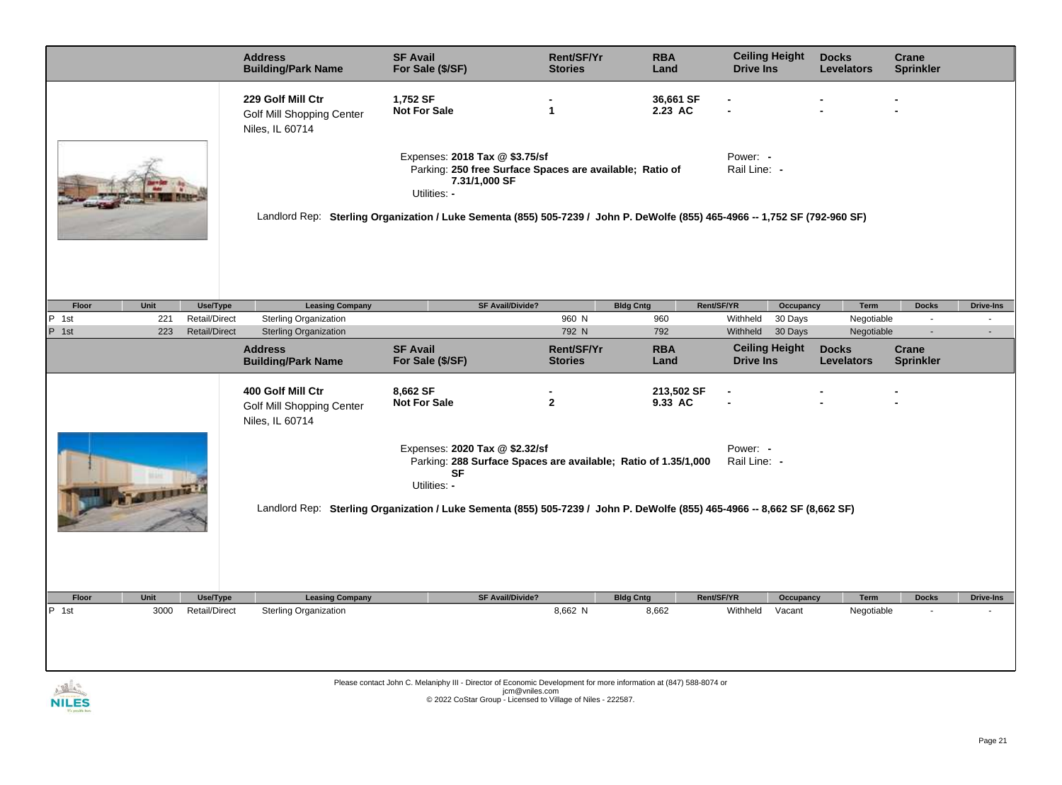|                |             |                           | <b>Address</b><br><b>Building/Park Name</b>                              | <b>SF Avail</b><br>For Sale (\$/SF)                                                                                         | Rent/SF/Yr<br><b>Stories</b>                                   | <b>RBA</b><br>Land      | <b>Ceiling Height</b><br><b>Drive Ins</b> |                      | <b>Docks</b><br><b>Levelators</b> | <b>Crane</b><br><b>Sprinkler</b> |                            |
|----------------|-------------|---------------------------|--------------------------------------------------------------------------|-----------------------------------------------------------------------------------------------------------------------------|----------------------------------------------------------------|-------------------------|-------------------------------------------|----------------------|-----------------------------------|----------------------------------|----------------------------|
|                |             |                           | 229 Golf Mill Ctr<br>Golf Mill Shopping Center<br>Niles, IL 60714        | 1,752 SF<br><b>Not For Sale</b>                                                                                             | $\mathbf{1}$                                                   | 36,661 SF<br>2.23 AC    |                                           |                      |                                   |                                  |                            |
|                |             |                           |                                                                          | Expenses: 2018 Tax @ \$3.75/sf<br>7.31/1,000 SF<br>Utilities: -                                                             | Parking: 250 free Surface Spaces are available; Ratio of       |                         | Power: -<br>Rail Line: -                  |                      |                                   |                                  |                            |
|                |             |                           |                                                                          | Landlord Rep: Sterling Organization / Luke Sementa (855) 505-7239 / John P. DeWolfe (855) 465-4966 -- 1,752 SF (792-960 SF) |                                                                |                         |                                           |                      |                                   |                                  |                            |
|                |             |                           |                                                                          |                                                                                                                             |                                                                |                         |                                           |                      |                                   |                                  |                            |
| Floor<br>P 1st | Unit<br>221 | Use/Type<br>Retail/Direct | <b>Leasing Company</b><br><b>Sterling Organization</b>                   |                                                                                                                             | <b>SF Avail/Divide?</b><br>960 N                               | <b>Bldg Cntg</b><br>960 | Rent/SF/YR<br>Withheld                    | Occupancy<br>30 Days | Term<br>Negotiable                | <b>Docks</b><br>$\sim$           | <b>Drive-Ins</b><br>$\sim$ |
| P 1st          | 223         | <b>Retail/Direct</b>      | <b>Sterling Organization</b>                                             |                                                                                                                             | 792 N                                                          | 792                     | Withheld                                  | 30 Days              | Negotiable                        | $\sim$                           |                            |
|                |             |                           | <b>Address</b><br><b>Building/Park Name</b>                              | <b>SF Avail</b><br>For Sale (\$/SF)                                                                                         | Rent/SF/Yr<br><b>Stories</b>                                   | <b>RBA</b><br>Land      | <b>Ceiling Height</b><br><b>Drive Ins</b> |                      | <b>Docks</b><br><b>Levelators</b> | <b>Crane</b><br><b>Sprinkler</b> |                            |
|                |             |                           | 400 Golf Mill Ctr<br><b>Golf Mill Shopping Center</b><br>Niles, IL 60714 | 8,662 SF<br><b>Not For Sale</b>                                                                                             | $\mathbf{2}$                                                   | 213,502 SF<br>9.33 AC   |                                           |                      |                                   |                                  |                            |
|                |             |                           |                                                                          | Expenses: 2020 Tax @ \$2.32/sf<br><b>SF</b><br>Utilities: -                                                                 | Parking: 288 Surface Spaces are available; Ratio of 1.35/1,000 |                         | Power: -<br>Rail Line: -                  |                      |                                   |                                  |                            |
|                |             |                           |                                                                          | Landlord Rep: Sterling Organization / Luke Sementa (855) 505-7239 / John P. DeWolfe (855) 465-4966 -- 8,662 SF (8,662 SF)   |                                                                |                         |                                           |                      |                                   |                                  |                            |
| Floor          | Unit        | Use/Type                  | <b>Leasing Company</b>                                                   |                                                                                                                             | <b>SF Avail/Divide?</b>                                        | <b>Bldg Cntg</b>        | Rent/SF/YR                                | Occupancy            | Term                              | <b>Docks</b>                     | <b>Drive-Ins</b>           |
| P 1st          | 3000        | Retail/Direct             | Sterling Organization                                                    |                                                                                                                             | 8,662 N                                                        | 8,662                   | Withheld                                  | Vacant               | Negotiable                        |                                  |                            |
|                |             |                           |                                                                          |                                                                                                                             |                                                                |                         |                                           |                      |                                   |                                  |                            |
| A TALLA        |             |                           |                                                                          | Please contact John C. Melaniphy III - Director of Economic Development for more information at (847) 588-8074 or           | jcm@vniles.com                                                 |                         |                                           |                      |                                   |                                  |                            |

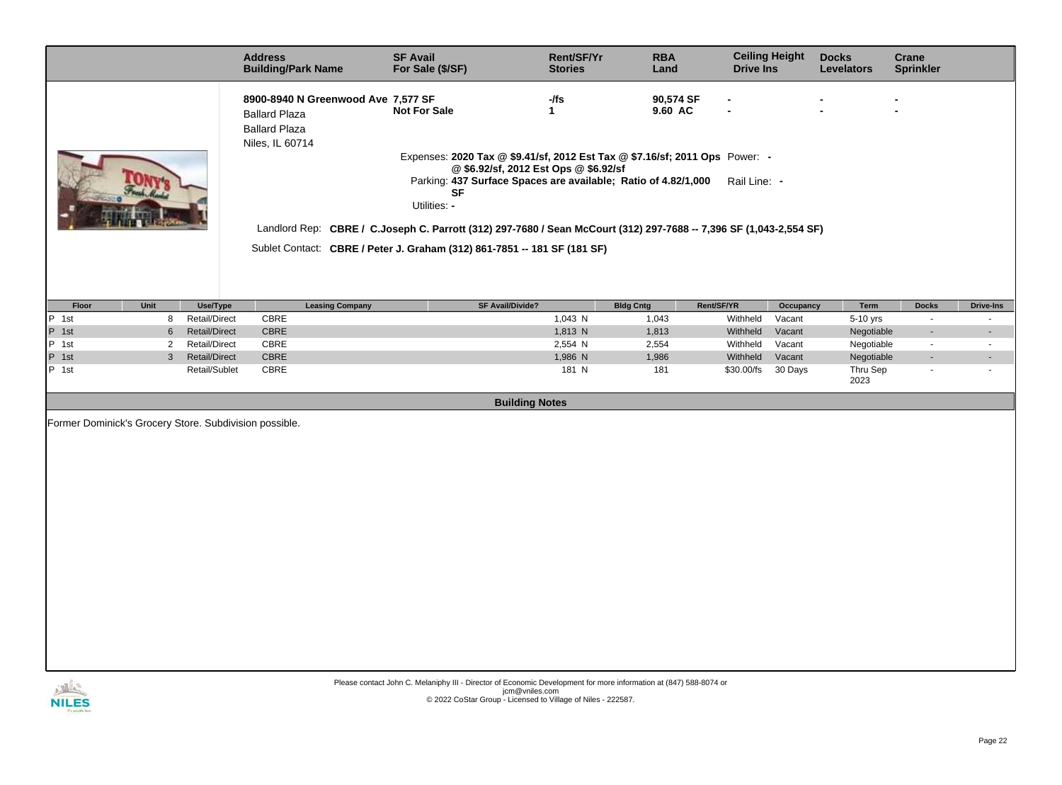|                                                        | <b>Address</b><br><b>Building/Park Name</b>                                                           | <b>SF Avail</b><br>For Sale (\$/SF)                                                                                                                                                                                                                                                                                                                                                                                   | Rent/SF/Yr<br><b>Stories</b> | <b>RBA</b><br>Land   | <b>Ceiling Height</b><br><b>Drive Ins</b> |           | <b>Docks</b><br><b>Levelators</b> | Crane<br><b>Sprinkler</b> |                |
|--------------------------------------------------------|-------------------------------------------------------------------------------------------------------|-----------------------------------------------------------------------------------------------------------------------------------------------------------------------------------------------------------------------------------------------------------------------------------------------------------------------------------------------------------------------------------------------------------------------|------------------------------|----------------------|-------------------------------------------|-----------|-----------------------------------|---------------------------|----------------|
|                                                        | 8900-8940 N Greenwood Ave 7,577 SF<br><b>Ballard Plaza</b><br><b>Ballard Plaza</b><br>Niles, IL 60714 | <b>Not For Sale</b><br>$\mathbf{1}$                                                                                                                                                                                                                                                                                                                                                                                   | -/fs                         | 90,574 SF<br>9.60 AC | $\overline{a}$                            |           |                                   |                           |                |
|                                                        |                                                                                                       | Expenses: 2020 Tax @ \$9.41/sf, 2012 Est Tax @ \$7.16/sf; 2011 Ops Power: -<br>@ \$6.92/sf, 2012 Est Ops @ \$6.92/sf<br>Parking: 437 Surface Spaces are available; Ratio of 4.82/1,000<br><b>SF</b><br>Utilities: -<br>Landlord Rep: CBRE / C.Joseph C. Parrott (312) 297-7680 / Sean McCourt (312) 297-7688 -- 7,396 SF (1,043-2,554 SF)<br>Sublet Contact: CBRE / Peter J. Graham (312) 861-7851 -- 181 SF (181 SF) |                              |                      | Rail Line: -                              |           |                                   |                           |                |
|                                                        |                                                                                                       |                                                                                                                                                                                                                                                                                                                                                                                                                       |                              |                      |                                           |           |                                   |                           |                |
| Unit<br>Use/Type<br>Floor                              | <b>Leasing Company</b>                                                                                | <b>SF Avail/Divide?</b>                                                                                                                                                                                                                                                                                                                                                                                               | <b>Bldg Cntg</b>             | Rent/SF/YR           |                                           | Occupancy | Term                              | <b>Docks</b>              | Drive-Ins      |
| P 1st<br>Retail/Direct<br>8                            | CBRE                                                                                                  |                                                                                                                                                                                                                                                                                                                                                                                                                       | 1,043 N                      | 1,043                | Withheld                                  | Vacant    | 5-10 yrs                          | $\sim$                    | $\sim$         |
| P 1st<br><b>Retail/Direct</b><br>6                     | CBRE                                                                                                  |                                                                                                                                                                                                                                                                                                                                                                                                                       | 1,813 N                      | 1,813                | Withheld                                  | Vacant    | Negotiable                        | $\sim$                    | $\blacksquare$ |
| $P$ 1st<br><b>Retail/Direct</b><br>2                   | CBRE                                                                                                  |                                                                                                                                                                                                                                                                                                                                                                                                                       | 2,554 N                      | 2,554                | Withheld                                  | Vacant    | Negotiable                        | $\overline{a}$            | $\blacksquare$ |
| P 1st<br>$\mathbf{3}$<br><b>Retail/Direct</b>          | <b>CBRE</b>                                                                                           |                                                                                                                                                                                                                                                                                                                                                                                                                       | 1,986 N                      | 1,986                | Withheld                                  | Vacant    | Negotiable                        |                           |                |
| P 1st<br>Retail/Sublet                                 | CBRE                                                                                                  |                                                                                                                                                                                                                                                                                                                                                                                                                       | 181 N                        | 181                  | \$30.00/fs                                | 30 Days   | Thru Sep<br>2023                  |                           |                |
|                                                        |                                                                                                       | <b>Building Notes</b>                                                                                                                                                                                                                                                                                                                                                                                                 |                              |                      |                                           |           |                                   |                           |                |
| Former Dominick's Grocery Store. Subdivision possible. |                                                                                                       |                                                                                                                                                                                                                                                                                                                                                                                                                       |                              |                      |                                           |           |                                   |                           |                |

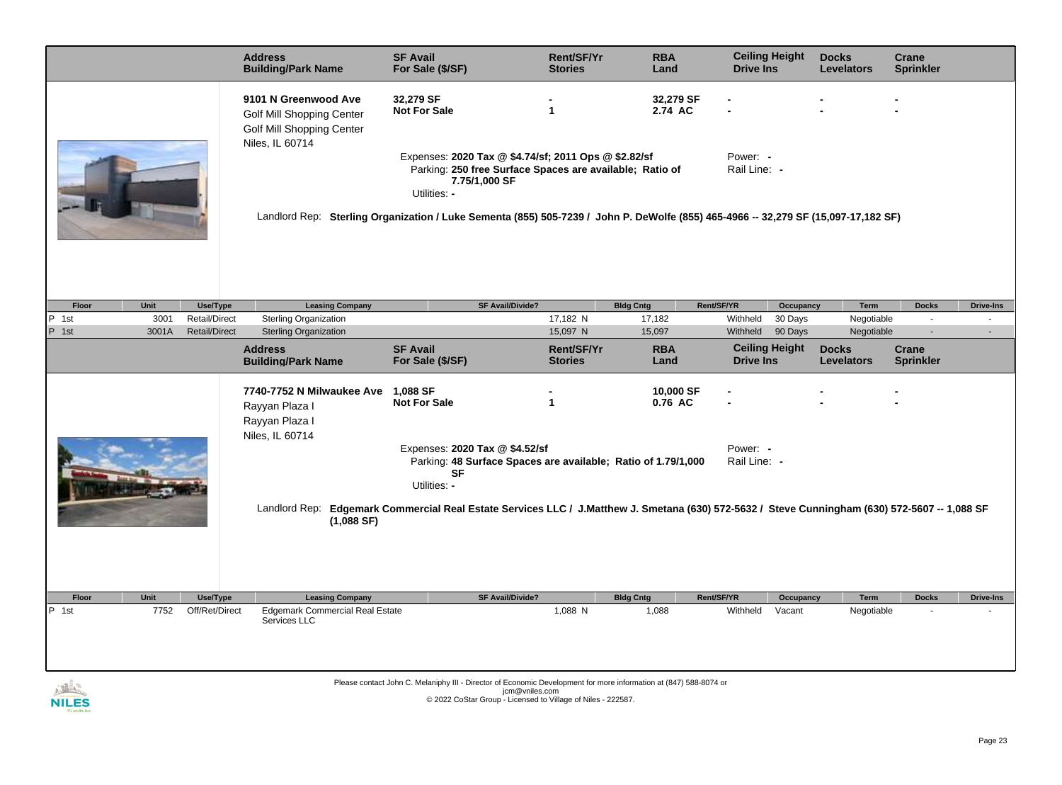|        |       |                      | <b>Address</b><br><b>Building/Park Name</b>                                                              | <b>SF Avail</b><br>For Sale (\$/SF)                                                                                                                                                                                                                                                     | Rent/SF/Yr<br><b>Stories</b> | <b>RBA</b><br>Land   | <b>Ceiling Height</b><br><b>Drive Ins</b> |           | <b>Docks</b><br><b>Levelators</b> | <b>Crane</b><br><b>Sprinkler</b> |                  |
|--------|-------|----------------------|----------------------------------------------------------------------------------------------------------|-----------------------------------------------------------------------------------------------------------------------------------------------------------------------------------------------------------------------------------------------------------------------------------------|------------------------------|----------------------|-------------------------------------------|-----------|-----------------------------------|----------------------------------|------------------|
|        |       |                      | 9101 N Greenwood Ave<br><b>Golf Mill Shopping Center</b><br>Golf Mill Shopping Center<br>Niles, IL 60714 | 32,279 SF<br><b>Not For Sale</b>                                                                                                                                                                                                                                                        | $\overline{1}$               | 32,279 SF<br>2.74 AC |                                           |           |                                   |                                  |                  |
|        |       |                      |                                                                                                          | Expenses: 2020 Tax @ \$4.74/sf; 2011 Ops @ \$2.82/sf<br>Parking: 250 free Surface Spaces are available; Ratio of<br>7.75/1,000 SF<br>Utilities: -<br>Landlord Rep: Sterling Organization / Luke Sementa (855) 505-7239 / John P. DeWolfe (855) 465-4966 -- 32,279 SF (15,097-17,182 SF) |                              |                      | Power: -<br>Rail Line: -                  |           |                                   |                                  |                  |
|        |       |                      |                                                                                                          |                                                                                                                                                                                                                                                                                         |                              |                      |                                           |           |                                   |                                  |                  |
| Floor  | Unit  | Use/Type             | <b>Leasing Company</b>                                                                                   | <b>SF Avail/Divide?</b>                                                                                                                                                                                                                                                                 |                              | <b>Bldg Cntg</b>     | Rent/SF/YR                                | Occupancy | Term                              | <b>Docks</b>                     | <b>Drive-Ins</b> |
| P 1st  | 3001  | <b>Retail/Direct</b> | <b>Sterling Organization</b>                                                                             |                                                                                                                                                                                                                                                                                         | 17,182 N                     | 17,182               | Withheld                                  | 30 Days   | Negotiable                        |                                  |                  |
| P 1st  | 3001A | <b>Retail/Direct</b> | <b>Sterling Organization</b>                                                                             |                                                                                                                                                                                                                                                                                         | 15,097 N                     | 15,097               | Withheld                                  | 90 Days   | Negotiable                        |                                  |                  |
|        |       |                      | <b>Address</b><br><b>Building/Park Name</b>                                                              | <b>SF Avail</b><br>For Sale (\$/SF)                                                                                                                                                                                                                                                     | Rent/SF/Yr<br><b>Stories</b> | <b>RBA</b><br>Land   | <b>Ceiling Height</b><br><b>Drive Ins</b> |           | <b>Docks</b><br><b>Levelators</b> | Crane<br><b>Sprinkler</b>        |                  |
|        |       |                      | 7740-7752 N Milwaukee Ave<br>Rayyan Plaza I<br>Rayyan Plaza I<br>Niles, IL 60714                         | 1,088 SF<br><b>Not For Sale</b>                                                                                                                                                                                                                                                         | $\mathbf{1}$                 | 10,000 SF<br>0.76 AC |                                           |           |                                   |                                  |                  |
|        |       |                      |                                                                                                          | Expenses: 2020 Tax @ \$4.52/sf<br>Parking: 48 Surface Spaces are available; Ratio of 1.79/1,000<br><b>SF</b>                                                                                                                                                                            |                              |                      | Power: -<br>Rail Line: -                  |           |                                   |                                  |                  |
|        |       |                      | (1,088 SF)                                                                                               | Utilities: -<br>Landlord Rep: Edgemark Commercial Real Estate Services LLC / J.Matthew J. Smetana (630) 572-5632 / Steve Cunningham (630) 572-5607 -- 1,088 SF                                                                                                                          |                              |                      |                                           |           |                                   |                                  |                  |
|        |       |                      |                                                                                                          |                                                                                                                                                                                                                                                                                         |                              |                      |                                           |           |                                   |                                  |                  |
| Floor  | Unit  | Use/Type             | <b>Leasing Company</b>                                                                                   | <b>SF Avail/Divide?</b>                                                                                                                                                                                                                                                                 |                              | <b>Bldg Cntg</b>     | Rent/SF/YR                                | Occupancy | Term                              | <b>Docks</b>                     | <b>Drive-Ins</b> |
| P 1st  | 7752  | Off/Ret/Direct       | <b>Edgemark Commercial Real Estate</b><br>Services LLC                                                   |                                                                                                                                                                                                                                                                                         | 1,088 N                      | 1,088                | Withheld                                  | Vacant    | Negotiable                        |                                  |                  |
|        |       |                      |                                                                                                          |                                                                                                                                                                                                                                                                                         |                              |                      |                                           |           |                                   |                                  |                  |
|        |       |                      |                                                                                                          | Please contact John C. Melaniphy III - Director of Economic Development for more information at (847) 588-8074 or                                                                                                                                                                       |                              |                      |                                           |           |                                   |                                  |                  |
| NII FS |       |                      |                                                                                                          | jcm@vniles.com<br>@ 2022 CoStar Group - Licensed to Village of Niles - 222587.                                                                                                                                                                                                          |                              |                      |                                           |           |                                   |                                  |                  |

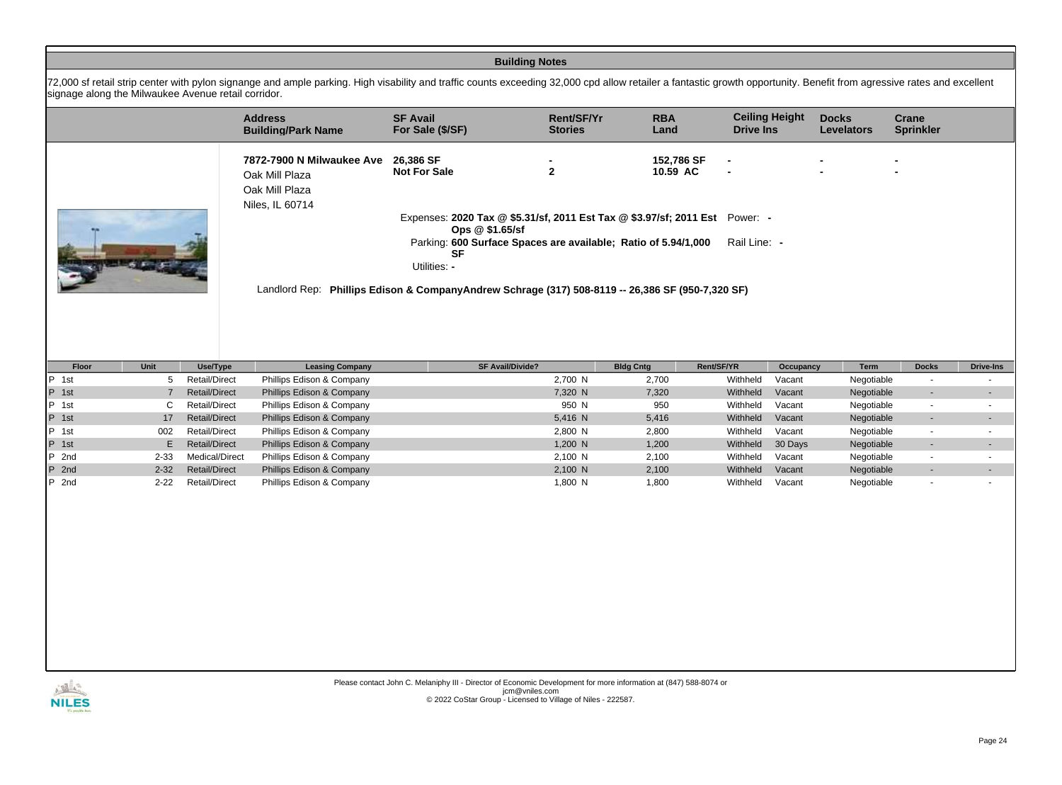|                                                     |                |                      |                                                                                                                                                                                                                        |                                                                                                   | <b>Building Notes</b>        |                        |                  |                       |                                   |                                    |                          |
|-----------------------------------------------------|----------------|----------------------|------------------------------------------------------------------------------------------------------------------------------------------------------------------------------------------------------------------------|---------------------------------------------------------------------------------------------------|------------------------------|------------------------|------------------|-----------------------|-----------------------------------|------------------------------------|--------------------------|
| signage along the Milwaukee Avenue retail corridor. |                |                      | 72,000 sf retail strip center with pylon signange and ample parking. High visability and traffic counts exceeding 32,000 cpd allow retailer a fantastic growth opportunity. Benefit from agressive rates and excellent |                                                                                                   |                              |                        |                  |                       |                                   |                                    |                          |
|                                                     |                |                      | <b>Address</b><br><b>Building/Park Name</b>                                                                                                                                                                            | <b>SF Avail</b><br>For Sale (\$/SF)                                                               | Rent/SF/Yr<br><b>Stories</b> | <b>RBA</b><br>Land     | <b>Drive Ins</b> | <b>Ceiling Height</b> | <b>Docks</b><br><b>Levelators</b> | <b>Crane</b><br><b>Sprinkler</b>   |                          |
|                                                     |                |                      | 7872-7900 N Milwaukee Ave<br>Oak Mill Plaza<br>Oak Mill Plaza<br>Niles, IL 60714                                                                                                                                       | 26,386 SF<br><b>Not For Sale</b>                                                                  | $\overline{2}$               | 152,786 SF<br>10.59 AC |                  |                       |                                   |                                    |                          |
|                                                     |                |                      |                                                                                                                                                                                                                        | Expenses: 2020 Tax @ \$5.31/sf, 2011 Est Tax @ \$3.97/sf; 2011 Est Power: -<br>Ops @ \$1.65/sf    |                              |                        |                  |                       |                                   |                                    |                          |
|                                                     | 出版 杯           |                      |                                                                                                                                                                                                                        | Parking: 600 Surface Spaces are available; Ratio of 5.94/1,000<br><b>SF</b><br>Utilities: -       |                              |                        | Rail Line: -     |                       |                                   |                                    |                          |
|                                                     |                |                      |                                                                                                                                                                                                                        | Landlord Rep: Phillips Edison & Company Andrew Schrage (317) 508-8119 -- 26,386 SF (950-7,320 SF) |                              |                        |                  |                       |                                   |                                    |                          |
|                                                     |                |                      |                                                                                                                                                                                                                        |                                                                                                   |                              |                        |                  |                       |                                   |                                    |                          |
| Floor                                               | Unit           | Use/Type             | <b>Leasing Company</b>                                                                                                                                                                                                 | <b>SF Avail/Divide?</b>                                                                           |                              | <b>Bldg Cntg</b>       | Rent/SF/YR       | Occupancy             | Term                              | <b>Docks</b>                       | <b>Drive-Ins</b>         |
| P 1st                                               | 5              | <b>Retail/Direct</b> | Phillips Edison & Company                                                                                                                                                                                              |                                                                                                   | 2,700 N                      | 2,700                  | Withheld         | Vacant                | Negotiable                        |                                    |                          |
| P 1st                                               | $\overline{7}$ | <b>Retail/Direct</b> | Phillips Edison & Company                                                                                                                                                                                              |                                                                                                   | 7,320 N                      | 7,320                  | Withheld         | Vacant                | Negotiable                        | $\overline{\phantom{a}}$<br>$\sim$ | $\overline{\phantom{a}}$ |
| P 1st                                               | C              | <b>Retail/Direct</b> | Phillips Edison & Company                                                                                                                                                                                              |                                                                                                   | 950 N                        | 950                    | Withheld         | Vacant                | Negotiable                        | $\sim$                             |                          |
| P 1st                                               | 17             | <b>Retail/Direct</b> | Phillips Edison & Company                                                                                                                                                                                              |                                                                                                   | 5,416 N                      | 5,416                  | Withheld         | Vacant                | Negotiable                        | $\blacksquare$                     |                          |
| P 1st                                               | 002            | Retail/Direct        | Phillips Edison & Company                                                                                                                                                                                              |                                                                                                   | 2,800 N                      | 2,800                  | Withheld         | Vacant                | Negotiable                        | $\sim$                             | $\blacksquare$           |
| P 1st                                               | E.             | <b>Retail/Direct</b> | Phillips Edison & Company                                                                                                                                                                                              |                                                                                                   | 1,200 N                      | 1,200                  | Withheld         | 30 Days               | Negotiable                        | $\blacksquare$                     |                          |
| $P$ 2nd                                             | $2 - 33$       | Medical/Direct       | Phillips Edison & Company                                                                                                                                                                                              |                                                                                                   | 2,100 N                      | 2,100                  | Withheld         | Vacant                | Negotiable                        | $\blacksquare$                     | $\mathbf{r}$             |
| 2nd<br>IP.                                          | $2 - 32$       | <b>Retail/Direct</b> | Phillips Edison & Company                                                                                                                                                                                              |                                                                                                   | 2,100 N                      | 2,100                  | Withheld         | Vacant                | Negotiable                        | $\blacksquare$                     |                          |
| $P$ 2nd                                             | $2 - 22$       | <b>Retail/Direct</b> | Phillips Edison & Company                                                                                                                                                                                              |                                                                                                   | 1,800 N                      | 1,800                  | Withheld         | Vacant                | Negotiable                        | $\overline{\phantom{a}}$           |                          |
|                                                     |                |                      |                                                                                                                                                                                                                        |                                                                                                   |                              |                        |                  |                       |                                   |                                    |                          |

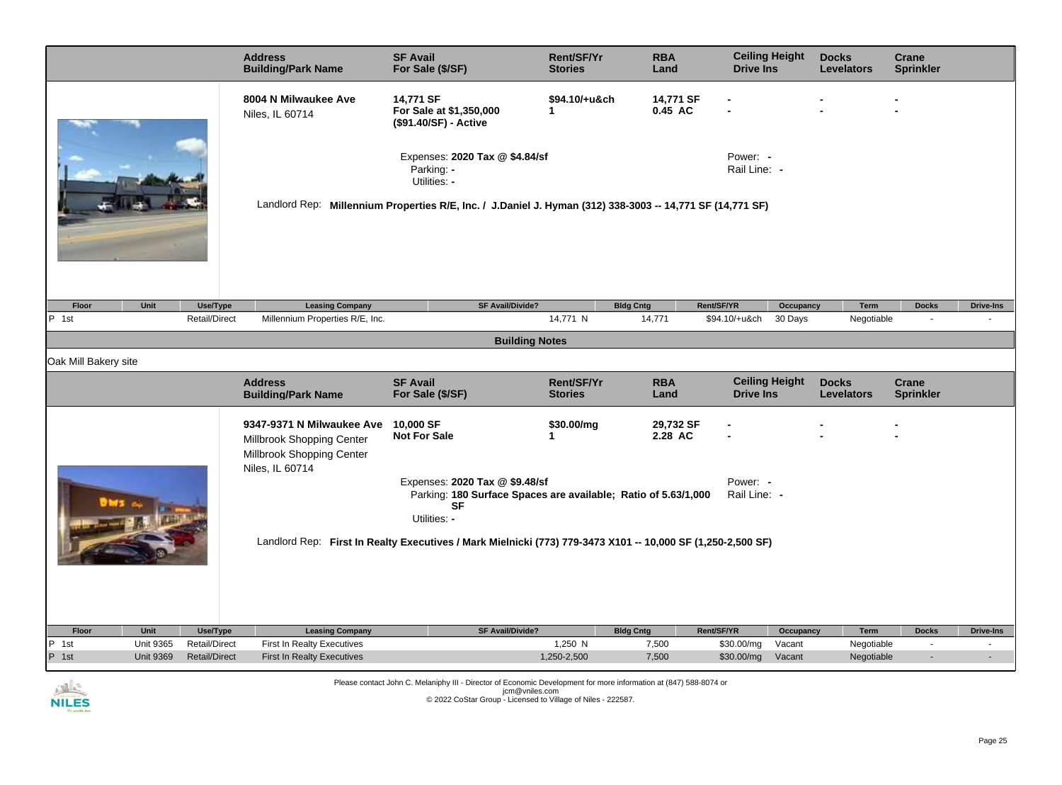| 14,771 SF<br>14,771 SF<br>8004 N Milwaukee Ave<br>\$94.10/+u&ch<br>0.45 AC<br>For Sale at \$1,350,000<br>$\mathbf{1}$<br>Niles, IL 60714<br>(\$91.40/SF) - Active<br>Expenses: 2020 Tax @ \$4.84/sf<br>Power: -<br>Parking: -<br>Rail Line: -<br>Utilities: -<br>Landlord Rep: Millennium Properties R/E, Inc. / J.Daniel J. Hyman (312) 338-3003 -- 14,771 SF (14,771 SF)<br><b>Leasing Company</b><br><b>SF Avail/Divide?</b><br>Rent/SF/YR<br>Floor<br>Unit<br>Use/Type<br><b>Bldg Cntg</b><br>Occupancy<br>Term<br><b>Docks</b><br><b>Drive-Ins</b><br>Millennium Properties R/E, Inc.<br>P 1st<br>Retail/Direct<br>14,771 N<br>14,771<br>\$94.10/+u&ch<br>30 Days<br>Negotiable<br>÷.<br><b>Building Notes</b><br>Oak Mill Bakery site<br><b>Ceiling Height</b><br><b>Address</b><br><b>SF Avail</b><br><b>Rent/SF/Yr</b><br><b>RBA</b><br><b>Docks</b><br><b>Crane</b><br><b>Building/Park Name</b><br>For Sale (\$/SF)<br><b>Sprinkler</b><br><b>Stories</b><br>Land<br><b>Drive Ins</b><br><b>Levelators</b><br>10,000 SF<br>29,732 SF<br>9347-9371 N Milwaukee Ave<br>\$30.00/mg<br>2.28 AC<br><b>Not For Sale</b><br>1<br>Millbrook Shopping Center<br>Millbrook Shopping Center<br>Niles, IL 60714<br>Expenses: 2020 Tax @ \$9.48/sf<br>Power: -<br>Rail Line: -<br>Parking: 180 Surface Spaces are available; Ratio of 5.63/1,000<br><b>SF</b><br>Utilities: -<br>Landlord Rep: First In Realty Executives / Mark Mielnicki (773) 779-3473 X101 -- 10,000 SF (1,250-2,500 SF)<br>Rent/SF/YR<br><b>Leasing Company</b><br>SF Avail/Divide?<br><b>Bldg Cntg</b><br>Floor<br>Unit<br>Use/Type<br>Occupancy<br>Term<br><b>Docks</b><br><b>Drive-Ins</b><br>P 1st<br><b>Unit 9365</b><br><b>First In Realty Executives</b><br>1,250 N<br>7,500<br>Negotiable<br><b>Retail/Direct</b><br>\$30.00/mg<br>Vacant<br>$\blacksquare$<br>$\blacksquare$<br>P 1st<br><b>Unit 9369</b><br><b>Retail/Direct</b><br><b>First In Realty Executives</b><br>1,250-2,500<br>7,500<br>\$30.00/mg<br>Vacant<br>Negotiable<br>$\blacksquare$ |  | <b>Address</b><br><b>Building/Park Name</b> | <b>SF Avail</b><br>For Sale (\$/SF) | Rent/SF/Yr<br><b>Stories</b> | <b>RBA</b><br>Land | <b>Ceiling Height</b><br><b>Drive Ins</b> | <b>Docks</b><br><b>Levelators</b> | Crane<br><b>Sprinkler</b> |  |
|-----------------------------------------------------------------------------------------------------------------------------------------------------------------------------------------------------------------------------------------------------------------------------------------------------------------------------------------------------------------------------------------------------------------------------------------------------------------------------------------------------------------------------------------------------------------------------------------------------------------------------------------------------------------------------------------------------------------------------------------------------------------------------------------------------------------------------------------------------------------------------------------------------------------------------------------------------------------------------------------------------------------------------------------------------------------------------------------------------------------------------------------------------------------------------------------------------------------------------------------------------------------------------------------------------------------------------------------------------------------------------------------------------------------------------------------------------------------------------------------------------------------------------------------------------------------------------------------------------------------------------------------------------------------------------------------------------------------------------------------------------------------------------------------------------------------------------------------------------------------------------------------------------------------------------------------------------------------------------------------------------------------------------------|--|---------------------------------------------|-------------------------------------|------------------------------|--------------------|-------------------------------------------|-----------------------------------|---------------------------|--|
|                                                                                                                                                                                                                                                                                                                                                                                                                                                                                                                                                                                                                                                                                                                                                                                                                                                                                                                                                                                                                                                                                                                                                                                                                                                                                                                                                                                                                                                                                                                                                                                                                                                                                                                                                                                                                                                                                                                                                                                                                                   |  |                                             |                                     |                              |                    |                                           |                                   |                           |  |
|                                                                                                                                                                                                                                                                                                                                                                                                                                                                                                                                                                                                                                                                                                                                                                                                                                                                                                                                                                                                                                                                                                                                                                                                                                                                                                                                                                                                                                                                                                                                                                                                                                                                                                                                                                                                                                                                                                                                                                                                                                   |  |                                             |                                     |                              |                    |                                           |                                   |                           |  |
|                                                                                                                                                                                                                                                                                                                                                                                                                                                                                                                                                                                                                                                                                                                                                                                                                                                                                                                                                                                                                                                                                                                                                                                                                                                                                                                                                                                                                                                                                                                                                                                                                                                                                                                                                                                                                                                                                                                                                                                                                                   |  |                                             |                                     |                              |                    |                                           |                                   |                           |  |
|                                                                                                                                                                                                                                                                                                                                                                                                                                                                                                                                                                                                                                                                                                                                                                                                                                                                                                                                                                                                                                                                                                                                                                                                                                                                                                                                                                                                                                                                                                                                                                                                                                                                                                                                                                                                                                                                                                                                                                                                                                   |  |                                             |                                     |                              |                    |                                           |                                   |                           |  |
|                                                                                                                                                                                                                                                                                                                                                                                                                                                                                                                                                                                                                                                                                                                                                                                                                                                                                                                                                                                                                                                                                                                                                                                                                                                                                                                                                                                                                                                                                                                                                                                                                                                                                                                                                                                                                                                                                                                                                                                                                                   |  |                                             |                                     |                              |                    |                                           |                                   |                           |  |
|                                                                                                                                                                                                                                                                                                                                                                                                                                                                                                                                                                                                                                                                                                                                                                                                                                                                                                                                                                                                                                                                                                                                                                                                                                                                                                                                                                                                                                                                                                                                                                                                                                                                                                                                                                                                                                                                                                                                                                                                                                   |  |                                             |                                     |                              |                    |                                           |                                   |                           |  |
|                                                                                                                                                                                                                                                                                                                                                                                                                                                                                                                                                                                                                                                                                                                                                                                                                                                                                                                                                                                                                                                                                                                                                                                                                                                                                                                                                                                                                                                                                                                                                                                                                                                                                                                                                                                                                                                                                                                                                                                                                                   |  |                                             |                                     |                              |                    |                                           |                                   |                           |  |
|                                                                                                                                                                                                                                                                                                                                                                                                                                                                                                                                                                                                                                                                                                                                                                                                                                                                                                                                                                                                                                                                                                                                                                                                                                                                                                                                                                                                                                                                                                                                                                                                                                                                                                                                                                                                                                                                                                                                                                                                                                   |  |                                             |                                     |                              |                    |                                           |                                   |                           |  |
|                                                                                                                                                                                                                                                                                                                                                                                                                                                                                                                                                                                                                                                                                                                                                                                                                                                                                                                                                                                                                                                                                                                                                                                                                                                                                                                                                                                                                                                                                                                                                                                                                                                                                                                                                                                                                                                                                                                                                                                                                                   |  |                                             |                                     |                              |                    |                                           |                                   |                           |  |
|                                                                                                                                                                                                                                                                                                                                                                                                                                                                                                                                                                                                                                                                                                                                                                                                                                                                                                                                                                                                                                                                                                                                                                                                                                                                                                                                                                                                                                                                                                                                                                                                                                                                                                                                                                                                                                                                                                                                                                                                                                   |  |                                             |                                     |                              |                    |                                           |                                   |                           |  |
|                                                                                                                                                                                                                                                                                                                                                                                                                                                                                                                                                                                                                                                                                                                                                                                                                                                                                                                                                                                                                                                                                                                                                                                                                                                                                                                                                                                                                                                                                                                                                                                                                                                                                                                                                                                                                                                                                                                                                                                                                                   |  |                                             |                                     |                              |                    |                                           |                                   |                           |  |
|                                                                                                                                                                                                                                                                                                                                                                                                                                                                                                                                                                                                                                                                                                                                                                                                                                                                                                                                                                                                                                                                                                                                                                                                                                                                                                                                                                                                                                                                                                                                                                                                                                                                                                                                                                                                                                                                                                                                                                                                                                   |  |                                             |                                     |                              |                    |                                           |                                   |                           |  |
|                                                                                                                                                                                                                                                                                                                                                                                                                                                                                                                                                                                                                                                                                                                                                                                                                                                                                                                                                                                                                                                                                                                                                                                                                                                                                                                                                                                                                                                                                                                                                                                                                                                                                                                                                                                                                                                                                                                                                                                                                                   |  |                                             |                                     |                              |                    |                                           |                                   |                           |  |

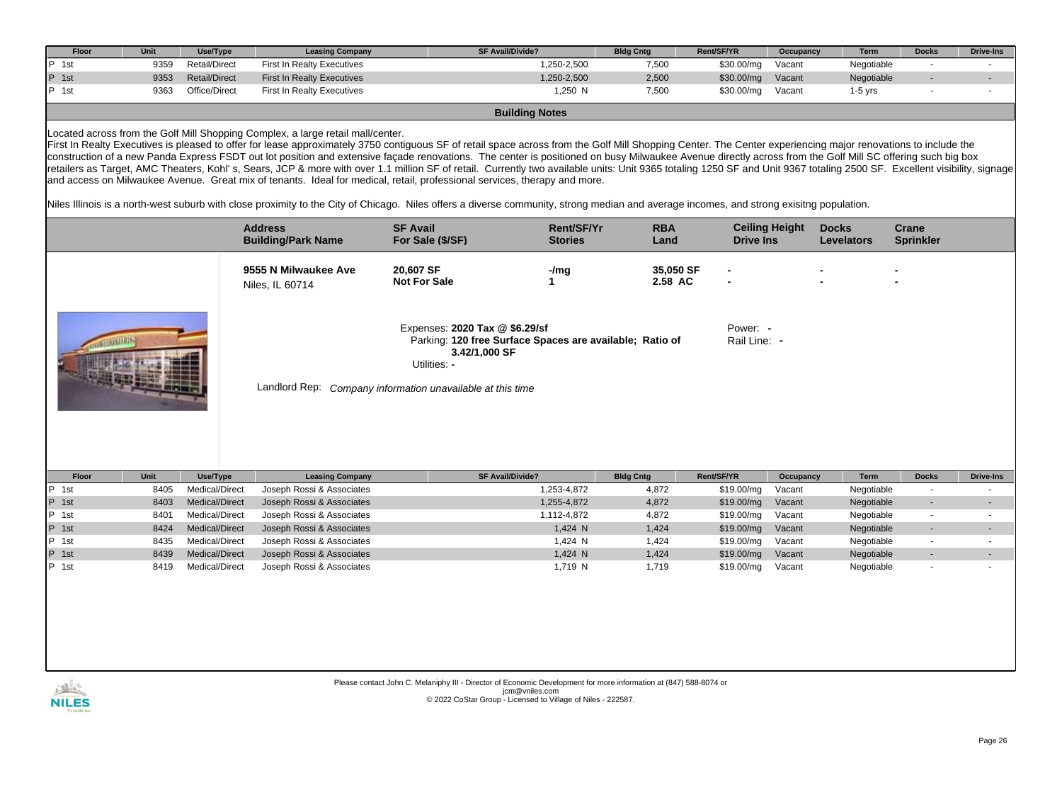| Floor            | Unit         | Use/Type                         | <b>Leasing Company</b>                                                          | SF Avail/Divide?                                                                                                                                                                                                                                                                                                                                                                                                                                                                                                                                                                                                                                                                                                                                                                    |                            | <b>Bldg Cntg</b>     | Rent/SF/YR               | Occupancy             | Term                     | <b>Docks</b>             | <b>Drive-Ins</b> |
|------------------|--------------|----------------------------------|---------------------------------------------------------------------------------|-------------------------------------------------------------------------------------------------------------------------------------------------------------------------------------------------------------------------------------------------------------------------------------------------------------------------------------------------------------------------------------------------------------------------------------------------------------------------------------------------------------------------------------------------------------------------------------------------------------------------------------------------------------------------------------------------------------------------------------------------------------------------------------|----------------------------|----------------------|--------------------------|-----------------------|--------------------------|--------------------------|------------------|
| 1st              | 9359         | <b>Retail/Direct</b>             | <b>First In Realty Executives</b>                                               |                                                                                                                                                                                                                                                                                                                                                                                                                                                                                                                                                                                                                                                                                                                                                                                     | 1,250-2,500                | 7,500                | \$30.00/mg               | Vacant                | Negotiable               | $\overline{a}$           |                  |
| P 1st            | 9353         | <b>Retail/Direct</b>             | <b>First In Realty Executives</b>                                               |                                                                                                                                                                                                                                                                                                                                                                                                                                                                                                                                                                                                                                                                                                                                                                                     | 1,250-2,500                | 2,500                | \$30.00/mg               | Vacant                | Negotiable               |                          |                  |
| P 1st            | 9363         | Office/Direct                    | <b>First In Realty Executives</b>                                               |                                                                                                                                                                                                                                                                                                                                                                                                                                                                                                                                                                                                                                                                                                                                                                                     | 1,250 N                    | 7,500                | \$30.00/mg               | Vacant                | $1-5$ yrs                |                          |                  |
|                  |              |                                  |                                                                                 |                                                                                                                                                                                                                                                                                                                                                                                                                                                                                                                                                                                                                                                                                                                                                                                     | <b>Building Notes</b>      |                      |                          |                       |                          |                          |                  |
|                  |              |                                  |                                                                                 |                                                                                                                                                                                                                                                                                                                                                                                                                                                                                                                                                                                                                                                                                                                                                                                     |                            |                      |                          |                       |                          |                          |                  |
|                  |              |                                  | Located across from the Golf Mill Shopping Complex, a large retail mall/center. | First In Realty Executives is pleased to offer for lease approximately 3750 contiquous SF of retail space across from the Golf Mill Shopping Center. The Center experiencing major renovations to include the<br>construction of a new Panda Express FSDT out lot position and extensive façade renovations. The center is positioned on busy Milwaukee Avenue directly across from the Golf Mill SC offering such big box<br>retailers as Target, AMC Theaters, Kohl's, Sears, JCP & more with over 1.1 million SF of retail. Currently two available units: Unit 9365 totaling 1250 SF and Unit 9367 totaling 2500 SF. Excellent visibility, signage<br>and access on Milwaukee Avenue. Great mix of tenants. Ideal for medical, retail, professional services, therapy and more. |                            |                      |                          |                       |                          |                          |                  |
|                  |              |                                  |                                                                                 | Niles Illinois is a north-west suburb with close proximity to the City of Chicago. Niles offers a diverse community, strong median and average incomes, and strong exisitng population.                                                                                                                                                                                                                                                                                                                                                                                                                                                                                                                                                                                             |                            |                      |                          |                       |                          |                          |                  |
|                  |              |                                  | <b>Address</b>                                                                  | <b>SF Avail</b>                                                                                                                                                                                                                                                                                                                                                                                                                                                                                                                                                                                                                                                                                                                                                                     | <b>Rent/SF/Yr</b>          | <b>RBA</b>           |                          | <b>Ceiling Height</b> | <b>Docks</b>             | Crane                    |                  |
|                  |              |                                  | <b>Building/Park Name</b>                                                       | For Sale (\$/SF)                                                                                                                                                                                                                                                                                                                                                                                                                                                                                                                                                                                                                                                                                                                                                                    | <b>Stories</b>             | Land                 | <b>Drive Ins</b>         |                       | <b>Levelators</b>        | <b>Sprinkler</b>         |                  |
|                  |              |                                  | 9555 N Milwaukee Ave<br>Niles, IL 60714                                         | 20.607 SF<br><b>Not For Sale</b>                                                                                                                                                                                                                                                                                                                                                                                                                                                                                                                                                                                                                                                                                                                                                    | $-/mg$<br>$\mathbf{1}$     | 35,050 SF<br>2.58 AC |                          |                       |                          |                          |                  |
| <b>JECNUTHER</b> |              |                                  |                                                                                 | Expenses: 2020 Tax @ \$6.29/sf<br>Parking: 120 free Surface Spaces are available; Ratio of<br>3.42/1,000 SF<br>Utilities: -<br>Landlord Rep: Company information unavailable at this time                                                                                                                                                                                                                                                                                                                                                                                                                                                                                                                                                                                           |                            |                      | Power: -<br>Rail Line: - |                       |                          |                          |                  |
| Floor            | Unit         | Use/Type                         | <b>Leasing Company</b>                                                          | SF Avail/Divide?                                                                                                                                                                                                                                                                                                                                                                                                                                                                                                                                                                                                                                                                                                                                                                    |                            | <b>Bldg Cntg</b>     | Rent/SF/YR               | Occupancy             | Term                     | <b>Docks</b>             | <b>Drive-Ins</b> |
| P 1st<br>P 1st   | 8405<br>8403 | Medical/Direct<br>Medical/Direct | Joseph Rossi & Associates<br>Joseph Rossi & Associates                          |                                                                                                                                                                                                                                                                                                                                                                                                                                                                                                                                                                                                                                                                                                                                                                                     | 1,253-4,872<br>1,255-4,872 | 4,872<br>4,872       | \$19.00/mg<br>\$19.00/mq | Vacant<br>Vacant      | Negotiable<br>Negotiable | $\blacksquare$           |                  |
| P 1st            | 8401         | Medical/Direct                   | Joseph Rossi & Associates                                                       |                                                                                                                                                                                                                                                                                                                                                                                                                                                                                                                                                                                                                                                                                                                                                                                     | 1,112-4,872                | 4,872                | \$19.00/mg               | Vacant                | Negotiable               | $\overline{\phantom{a}}$ |                  |
| P 1st            | 8424         | Medical/Direct                   | Joseph Rossi & Associates                                                       |                                                                                                                                                                                                                                                                                                                                                                                                                                                                                                                                                                                                                                                                                                                                                                                     | 1,424 N                    | 1,424                | \$19.00/mg               | Vacant                | Negotiable               |                          |                  |
| P 1st            | 8435         | Medical/Direct                   | Joseph Rossi & Associates                                                       |                                                                                                                                                                                                                                                                                                                                                                                                                                                                                                                                                                                                                                                                                                                                                                                     | 1,424 N                    | 1,424                | \$19.00/mg               | Vacant                | Negotiable               | $\sim$                   |                  |
| P 1st            | 8439         | Medical/Direct                   | Joseph Rossi & Associates                                                       |                                                                                                                                                                                                                                                                                                                                                                                                                                                                                                                                                                                                                                                                                                                                                                                     | 1,424 N                    | 1,424                | \$19.00/mg               | Vacant                | Negotiable               |                          |                  |
| P 1st            | 8419         | Medical/Direct                   | Joseph Rossi & Associates                                                       |                                                                                                                                                                                                                                                                                                                                                                                                                                                                                                                                                                                                                                                                                                                                                                                     | 1,719 N                    | 1,719                | \$19.00/mg               | Vacant                | Negotiable               |                          |                  |
|                  |              |                                  |                                                                                 |                                                                                                                                                                                                                                                                                                                                                                                                                                                                                                                                                                                                                                                                                                                                                                                     |                            |                      |                          |                       |                          |                          |                  |

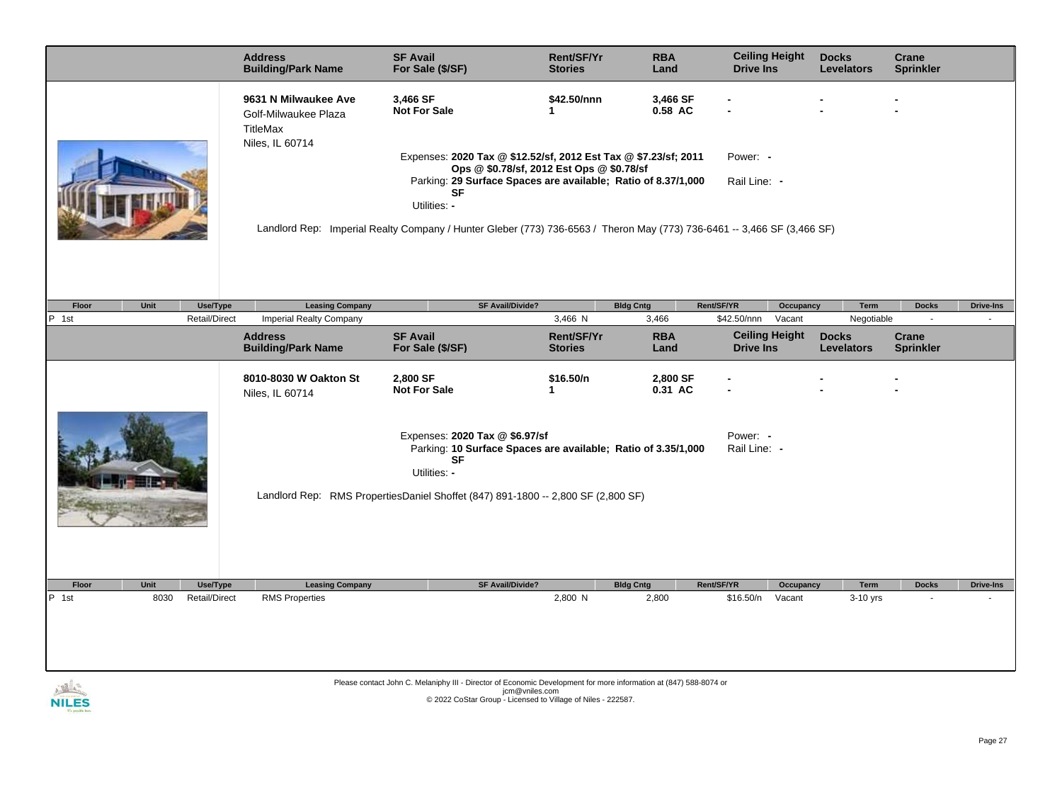|                                                                                                                                                          | <b>Address</b><br><b>Building/Park Name</b>              | <b>SF Avail</b><br>For Sale (\$/SF)                                                                                                        | <b>Rent/SF/Yr</b><br><b>Stories</b> | <b>RBA</b><br>Land  | <b>Ceiling Height</b><br><b>Drive Ins</b> |           | <b>Docks</b><br><b>Levelators</b> | Crane<br><b>Sprinkler</b> |                  |
|----------------------------------------------------------------------------------------------------------------------------------------------------------|----------------------------------------------------------|--------------------------------------------------------------------------------------------------------------------------------------------|-------------------------------------|---------------------|-------------------------------------------|-----------|-----------------------------------|---------------------------|------------------|
|                                                                                                                                                          | 9631 N Milwaukee Ave<br>Golf-Milwaukee Plaza<br>TitleMax | 3,466 SF<br><b>Not For Sale</b>                                                                                                            | \$42.50/nnn<br>1                    | 3,466 SF<br>0.58 AC |                                           |           |                                   |                           |                  |
|                                                                                                                                                          | Niles, IL 60714                                          | Expenses: 2020 Tax @ \$12.52/sf, 2012 Est Tax @ \$7.23/sf; 2011<br>Ops @ \$0.78/sf, 2012 Est Ops @ \$0.78/sf                               |                                     |                     | Power: -                                  |           |                                   |                           |                  |
|                                                                                                                                                          |                                                          | Parking: 29 Surface Spaces are available; Ratio of 8.37/1,000<br><b>SF</b>                                                                 |                                     |                     | Rail Line: -                              |           |                                   |                           |                  |
|                                                                                                                                                          |                                                          | Utilities: -                                                                                                                               |                                     |                     |                                           |           |                                   |                           |                  |
|                                                                                                                                                          |                                                          | Landlord Rep: Imperial Realty Company / Hunter Gleber (773) 736-6563 / Theron May (773) 736-6461 -- 3,466 SF (3,466 SF)                    |                                     |                     |                                           |           |                                   |                           |                  |
|                                                                                                                                                          |                                                          |                                                                                                                                            |                                     |                     |                                           |           |                                   |                           |                  |
| Floor<br>Unit<br>Use/Type                                                                                                                                | <b>Leasing Company</b>                                   | SF Avail/Divide?                                                                                                                           |                                     | <b>Bldg Cntg</b>    | Rent/SF/YR                                | Occupancy | <b>Term</b>                       | <b>Docks</b>              | <b>Drive-Ins</b> |
| P 1st<br><b>Retail/Direct</b>                                                                                                                            | Imperial Realty Company                                  |                                                                                                                                            | 3,466 N                             | 3,466               | \$42.50/nnn                               | Vacant    | Negotiable                        | $\sim$                    |                  |
|                                                                                                                                                          | <b>Address</b><br><b>Building/Park Name</b>              | <b>SF Avail</b><br>For Sale (\$/SF)                                                                                                        | Rent/SF/Yr<br><b>Stories</b>        | <b>RBA</b><br>Land  | <b>Ceiling Height</b><br><b>Drive Ins</b> |           | <b>Docks</b><br><b>Levelators</b> | Crane<br><b>Sprinkler</b> |                  |
|                                                                                                                                                          | 8010-8030 W Oakton St<br>Niles, IL 60714                 | 2,800 SF<br><b>Not For Sale</b>                                                                                                            | \$16.50/n<br>1                      | 2,800 SF<br>0.31 AC |                                           |           |                                   |                           |                  |
| Expenses: 2020 Tax @ \$6.97/sf<br>Power: -<br>Parking: 10 Surface Spaces are available; Ratio of 3.35/1,000<br>Rail Line: -<br><b>SF</b><br>Utilities: - |                                                          |                                                                                                                                            |                                     |                     |                                           |           |                                   |                           |                  |
|                                                                                                                                                          |                                                          | Landlord Rep: RMS PropertiesDaniel Shoffet (847) 891-1800 -- 2,800 SF (2,800 SF)                                                           |                                     |                     |                                           |           |                                   |                           |                  |
|                                                                                                                                                          |                                                          |                                                                                                                                            |                                     |                     |                                           |           |                                   |                           |                  |
| Unit<br>Floor<br>Use/Type                                                                                                                                | <b>Leasing Company</b>                                   | <b>SF Avail/Divide?</b>                                                                                                                    |                                     | <b>Bldg Cntg</b>    | Rent/SF/YR                                | Occupancy | <b>Term</b>                       | <b>Docks</b>              | <b>Drive-Ins</b> |
| P 1st<br>8030<br><b>Retail/Direct</b>                                                                                                                    | <b>RMS Properties</b>                                    |                                                                                                                                            | 2,800 N                             | 2,800               | \$16.50/n                                 | Vacant    | 3-10 yrs                          |                           |                  |
|                                                                                                                                                          |                                                          |                                                                                                                                            |                                     |                     |                                           |           |                                   |                           |                  |
|                                                                                                                                                          |                                                          | Please contact John C. Melaniphy III - Director of Economic Development for more information at (847) 588-8074 or<br>$\lim_{n \to \infty}$ |                                     |                     |                                           |           |                                   |                           |                  |

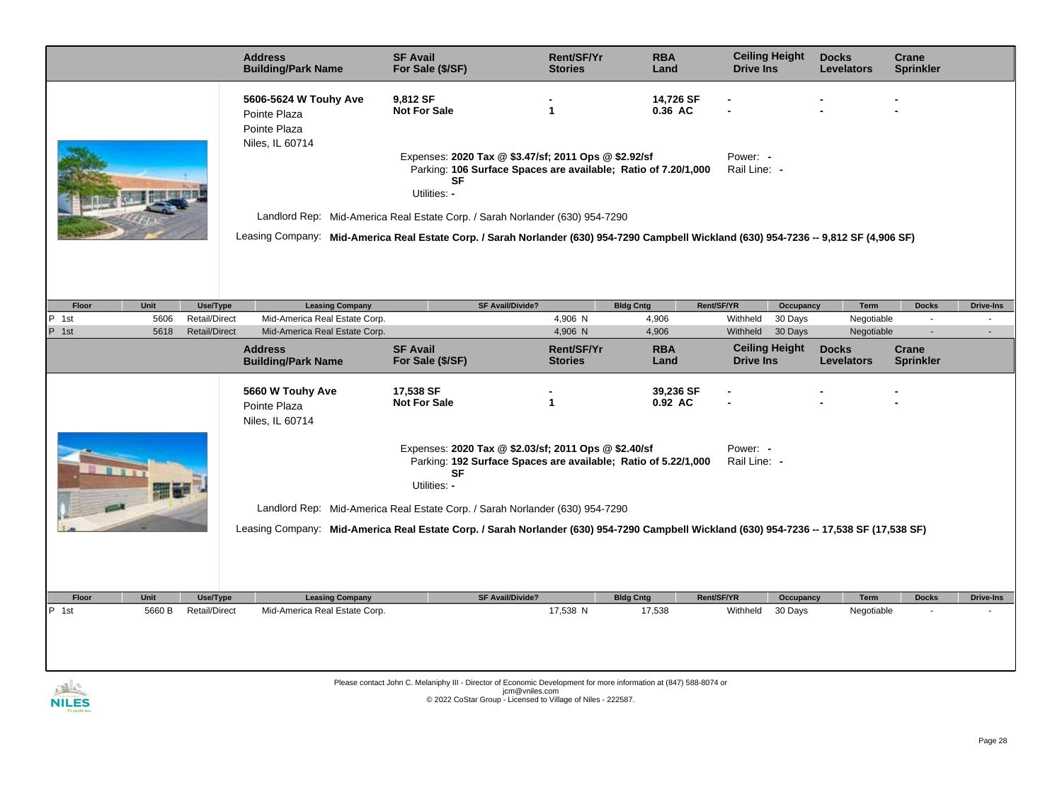|                                                                       | <b>Address</b><br><b>Building/Park Name</b>                              | <b>SF Avail</b><br>For Sale (\$/SF)                                                                                                                                                                                       | Rent/SF/Yr<br><b>Stories</b>                                                                                                                       | <b>RBA</b><br>Land   | <b>Ceiling Height</b><br><b>Drive Ins</b> |                    | <b>Docks</b><br><b>Levelators</b> | Crane<br><b>Sprinkler</b> |                            |  |
|-----------------------------------------------------------------------|--------------------------------------------------------------------------|---------------------------------------------------------------------------------------------------------------------------------------------------------------------------------------------------------------------------|----------------------------------------------------------------------------------------------------------------------------------------------------|----------------------|-------------------------------------------|--------------------|-----------------------------------|---------------------------|----------------------------|--|
|                                                                       | 5606-5624 W Touhy Ave<br>Pointe Plaza<br>Pointe Plaza<br>Niles, IL 60714 | 9,812 SF<br><b>Not For Sale</b>                                                                                                                                                                                           | $\mathbf{1}$                                                                                                                                       | 14,726 SF<br>0.36 AC |                                           |                    |                                   |                           |                            |  |
|                                                                       |                                                                          | <b>SF</b><br>Utilities: -                                                                                                                                                                                                 | Expenses: 2020 Tax @ \$3.47/sf; 2011 Ops @ \$2.92/sf<br>Power: -<br>Parking: 106 Surface Spaces are available; Ratio of 7.20/1,000<br>Rail Line: - |                      |                                           |                    |                                   |                           |                            |  |
|                                                                       |                                                                          | Landlord Rep: Mid-America Real Estate Corp. / Sarah Norlander (630) 954-7290<br>Leasing Company: Mid-America Real Estate Corp. / Sarah Norlander (630) 954-7290 Campbell Wickland (630) 954-7236 -- 9,812 SF (4,906 SF)   |                                                                                                                                                    |                      |                                           |                    |                                   |                           |                            |  |
|                                                                       |                                                                          |                                                                                                                                                                                                                           |                                                                                                                                                    |                      |                                           |                    |                                   |                           |                            |  |
| Floor<br>Unit<br>Use/Type<br>IP.                                      | <b>Leasing Company</b>                                                   | <b>SF Avail/Divide?</b>                                                                                                                                                                                                   | 4,906 N                                                                                                                                            | <b>Bldg Cntg</b>     | Rent/SF/YR                                | Occupancy          | Term                              | <b>Docks</b><br>$\sim$    | <b>Drive-Ins</b><br>$\sim$ |  |
| 1st<br>5606<br>Retail/Direct<br>P 1st<br>5618<br><b>Retail/Direct</b> | Mid-America Real Estate Corp.<br>Mid-America Real Estate Corp.           |                                                                                                                                                                                                                           | 4,906 N                                                                                                                                            | 4,906<br>4,906       | Withheld<br>Withheld                      | 30 Days<br>30 Days | Negotiable<br>Negotiable          | $\overline{a}$            | $\overline{\phantom{a}}$   |  |
|                                                                       | <b>Address</b><br><b>Building/Park Name</b>                              | <b>SF Avail</b><br>For Sale (\$/SF)                                                                                                                                                                                       | Rent/SF/Yr<br><b>Stories</b>                                                                                                                       | <b>RBA</b><br>Land   | <b>Ceiling Height</b><br><b>Drive Ins</b> |                    | <b>Docks</b><br><b>Levelators</b> | Crane<br><b>Sprinkler</b> |                            |  |
|                                                                       | 5660 W Touhy Ave<br>Pointe Plaza<br>Niles, IL 60714                      | 17,538 SF<br><b>Not For Sale</b>                                                                                                                                                                                          | $\mathbf{1}$                                                                                                                                       | 39,236 SF<br>0.92 AC |                                           |                    |                                   |                           |                            |  |
|                                                                       |                                                                          | Expenses: 2020 Tax @ \$2.03/sf; 2011 Ops @ \$2.40/sf<br>Parking: 192 Surface Spaces are available; Ratio of 5.22/1,000<br><b>SF</b><br>Utilities: -                                                                       |                                                                                                                                                    |                      | Power: -<br>Rail Line: -                  |                    |                                   |                           |                            |  |
|                                                                       |                                                                          | Landlord Rep: Mid-America Real Estate Corp. / Sarah Norlander (630) 954-7290<br>Leasing Company: Mid-America Real Estate Corp. / Sarah Norlander (630) 954-7290 Campbell Wickland (630) 954-7236 -- 17,538 SF (17,538 SF) |                                                                                                                                                    |                      |                                           |                    |                                   |                           |                            |  |
|                                                                       |                                                                          |                                                                                                                                                                                                                           |                                                                                                                                                    |                      |                                           |                    |                                   |                           |                            |  |
| Unit<br>Use/Type<br>Floor                                             | <b>Leasing Company</b>                                                   | <b>SF Avail/Divide?</b>                                                                                                                                                                                                   |                                                                                                                                                    | <b>Bldg Cntg</b>     | Rent/SF/YR                                | Occupancy          | Term                              | <b>Docks</b>              | Drive-Ins                  |  |
| 5660 B<br>P 1st<br>Retail/Direct                                      | Mid-America Real Estate Corp.                                            | Please contact John C. Melaniphy III - Director of Economic Development for more information at (847) 588-8074 or                                                                                                         | 17,538 N                                                                                                                                           | 17,538               | Withheld                                  | 30 Days            | Negotiable                        |                           |                            |  |
|                                                                       |                                                                          | jcm@vniles.com                                                                                                                                                                                                            |                                                                                                                                                    |                      |                                           |                    |                                   |                           |                            |  |

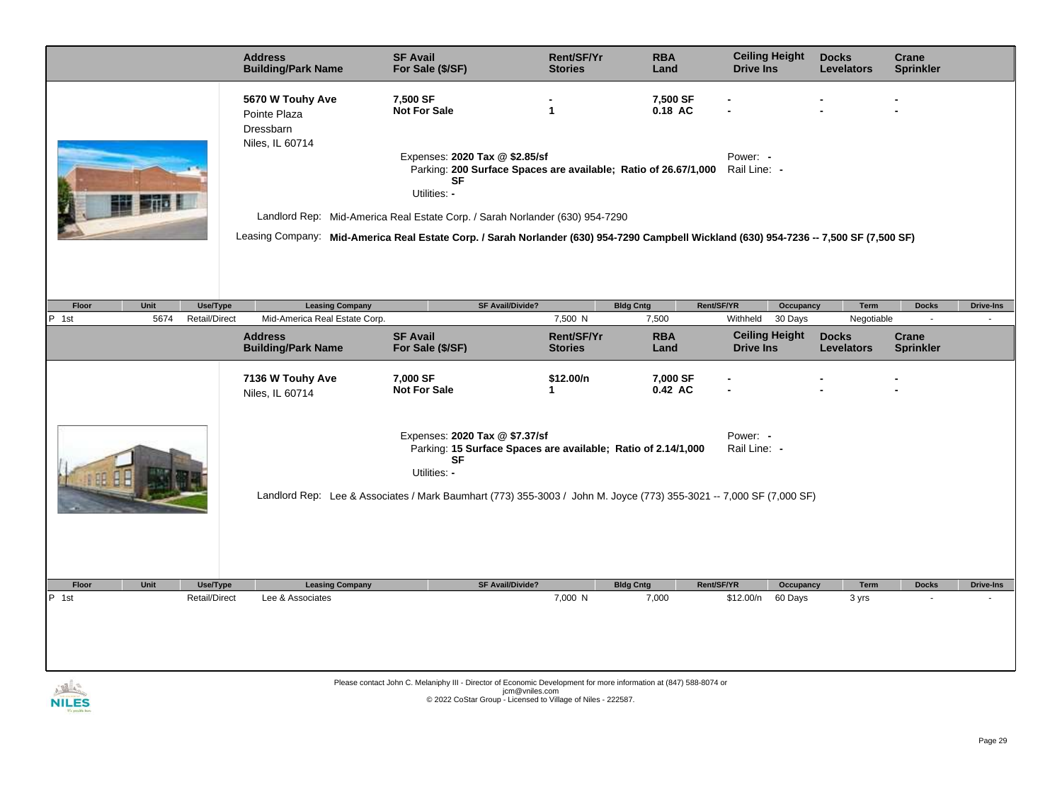|                                                                                                                     | <b>Address</b><br><b>Building/Park Name</b>                      | <b>SF Avail</b><br>For Sale (\$/SF)                                                                                                                                                                                                                                                                                                                                                                | Rent/SF/Yr<br><b>Stories</b> | <b>RBA</b><br>Land  | <b>Ceiling Height</b><br><b>Drive Ins</b> | <b>Docks</b><br><b>Levelators</b> | Crane<br><b>Sprinkler</b> |                  |
|---------------------------------------------------------------------------------------------------------------------|------------------------------------------------------------------|----------------------------------------------------------------------------------------------------------------------------------------------------------------------------------------------------------------------------------------------------------------------------------------------------------------------------------------------------------------------------------------------------|------------------------------|---------------------|-------------------------------------------|-----------------------------------|---------------------------|------------------|
|                                                                                                                     | 5670 W Touhy Ave<br>Pointe Plaza<br>Dressbarn<br>Niles, IL 60714 | 7,500 SF<br><b>Not For Sale</b><br>Expenses: 2020 Tax @ \$2.85/sf<br>Parking: 200 Surface Spaces are available; Ratio of 26.67/1,000 Rail Line: -<br>SF<br>Utilities: -<br>Landlord Rep: Mid-America Real Estate Corp. / Sarah Norlander (630) 954-7290<br>Leasing Company: Mid-America Real Estate Corp. / Sarah Norlander (630) 954-7290 Campbell Wickland (630) 954-7236 -- 7,500 SF (7,500 SF) | $\mathbf{1}$                 | 7,500 SF<br>0.18 AC | Power: -                                  |                                   |                           |                  |
| Floor<br>Unit<br>Use/Type                                                                                           | <b>Leasing Company</b>                                           | <b>SF Avail/Divide?</b>                                                                                                                                                                                                                                                                                                                                                                            |                              | <b>Bldg Cntg</b>    | Rent/SF/YR<br>Occupancy                   | Term                              | <b>Docks</b>              | <b>Drive-Ins</b> |
| 5674<br>Retail/Direct<br>P 1st                                                                                      | Mid-America Real Estate Corp.                                    |                                                                                                                                                                                                                                                                                                                                                                                                    | 7,500 N                      | 7,500               | Withheld<br>30 Days                       | Negotiable                        | ÷,                        |                  |
|                                                                                                                     | <b>Address</b><br><b>Building/Park Name</b>                      | <b>SF Avail</b><br>For Sale (\$/SF)                                                                                                                                                                                                                                                                                                                                                                | Rent/SF/Yr<br><b>Stories</b> | <b>RBA</b><br>Land  | <b>Ceiling Height</b><br><b>Drive Ins</b> | <b>Docks</b><br><b>Levelators</b> | Crane<br><b>Sprinkler</b> |                  |
|                                                                                                                     | 7136 W Touhy Ave<br>Niles, IL 60714                              | 7,000 SF<br><b>Not For Sale</b>                                                                                                                                                                                                                                                                                                                                                                    | \$12.00/n<br>$\mathbf{1}$    | 7,000 SF<br>0.42 AC |                                           |                                   |                           |                  |
|                                                                                                                     |                                                                  | Expenses: 2020 Tax @ \$7.37/sf<br>Parking: 15 Surface Spaces are available; Ratio of 2.14/1,000<br><b>SF</b><br>Utilities: -                                                                                                                                                                                                                                                                       |                              |                     | Power: -<br>Rail Line: -                  |                                   |                           |                  |
| Landlord Rep: Lee & Associates / Mark Baumhart (773) 355-3003 / John M. Joyce (773) 355-3021 -- 7,000 SF (7,000 SF) |                                                                  |                                                                                                                                                                                                                                                                                                                                                                                                    |                              |                     |                                           |                                   |                           |                  |
| Unit<br>Floor<br>Use/Type                                                                                           | <b>Leasing Company</b>                                           | <b>SF Avail/Divide?</b>                                                                                                                                                                                                                                                                                                                                                                            |                              | <b>Bldg Cntg</b>    | Rent/SF/YR<br>Occupancy                   | <b>Term</b>                       | <b>Docks</b>              | <b>Drive-Ins</b> |
| P 1st<br>Retail/Direct                                                                                              | Lee & Associates                                                 |                                                                                                                                                                                                                                                                                                                                                                                                    | 7,000 N                      | 7,000               | \$12.00/n<br>60 Days                      | 3 yrs                             |                           |                  |
|                                                                                                                     |                                                                  |                                                                                                                                                                                                                                                                                                                                                                                                    |                              |                     |                                           |                                   |                           |                  |
|                                                                                                                     |                                                                  | Please contact John C. Melaniphy III - Director of Economic Development for more information at (847) 588-8074 or                                                                                                                                                                                                                                                                                  |                              |                     |                                           |                                   |                           |                  |
| NII ES                                                                                                              |                                                                  | jcm@vniles.com<br>© 2022 CoStar Group - Licensed to Village of Niles - 222587.                                                                                                                                                                                                                                                                                                                     |                              |                     |                                           |                                   |                           |                  |